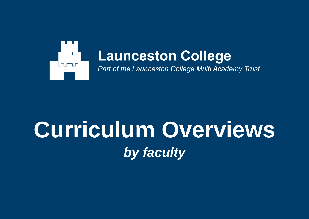

# **Curriculum Overviews** *by faculty*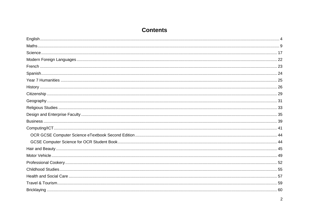# **Contents**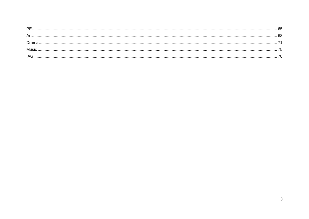| РF   |    |
|------|----|
|      | 68 |
| Dram |    |
| Musi |    |
| IAG  |    |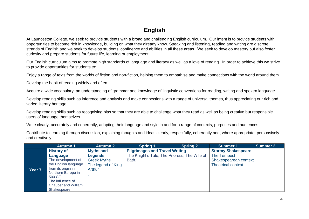# **English**

<span id="page-3-0"></span>At Launceston College, we seek to provide students with a broad and challenging English curriculum. Our intent is to provide students with opportunities to become rich in knowledge, building on what they already know. Speaking and listening, reading and writing are discrete strands of English and we seek to develop students' confidence and abilities in all these areas. We seek to develop mastery but also foster curiosity and prepare students for future life, learning or employment.

Our English curriculum aims to promote high standards of language and literacy as well as a love of reading. In order to achieve this we strive to provide opportunities for students to:

Enjoy a range of texts from the worlds of fiction and non-fiction, helping them to empathise and make connections with the world around them

Develop the habit of reading widely and often.

Acquire a wide vocabulary, an understanding of grammar and knowledge of linguistic conventions for reading, writing and spoken language

Develop reading skills such as inference and analysis and make connections with a range of universal themes, thus appreciating our rich and varied literary heritage.

Develop reading skills such as recognising bias so that they are able to challenge what they read as well as being creative but responsible users of language themselves.

Write clearly, accurately and coherently, adapting their language and style in and for a range of contexts, purposes and audiences

Contribute to learning through discussion, explaining thoughts and ideas clearly, respectfully, coherently and, where appropriate, persuasively and creatively.

|        | <b>Autumn 1</b>                                                                                                                                                                                     | <b>Autumn 2</b>                                                                          | <b>Spring 1</b>                                                                                | <b>Spring 2</b> | <b>Summer 1</b>                                                                                | <b>Summer 2</b> |
|--------|-----------------------------------------------------------------------------------------------------------------------------------------------------------------------------------------------------|------------------------------------------------------------------------------------------|------------------------------------------------------------------------------------------------|-----------------|------------------------------------------------------------------------------------------------|-----------------|
| Year 7 | <b>History of</b><br>Language<br>The development of<br>the English language<br>from its origin in<br>Northern Europe in<br>500 CE.<br>The influence of<br><b>Chaucer and William</b><br>Shakespeare | <b>Myths and</b><br>Legends<br><b>Greek Myths</b><br>The legend of King<br><b>Arthur</b> | <b>Pilgrimages and Travel Writing</b><br>The Knight's Tale, The Prioress, The Wife of<br>Bath. |                 | <b>Stormy Shakespeare</b><br>The Tempest<br>Shakespearean context<br><b>Theatrical context</b> |                 |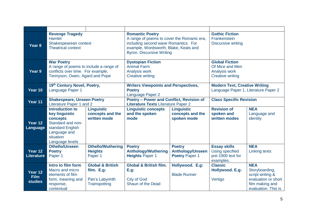| Year 8                            | <b>Revenge Tragedy</b><br><b>Hamlet</b><br>Shakespearean context<br><b>Theatrical context</b>                                                 |                                                                               | <b>Romantic Poetry</b><br>A range of poems to cover the Romanic era,<br>including second wave Romantics. For<br>example, Wordsworth, Blake, Keats and<br><b>Byron. Discursive Writing</b> |                                                                   | <b>Gothic Fiction</b><br>Frankenstein<br><b>Discursive writing</b>                   |                                                                                                                   |
|-----------------------------------|-----------------------------------------------------------------------------------------------------------------------------------------------|-------------------------------------------------------------------------------|-------------------------------------------------------------------------------------------------------------------------------------------------------------------------------------------|-------------------------------------------------------------------|--------------------------------------------------------------------------------------|-------------------------------------------------------------------------------------------------------------------|
| Year 9                            | <b>War Poetry</b><br>A range of poems to include a range of<br>conflicts over time. For example,<br>Tennyson, Owen, Agard and Pope            |                                                                               | <b>Dystopian Fiction</b><br><b>Animal Farm</b><br>Analysis work<br><b>Creative writing</b>                                                                                                |                                                                   | <b>Global Fiction</b><br>Of Mice and Men<br>Analysis work<br><b>Creative writing</b> |                                                                                                                   |
| Year 10                           | 19th Century Novel, Poetry,<br>Language Paper 1                                                                                               |                                                                               | <b>Writers Viewpoints and Perspectives,</b><br><b>Poetry</b><br>Language Paper 2                                                                                                          |                                                                   | <b>Modern Text, Creative Writing</b><br>Language Paper 1, Literature Paper 2         |                                                                                                                   |
| Year 11                           | <b>Shakespeare, Unseen Poetry</b><br>Literature Paper 1 and 2                                                                                 |                                                                               | Poetry - Power and Conflict, Revision of<br><b>Literature Texts Literature Paper 2</b>                                                                                                    |                                                                   | <b>Class Specific Revision</b>                                                       |                                                                                                                   |
| Year 12<br>Language               | <b>Introduction to</b><br>key linguistic<br>concepts<br>Standard and non-<br>standard English<br>Language and<br>situation<br>Language levels | <b>Linguistic</b><br>concepts and the<br>written mode                         | <b>Linguistic concepts</b><br>and the spoken<br>mode                                                                                                                                      | <b>Linguistic</b><br>concepts and the<br>spoken mode              | <b>Revision of</b><br>spoken and<br>written modes                                    | <b>NEA</b><br>Language and<br>identity                                                                            |
| Year 12<br><b>Literature</b>      | <b>Othello/Unseen</b><br><b>Poetry</b><br>Paper 1                                                                                             | <b>Othello/Wuthering</b><br><b>Heights</b><br>Paper 1                         | <b>Poetry</b><br><b>Anthology/Wuthering</b><br><b>Heights Paper 1</b>                                                                                                                     | <b>Poetry</b><br><b>Anthology/Unseen</b><br><b>Poetry Paper 1</b> | <b>Essay skills</b><br>Using specified<br>pre-1900 text for<br>examples.             | <b>NEA</b><br><b>Linking texts</b>                                                                                |
| Year 12<br>Film<br><b>studies</b> | Intro to film form<br>Macro and micro<br>elements of film<br>form, meaning and<br>response,<br>contextual                                     | <b>Global &amp; British</b><br>film. E.g:<br>Pan's Labyrinth<br>Trainspotting | <b>Global &amp; British film.</b><br><b>E.g:</b><br><b>City of God</b><br>Shaun of the Dead                                                                                               | Hollywood. E.g:<br><b>Blade Runner</b>                            | <b>Classic</b><br>Hollywood. E.g:<br>Vertigo                                         | <b>NEA</b><br>Storyboarding,<br>script writing &<br>evaluation or short<br>film making and<br>evaluation. This is |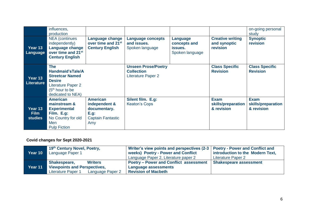|                                          | influences,<br>production                                                                                                                        |                                                                                      |                                                                              |                                                        |                                                     | on-going personal<br>study                      |
|------------------------------------------|--------------------------------------------------------------------------------------------------------------------------------------------------|--------------------------------------------------------------------------------------|------------------------------------------------------------------------------|--------------------------------------------------------|-----------------------------------------------------|-------------------------------------------------|
| Year 13<br>Language                      | <b>NEA</b> (continues<br>independently)<br>Language change<br>over time and 21 <sup>st</sup><br><b>Century English</b>                           | <b>Language change</b><br>over time and 21 <sup>st</sup><br><b>Century English</b>   | Language concepts<br>and issues.<br>Spoken language                          | Language<br>concepts and<br>issues.<br>Spoken language | <b>Creative writing</b><br>and synoptic<br>revision | <b>Synoptic</b><br>revision                     |
| Year 13<br><b>Literature</b>             | <b>The</b><br>Handmaid'sTale/A<br><b>Streetcar Named</b><br><b>Desire</b><br><b>Literature Paper 2</b><br>$(5th$ hour to be<br>dedicated to NEA) |                                                                                      | <b>Unseen Prose/Poetry</b><br><b>Collection</b><br><b>Literature Paper 2</b> |                                                        | <b>Class Specific</b><br><b>Revision</b>            | <b>Class Specific</b><br><b>Revision</b>        |
| Year 13<br><b>Film</b><br><b>studies</b> | <b>American</b><br>mainstream &<br><b>Experimental</b><br>Film. E.g:<br>No Country for old<br>Men<br><b>Pulp Fiction</b>                         | <b>American</b><br>independent &<br>documentary.<br>E.g.<br>Captain Fantastic<br>Amy | Silent film. E.g:<br><b>Keaton's Cops</b>                                    |                                                        | <b>Exam</b><br>skills/preparation<br>& revision     | <b>Exam</b><br>skills/preparation<br>& revision |

#### **Covid changes for Sept 2020-2021**

| Year 10 | 19th Century Novel, Poetry,<br>Language Paper 1 | Writer's view points and perspectives (2-3   Poetry - Power and Conflict and<br>weeks) Poetry - Power and Conflict<br>Language Paper 2, Literature paper 2 | introduction to the Modern Text,<br>Literature Paper 2 |  |
|---------|-------------------------------------------------|------------------------------------------------------------------------------------------------------------------------------------------------------------|--------------------------------------------------------|--|
|         | <b>Writers</b><br>Shakespeare,                  | Poetry - Power and Conflict assessment                                                                                                                     | <b>Shakespeare assessment</b>                          |  |
| Year 11 | <b>Viewpoints and Perspectives,</b>             | <b>Language assessments</b>                                                                                                                                |                                                        |  |
|         | <b>Literature Paper 1</b><br>Language Paper 2   | <b>Revision of Macbeth</b>                                                                                                                                 |                                                        |  |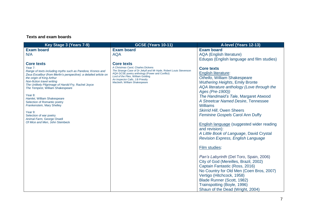| Key Stage 3 (Years 7-9)                                                                                                                                                                                                                                                                                                                                                                                                                                                                                                              | <b>GCSE (Years 10-11)</b>                                                                                                                                                                                                                                                                | A-level (Years 12-13)                                                                                                                                                                                                                                                                                                                                                                                                                                                                                                                                                                                                                                                                                                                                                                                                                                 |
|--------------------------------------------------------------------------------------------------------------------------------------------------------------------------------------------------------------------------------------------------------------------------------------------------------------------------------------------------------------------------------------------------------------------------------------------------------------------------------------------------------------------------------------|------------------------------------------------------------------------------------------------------------------------------------------------------------------------------------------------------------------------------------------------------------------------------------------|-------------------------------------------------------------------------------------------------------------------------------------------------------------------------------------------------------------------------------------------------------------------------------------------------------------------------------------------------------------------------------------------------------------------------------------------------------------------------------------------------------------------------------------------------------------------------------------------------------------------------------------------------------------------------------------------------------------------------------------------------------------------------------------------------------------------------------------------------------|
| <b>Exam board</b><br>N/A                                                                                                                                                                                                                                                                                                                                                                                                                                                                                                             | <b>Exam board</b><br><b>AQA</b>                                                                                                                                                                                                                                                          | <b>Exam board</b><br><b>AQA</b> (English literature)<br>Eduqas (English language and film studies)                                                                                                                                                                                                                                                                                                                                                                                                                                                                                                                                                                                                                                                                                                                                                    |
| <b>Core texts</b><br>Year 7:<br>Range of texts including myths such as Pandora; Kronos and<br>Zeus Excalibur (from Merlin's perspective); a detailed article on<br>the origin of King Arthur<br>Non-fiction travel writing<br>The Unlikely Pilgrimage of Harold Fry, Rachel Joyce<br>The Tempest, William Shakespeare<br>Year 8:<br>Hamlet, William Shakespeare<br>Selection of Romantic poetry<br>Frankenstein, Mary Shelley<br>Year 9:<br>Selection of war poetry<br>Animal Farm, George Orwell<br>Of Mice and Men, John Steinbeck | <b>Core texts</b><br>A Christmas Carol, Charles Dickens<br>The Strange Case of Dr Jekyll and Mr Hyde, Robert Louis Stevenson<br>AQA GCSE poetry anthology (Power and Conflict)<br>Lord of the Flies, William Golding<br>An Inspector Calls, J.B Priestly<br>Macbeth, William Shakespeare | <b>Core texts</b><br>English literature:<br>Othello, William Shakespeare<br><b>Wuthering Heights, Emily Bronte</b><br>AQA literature anthology (Love through the<br>Ages (Pre-1900))<br>The Handmaid's Tale, Margaret Atwood<br>A Streetcar Named Desire, Tennessee<br><b>Williams</b><br><b>Skirrid Hill, Owen Sheers</b><br><b>Feminine Gospels Carol Ann Duffy</b><br><b>English language (suggested wider reading</b><br>and revision):<br>A Little Book of Language, David Crystal<br><b>Revision Express, English Language</b><br>Film studies:<br>Pan's Labyrinth (Del Toro, Spain, 2006)<br>City of God (Mereilles, Brazil, 2002)<br>Captain Fantastic (Ross, 2016)<br>No Country for Old Men (Coen Bros, 2007)<br>Vertigo (Hitchcock, 1958)<br>Blade Runner (Scott, 1982)<br>Trainspotting (Boyle, 1996)<br>Shaun of the Dead (Wright, 2004) |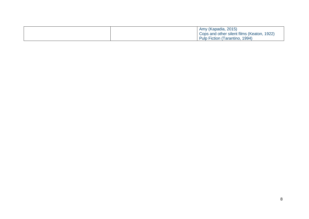|  | Amy (Kapadia, 2015)                        |
|--|--------------------------------------------|
|  | Cops and other silent films (Keaton, 1922) |
|  | Pulp Fiction (Tarantino, 1994)             |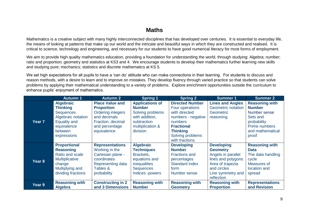# **Maths**

<span id="page-8-0"></span>Mathematics is a creative subject with many highly interconnected disciplines that has developed over centuries. It is essential to everyday life, the means of looking at patterns that make up our world and the intricate and beautiful ways in which they are constructed and realised. It is critical to science, technology and engineering, and necessary for our students to have good numerical literacy for most forms of employment.

We aim to provide high quality mathematics education, providing a foundation for understanding the world, through studying: Algebra; number; ratio and proportion; geometry and statistics at KS3 and 4. We encourage students to develop their mathematics further learning new skills and studying pure; mechanics; statistics and discrete mathematics at KS 5.

We set high expectations for all pupils to have a 'can do' attitude who can make connections in their learning. For students to discuss and reason methods, with a desire to learn and to improve on mistakes. They develop fluency through varied practice so that students can solve problems by applying their mathematical understanding to a variety of problems. Explore enrichment opportunities outside the curriculum to enhance pupils' enjoyment of mathematics.

|                   | <b>Autumn 1</b>                                                                                                                               | <b>Autumn 2</b>                                                                                                                               | <b>Spring 1</b>                                                                                                                   | <b>Spring 2</b>                                                                                                                                                           | <b>Summer 1</b>                                                                                                                                        | <b>Summer 2</b>                                                                                                                 |
|-------------------|-----------------------------------------------------------------------------------------------------------------------------------------------|-----------------------------------------------------------------------------------------------------------------------------------------------|-----------------------------------------------------------------------------------------------------------------------------------|---------------------------------------------------------------------------------------------------------------------------------------------------------------------------|--------------------------------------------------------------------------------------------------------------------------------------------------------|---------------------------------------------------------------------------------------------------------------------------------|
| Year <sub>7</sub> | <b>Algebraic</b><br><b>Thinking</b><br><b>Sequences</b><br>Algebraic notation<br><b>Equality and</b><br>equivalence<br>between<br>expressions | <b>Place Value and</b><br><b>Proportion</b><br><b>Ordering integers</b><br>and decimals<br>Fraction, decimal<br>and percentage<br>equivalence | <b>Applications of</b><br><b>Number</b><br>Solving problems<br>with addition,<br>subtraction<br>multiplication &<br>division      | <b>Directed Number</b><br>Four operations<br>with directed<br>numbers - negative<br>numbers<br><b>Fractional</b><br><b>Thinking</b><br>Solving problems<br>with fractions | <b>Lines and Angles</b><br><b>Geometric notation</b><br>Geometric<br>reasoning                                                                         | <b>Reasoning with</b><br><b>Number</b><br>Number sense<br>Sets and<br>probability<br>Prime numbers<br>and mathematical<br>proof |
| Year <sub>8</sub> | <b>Proportional</b><br><b>Reasoning</b><br>Ratio and scale<br>Multiplicative<br>change<br>Multiplying and<br>dividing fractions               | <b>Representations</b><br>Working in the<br>Cartesian plane -<br>coordinates<br>Representing data<br>Tables &<br>probability                  | <b>Algebraic</b><br><b>Techniques</b><br>Brackets,<br>equations and<br><i>inequalities</i><br><b>Sequences</b><br>Indices -powers | <b>Developing</b><br><b>Number</b><br><b>Fractions and</b><br>percentages<br><b>Standard index</b><br>form<br>Number sense                                                | <b>Developing</b><br><b>Geometry</b><br>Angels in parallel<br>lines and polygons<br>Area of trapezia<br>and circles<br>Line symmetry and<br>reflection | <b>Reasoning with</b><br><b>Data</b><br>The data handling<br>cycle<br>Measures of<br>location and<br>spread                     |
| Year 9            | <b>Reasoning with</b><br><b>Algebra</b>                                                                                                       | <b>Constructing in 2</b><br>and 3 Dimensions                                                                                                  | <b>Reasoning with</b><br><b>Number</b>                                                                                            | <b>Reasoning with</b><br><b>Geometry</b>                                                                                                                                  | <b>Reasoning with</b><br><b>Proportion</b>                                                                                                             | <b>Representations</b><br>and Revision                                                                                          |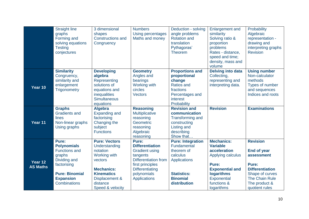|                            | <b>Straight line</b><br>graphs<br>Forming and<br>solving equations<br><b>Testing</b><br>conjectures                                                              | 3 dimensional<br>shapes<br><b>Constructions and</b><br>Congruency                                                                                                               | <b>Numbers</b><br><b>Using percentages</b><br>Maths and money                                                                                                                           | Deduction - solving<br>angle problems<br><b>Rotation and</b><br>translation<br>Pythagoras'<br><b>Theorem</b>                                      | <b>Enlargement and</b><br>similarity<br>Solving ratio &<br>proportion<br>problems<br>Rates - distance,<br>speed and time;<br>density, mass and<br>volume                      | Probability<br>Algebraic<br>representation -<br>drawing and<br>interpreting graphs<br><b>Revision</b>                                                                 |
|----------------------------|------------------------------------------------------------------------------------------------------------------------------------------------------------------|---------------------------------------------------------------------------------------------------------------------------------------------------------------------------------|-----------------------------------------------------------------------------------------------------------------------------------------------------------------------------------------|---------------------------------------------------------------------------------------------------------------------------------------------------|-------------------------------------------------------------------------------------------------------------------------------------------------------------------------------|-----------------------------------------------------------------------------------------------------------------------------------------------------------------------|
| Year 10                    | <b>Similarity</b><br>Congruency,<br>similarity and<br>enlargement<br><b>Trigonometry</b>                                                                         | <b>Developing</b><br>algebra<br>Representing<br>solutions of<br>equations and<br>inequalities<br><b>Simultaneous</b><br>equations                                               | <b>Geometry</b><br>Angles and<br>bearings<br><b>Working with</b><br>circles<br><b>Vectors</b>                                                                                           | <b>Proportions and</b><br>proportional<br>change<br><b>Ratios and</b><br>fractions<br>Percentages and<br><i>interest</i><br>Probability           | <b>Delving into data</b><br>Collecting,<br>representing and<br>interpreting data.                                                                                             | <b>Using number</b><br>Non-calculator<br>methods<br>Types of number<br>and sequences<br>Indices and roots                                                             |
| Year 11                    | <b>Graphs</b><br><b>Gradients and</b><br>lines<br>Non-linear graphs<br>Using graphs                                                                              | <b>Algebra</b><br><b>Expanding and</b><br>factorising<br>Changing the<br>subject<br><b>Functions</b>                                                                            | <b>Reasoning</b><br>Multiplicative<br>reasoning<br>Geometric<br>reasoning<br>Algebraic<br>reasoning                                                                                     | <b>Revision and</b><br>communication<br><b>Transforming and</b><br>constructing<br><b>Listing and</b><br>describing<br>Show that                  | <b>Revision</b>                                                                                                                                                               | <b>Examinations</b>                                                                                                                                                   |
| Year 12<br><b>AS Maths</b> | Pure:<br><b>Polynomials</b><br><b>Functions and</b><br>graphs<br>Dividing and<br>factorising<br><b>Pure: Binomial</b><br><b>Expansion</b><br><b>Combinations</b> | <b>Pure: Vectors</b><br>Understanding<br>notation<br><b>Working with</b><br>vectors<br><b>Mechanics:</b><br><b>Kinematics</b><br>Displacement &<br>distance<br>Speed & velocity | Pure:<br><b>Differentiation</b><br><b>Gradient using</b><br>tangents<br><b>Differentiation from</b><br>first principles<br><b>Differentiating</b><br>polynomials<br><b>Applications</b> | <b>Pure: Integration</b><br>Fundamental<br>theorem of<br>calculus<br><b>Applications</b><br><b>Statistics:</b><br><b>Binomial</b><br>distribution | <b>Mechanics:</b><br><b>Variable</b><br>acceleration<br>Applying calculus<br>Pure:<br><b>Exponential and</b><br><b>logarithms</b><br>Exponential<br>functions &<br>logarithms | <b>Revision</b><br><b>End of year</b><br>assessment<br>Pure:<br><b>Differentiation</b><br>Shape of curves<br><b>The Chain Rule</b><br>The product &<br>quotient rules |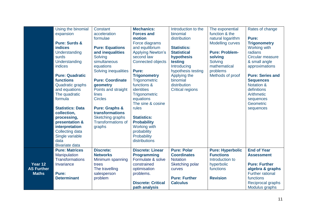|                              | Using the binomial       | Constant                  | <b>Mechanics:</b>              | Introduction to the       | The exponential                     | Rates of change                          |
|------------------------------|--------------------------|---------------------------|--------------------------------|---------------------------|-------------------------------------|------------------------------------------|
|                              | expansion                | acceleration<br>formulae  | <b>Forces and</b><br>motion    | binomial<br>distribution  | function & the<br>natural logarithm | Pure:                                    |
|                              | <b>Pure: Surds &amp;</b> |                           | Force diagrams                 |                           | <b>Modelling curves</b>             | <b>Trigonometry</b>                      |
|                              | <b>indices</b>           | <b>Pure: Equations</b>    | and equilibrium                | <b>Statistics:</b>        |                                     | <b>Working with</b>                      |
|                              | Understanding            | and inequalities          | <b>Applying Newton's</b>       | <b>Statistical</b>        | <b>Pure: Problem-</b>               | radians                                  |
|                              | surds                    | Solving                   | second law                     | hypothesis                | solving                             | Circular measure                         |
|                              | Understanding            | simultaneous              | <b>Connected objects</b>       | testing                   | Solving                             | & small angle                            |
|                              | indices                  | equations                 |                                | Introducing               | mathematical                        | approximations                           |
|                              |                          | Solving inequalities      | Pure:                          | hypothesis testing        | problems                            |                                          |
|                              | <b>Pure: Quadratic</b>   |                           | <b>Trigonometry</b>            | Applying the              | Methods of proof                    | <b>Pure: Series and</b>                  |
|                              | functions                | <b>Pure: Coordinate</b>   | Trigonometric                  | binomial                  |                                     | <b>Sequences</b>                         |
|                              | Quadratic graphs         | geometry                  | functions &                    | distribution              |                                     | <b>Notation &amp;</b>                    |
|                              | and equations            | Points and straight       | identities                     | <b>Critical regions</b>   |                                     | definitions                              |
|                              | The quadratic            | lines                     | Trigonometric                  |                           |                                     | Arithmetic                               |
|                              | formula                  | <b>Circles</b>            | equations<br>The sine & cosine |                           |                                     | sequences<br>Geometric                   |
|                              | <b>Statistics: Data</b>  | <b>Pure: Graphs &amp;</b> | rules                          |                           |                                     | sequences                                |
|                              | collection,              | transformations           |                                |                           |                                     |                                          |
|                              | processing,              | Sketching graphs          | <b>Statistics:</b>             |                           |                                     |                                          |
|                              | presentation &           | <b>Transformations of</b> | <b>Probability</b>             |                           |                                     |                                          |
|                              | interpretation           | graphs                    | <b>Working with</b>            |                           |                                     |                                          |
|                              | <b>Collecting data</b>   |                           | probability                    |                           |                                     |                                          |
|                              | Single variable          |                           | Probability                    |                           |                                     |                                          |
|                              | data                     |                           | distributions                  |                           |                                     |                                          |
|                              | <b>Bivariate data</b>    |                           |                                |                           |                                     |                                          |
|                              | <b>Pure: Matrices</b>    | <b>Discrete:</b>          | <b>Discrete: Linear</b>        | <b>Pure: Polar</b>        | <b>Pure: Hyperbolic</b>             | <b>End of Year</b>                       |
|                              | Manipulation             | <b>Networks</b>           | <b>Programming</b>             | <b>Coordinates</b>        | <b>Functions</b>                    | <b>Assessment</b>                        |
|                              | <b>Transformations</b>   | Minimum spanning          | Formulate & solve              | <b>Notation</b>           | Introduction to                     |                                          |
| Year 12<br><b>AS Further</b> | Invariance               | trees<br>The travelling   | constrained                    | Sketching polar<br>curves | hyperbolic<br>functions             | <b>Pure: Further</b><br>algebra & graphs |
| <b>Maths</b>                 | Pure:                    | salesperson               | optimisation<br>problems.      |                           |                                     | <b>Further rational</b>                  |
|                              | <b>Determinant</b>       | problem                   |                                | <b>Pure: Further</b>      | <b>Revision</b>                     | functions                                |
|                              |                          |                           | <b>Discrete: Critical</b>      | <b>Calculus</b>           |                                     | Reciprocal graphs                        |
|                              |                          |                           | path analysis                  |                           |                                     | Modulus graphs                           |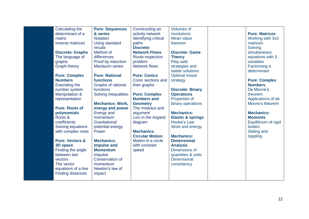| Calculating the                                 | <b>Pure: Sequences</b>      | Constructing an             | <b>Volumes of</b>                        |                       |
|-------------------------------------------------|-----------------------------|-----------------------------|------------------------------------------|-----------------------|
| determinant of a                                | & series                    | activity network            | revolutions                              | <b>Pure: Matrices</b> |
| matrix                                          | <b>Notation</b>             | <b>Identifying critical</b> | Mean value                               | Working with 3x3      |
| Inverse matrices                                | Using standard              | paths                       | theorem                                  | matrices              |
|                                                 | results                     | <b>Discrete:</b>            |                                          | Solving               |
| <b>Discrete: Graphs</b>                         | Method of                   | <b>Network Flows</b>        | <b>Discrete: Game</b>                    | simultaneous          |
| The language of                                 | differences                 | Route inspection            | <b>Theory</b>                            | equations with 3      |
| graphs                                          | Proof by induction          | problem                     | Play-safe                                | variables             |
| <b>Graph theory</b>                             | <b>Maclaurin series</b>     | <b>Network flows</b>        | strategies and                           | Factorising a         |
|                                                 |                             |                             | stable solutions                         | determinant           |
| <b>Pure: Complex</b>                            | <b>Pure: Rational</b>       | <b>Pure: Conics</b>         | <b>Optimal mixed</b>                     |                       |
| <b>Numbers</b>                                  | <b>functions</b>            | Conic sections and          | strategy                                 | <b>Pure: Complex</b>  |
| <b>Extending the</b>                            | Graphs of rational          | their graphs                |                                          | <b>Numbers</b>        |
| number system                                   | functions                   |                             | <b>Discrete: Binary</b>                  | De Moivre's           |
| <b>Manipulation &amp;</b>                       | Solving inequalities        | <b>Pure: Complex</b>        | <b>Operations</b>                        | theorem               |
| representation                                  |                             | <b>Numbers and</b>          | Properties of                            | Applications of de    |
|                                                 | <b>Mechanics: Work,</b>     | <b>Geometry</b>             | binary operations                        | Moivre's theorem      |
| <b>Pure: Roots of</b>                           | energy and power            | The modulus and             |                                          |                       |
| polynomials                                     | <b>Energy and</b>           | argument                    | <b>Mechanics:</b>                        | <b>Mechanics:</b>     |
| Roots &                                         | momentum                    | Loci in the Argand          | <b>Elastic &amp; springs</b>             | <b>Moments</b>        |
| coefficients                                    | Gravitational               | diagram                     | Hooke's Law                              | Equilibrium of rigid  |
| Solving equations                               | potential energy            |                             | Work and energy                          | bodies                |
| with complex roots                              | Power                       | <b>Mechanics:</b>           |                                          | Sliding and           |
|                                                 |                             | <b>Circular Motion</b>      | <b>Mechanics:</b>                        | toppling              |
| <b>Pure: Vectors &amp;</b>                      | <b>Mechanics:</b>           | Motion in a circle          | <b>Dimensional</b>                       |                       |
| 3D space                                        | <b>Impulse and</b>          | with constant               | <b>Analysis</b>                          |                       |
| Finding the angle                               | <b>Momentum</b>             | speed                       | Dimensions of                            |                       |
| between two                                     | Impulse<br>Conservation of  |                             | quantities & units<br><b>Dimensional</b> |                       |
| vectors                                         |                             |                             |                                          |                       |
| The vector                                      | momentum<br>Newton's law of |                             | consistency                              |                       |
| equations of a line<br><b>Finding distances</b> | impact                      |                             |                                          |                       |
|                                                 |                             |                             |                                          |                       |
|                                                 |                             |                             |                                          |                       |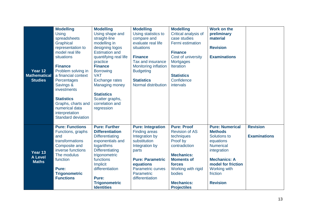| Year 12<br><b>Mathematical</b><br><b>Studies</b> | <b>Modelling</b><br>Using<br>spreadsheets<br>Graphical<br>representation to<br>model real life<br>situations<br><b>Finance</b><br>Problem solving in<br>a financial context<br>Percentages<br>Savings &<br>investments<br><b>Statistics</b><br>Graphs, charts and | <b>Modelling</b><br>Using shape and<br>straight-line<br>modelling in<br>designing logos<br><b>Estimation and</b><br>quantifying real life<br>practice<br><b>Finance</b><br><b>Borrowing</b><br><b>VAT</b><br><b>Exchange rates</b><br><b>Managing money</b><br><b>Statistics</b><br>Scatter graphs,<br>correlation and | <b>Modelling</b><br>Using statistics to<br>compare and<br>evaluate real life<br>situations<br><b>Finance</b><br>Tax and insurance<br><b>Monitoring inflation</b><br><b>Budgeting</b><br><b>Statistics</b><br><b>Normal distribution</b> | <b>Modelling</b><br>Critical analysis of<br>case studies<br>Fermi estimation<br><b>Finance</b><br>Cost of university<br><b>Mortgages</b><br><b>Iteration</b><br><b>Statistics</b><br>Confidence<br>intervals          | Work on the<br>preliminary<br>material<br><b>Revision</b><br><b>Examinations</b>                                                                                                                            |                                        |
|--------------------------------------------------|-------------------------------------------------------------------------------------------------------------------------------------------------------------------------------------------------------------------------------------------------------------------|------------------------------------------------------------------------------------------------------------------------------------------------------------------------------------------------------------------------------------------------------------------------------------------------------------------------|-----------------------------------------------------------------------------------------------------------------------------------------------------------------------------------------------------------------------------------------|-----------------------------------------------------------------------------------------------------------------------------------------------------------------------------------------------------------------------|-------------------------------------------------------------------------------------------------------------------------------------------------------------------------------------------------------------|----------------------------------------|
|                                                  | numerical data<br>interpretation<br><b>Standard deviation</b>                                                                                                                                                                                                     | regression                                                                                                                                                                                                                                                                                                             |                                                                                                                                                                                                                                         |                                                                                                                                                                                                                       |                                                                                                                                                                                                             |                                        |
| Year 13<br><b>A Level</b><br><b>Maths</b>        | <b>Pure: Functions</b><br>Functions, graphs<br>and<br>transformations<br>Composite and<br>inverse functions<br>The modulus<br>function<br>Pure:<br><b>Trigonometric</b><br><b>Functions</b>                                                                       | <b>Pure: Further</b><br><b>Differentiation</b><br><b>Differentiating</b><br>exponentials and<br>logarithms<br><b>Differentiating</b><br>trigonometric<br>functions<br><b>Implicit</b><br>differentiation<br>Pure:<br><b>Trigonometric</b><br><b>Identities</b>                                                         | <b>Pure: Integration</b><br><b>Finding areas</b><br>Integration by<br>substitution<br>Integration by<br>parts<br><b>Pure: Parametric</b><br>equations<br><b>Parametric curves</b><br>Parametric<br>differentiation                      | <b>Pure: Proof</b><br><b>Revision of AS</b><br>techniques<br>Proof by<br>contradiction<br><b>Mechanics:</b><br><b>Moments of</b><br>forces<br>Working with rigid<br>bodies<br><b>Mechanics:</b><br><b>Projectiles</b> | <b>Pure: Numerical</b><br><b>Methods</b><br>Solutions to<br>equations<br><b>Numerical</b><br>integration<br><b>Mechanics: A</b><br>model for friction<br><b>Working with</b><br>friction<br><b>Revision</b> | <b>Revision</b><br><b>Examinations</b> |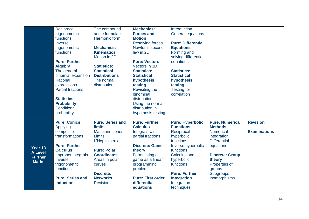|                | Reciprocal               | The compound            | <b>Mechanics:</b>        | Introduction              |                        |                     |
|----------------|--------------------------|-------------------------|--------------------------|---------------------------|------------------------|---------------------|
|                | trigonometric            | angle formulae          | <b>Forces and</b>        | <b>General equations</b>  |                        |                     |
|                | functions                | Harmonic form           | <b>Motion</b>            |                           |                        |                     |
|                | Inverse                  |                         | <b>Resolving forces</b>  | <b>Pure: Differential</b> |                        |                     |
|                | trigonometric            | <b>Mechanics:</b>       | Newton's second          | <b>Equations</b>          |                        |                     |
|                | functions                | <b>Kinematics</b>       | law in 2D                | Forming and               |                        |                     |
|                |                          | Motion in 2D            |                          | solving differential      |                        |                     |
|                | <b>Pure: Further</b>     |                         | <b>Pure: Vectors</b>     | equations                 |                        |                     |
|                | <b>Algebra</b>           | <b>Statistics:</b>      | Vectors in 3D            |                           |                        |                     |
|                | The general              | <b>Statistical</b>      | <b>Statistics:</b>       | <b>Statistics:</b>        |                        |                     |
|                | binomial expansion       | <b>Distributions</b>    | <b>Statistical</b>       | <b>Statistical</b>        |                        |                     |
|                | Rational                 | The normal              | hypothesis               | hypothesis                |                        |                     |
|                | expressions              | distribution            | testing                  | testing                   |                        |                     |
|                | <b>Partial fractions</b> |                         | <b>Revisiting the</b>    | <b>Testing for</b>        |                        |                     |
|                |                          |                         | binominal                | correlation               |                        |                     |
|                | <b>Statistics:</b>       |                         | distribution             |                           |                        |                     |
|                | <b>Probability</b>       |                         | Using the normal         |                           |                        |                     |
|                | Conditional              |                         | distribution in          |                           |                        |                     |
|                | probability              |                         | hypothesis testing       |                           |                        |                     |
|                | <b>Pure: Conics</b>      | <b>Pure: Series and</b> | <b>Pure: Further</b>     | <b>Pure: Hyperbolic</b>   | <b>Pure: Numerical</b> | <b>Revision</b>     |
|                | Applying                 | <b>limits</b>           | <b>Calculus</b>          | <b>Functions</b>          | <b>Methods</b>         |                     |
|                | composite                | <b>Maclaurin series</b> | Integrals with           | Reciprocal                | <b>Numerical</b>       | <b>Examinations</b> |
|                | transformations          | <b>Limits</b>           | partial fractions        | hyperbolic                | integration            |                     |
|                |                          | L'Hopitals rule         |                          | functions                 | <b>Differential</b>    |                     |
|                | <b>Pure: Further</b>     |                         | <b>Discrete: Game</b>    | Inverse hyperbolic        | equations              |                     |
| Year 13        | <b>Calculus</b>          | <b>Pure: Polar</b>      | theory                   | functions                 |                        |                     |
| <b>A Level</b> | Improper integrals       | <b>Coordinates</b>      | Formulating a            | <b>Calculus and</b>       | <b>Discrete: Group</b> |                     |
| <b>Further</b> | Inverse                  | Areas in polar          | game as a linear         | hyperbolic                | theory                 |                     |
| <b>Maths</b>   | trigonometric            | curves                  | programming              | functions                 | Properties of          |                     |
|                | functions                |                         | problem                  |                           | groups                 |                     |
|                |                          | <b>Discrete:</b>        |                          | <b>Pure: Further</b>      | <b>Subgroups</b>       |                     |
|                | <b>Pure: Series and</b>  | <b>Networks</b>         | <b>Pure: First order</b> | <b>Integration</b>        | Isomorphisms           |                     |
|                | induction                | <b>Revision</b>         | differential             | Integration               |                        |                     |
|                |                          |                         | equations                | techniques                |                        |                     |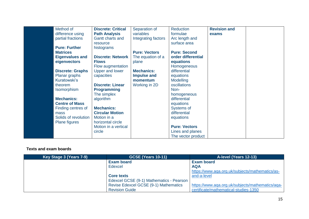| Method of               | <b>Discrete: Critical</b> | Separation of        | <b>Reduction</b>     | <b>Revision and</b> |  |
|-------------------------|---------------------------|----------------------|----------------------|---------------------|--|
| difference using        | <b>Path Analysis</b>      | variables            | formulae             | exams               |  |
| partial fractions       | Gantt charts and          | Integrating factors  | Arc length and       |                     |  |
|                         | resource                  |                      | surface area         |                     |  |
| <b>Pure: Further</b>    | histograms                |                      |                      |                     |  |
| <b>Matrices</b>         |                           | <b>Pure: Vectors</b> | <b>Pure: Second</b>  |                     |  |
| <b>Eigenvalues and</b>  | <b>Discrete: Network</b>  | The equation of a    | order differential   |                     |  |
| eigenvectors            | <b>Flows</b>              | plane                | equations            |                     |  |
|                         | Flow augmentation         |                      | Homogeneous          |                     |  |
| <b>Discrete: Graphs</b> | Upper and lower           | <b>Mechanics:</b>    | differential         |                     |  |
| Planar graphs           | capacities                | <b>Impulse and</b>   | equations            |                     |  |
| Kuratowski's            |                           | momentum             | Modelling            |                     |  |
| theorem                 | <b>Discrete: Linear</b>   | Working in 2D        | oscillations         |                     |  |
| <b>Isomorphism</b>      | <b>Programming</b>        |                      | Non-                 |                     |  |
|                         | The simplex               |                      | homogeneous          |                     |  |
| <b>Mechanics:</b>       | algorithm                 |                      | differential         |                     |  |
| <b>Centre of Mass</b>   |                           |                      | equations            |                     |  |
| Finding centres of      | <b>Mechanics:</b>         |                      | Systems of           |                     |  |
| mass                    | <b>Circular Motion</b>    |                      | differential         |                     |  |
| Solids of revolution    | Motion in a               |                      | equations            |                     |  |
| <b>Plane figures</b>    | horizontal circle         |                      |                      |                     |  |
|                         | Motion in a vertical      |                      | <b>Pure: Vectors</b> |                     |  |
|                         | circle                    |                      | Lines and planes     |                     |  |
|                         |                           |                      | The vector product   |                     |  |

| Key Stage 3 (Years 7-9) | <b>GCSE (Years 10-11)</b>                    | A-level (Years 12-13)                            |
|-------------------------|----------------------------------------------|--------------------------------------------------|
|                         | <b>Exam board</b>                            | <b>Exam board</b>                                |
|                         | Edexcel                                      | <b>AQA</b>                                       |
|                         |                                              | https://www.aqa.org.uk/subjects/mathematics/as-  |
|                         | <b>Core texts</b>                            | and-a-level                                      |
|                         | Edexcel GCSE (9-1) Mathematics - Pearson     |                                                  |
|                         | <b>Revise Edexcel GCSE (9-1) Mathematics</b> | https://www.aqa.org.uk/subjects/mathematics/aqa- |
|                         | <b>Revision Guide</b>                        | certificate/mathematical-studies-1350            |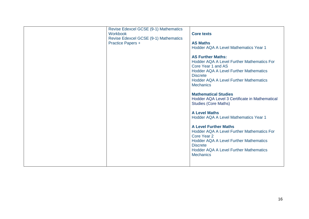| <b>Workbook</b><br><b>Practice Papers +</b> | Revise Edexcel GCSE (9-1) Mathematics<br><b>Core texts</b><br>Revise Edexcel GCSE (9-1) Mathematics<br><b>AS Maths</b><br>Hodder AQA A Level Mathematics Year 1<br><b>AS Further Maths:</b><br><b>Hodder AQA A Level Further Mathematics For</b><br>Core Year 1 and AS<br><b>Hodder AQA A Level Further Mathematics</b><br><b>Discrete</b><br><b>Hodder AQA A Level Further Mathematics</b><br><b>Mechanics</b><br><b>Mathematical Studies</b><br>Hodder AQA Level 3 Certificate in Mathematical<br><b>Studies (Core Maths)</b><br><b>A Level Maths</b><br>Hodder AQA A Level Mathematics Year 1<br><b>A Level Further Maths</b><br><b>Hodder AQA A Level Further Mathematics For</b><br>Core Year 2<br><b>Hodder AQA A Level Further Mathematics</b><br><b>Discrete</b><br><b>Hodder AQA A Level Further Mathematics</b> |
|---------------------------------------------|---------------------------------------------------------------------------------------------------------------------------------------------------------------------------------------------------------------------------------------------------------------------------------------------------------------------------------------------------------------------------------------------------------------------------------------------------------------------------------------------------------------------------------------------------------------------------------------------------------------------------------------------------------------------------------------------------------------------------------------------------------------------------------------------------------------------------|
|---------------------------------------------|---------------------------------------------------------------------------------------------------------------------------------------------------------------------------------------------------------------------------------------------------------------------------------------------------------------------------------------------------------------------------------------------------------------------------------------------------------------------------------------------------------------------------------------------------------------------------------------------------------------------------------------------------------------------------------------------------------------------------------------------------------------------------------------------------------------------------|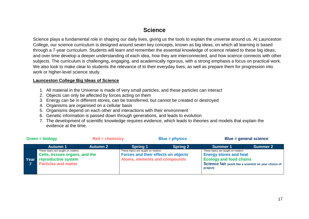# **Science**

<span id="page-16-0"></span>Science plays a fundamental role in shaping our daily lives, giving us the tools to explain the universe around us. At Launceston College, our science curriculum is designed around seven key concepts, known as big ideas, on which all learning is based through a 7-year curriculum. Students will learn and remember the essential knowledge of science related to these big ideas, and over time develop a deeper understanding of each idea, how they are interconnected, and how science connects with other subjects. The curriculum is challenging, engaging, and academically rigorous, with a strong emphasis a focus on practical work. We also look to make clear to students the relevance of to their everyday lives, as well as prepare them for progression into work or higher-level science study.

#### **Launceston College Big Ideas of Science**

- 1. All material in the Universe is made of very small particles, and these particles can interact
- 2. Objects can only be affected by forces acting on them
- 3. Energy can be in different stores, can be transferred, but cannot be created or destroyed
- 4. Organisms are organised on a cellular basis
- 5. Organisms depend on each other and interactions with their environment
- 6. Genetic information is passed down through generations, and leads to evolution
- 7. The development of scientific knowledge requires evidence, which leads to theories and models that explain the evidence at the time.

| $Green = biology$ |                                                                                                                              | $Red = chemistry$ |                                                                                                              | $Blue = physics$ | Blue = general science                                                                                              |                                                       |
|-------------------|------------------------------------------------------------------------------------------------------------------------------|-------------------|--------------------------------------------------------------------------------------------------------------|------------------|---------------------------------------------------------------------------------------------------------------------|-------------------------------------------------------|
|                   | <b>Autumn 1</b>                                                                                                              | <b>Autumn 2</b>   | <b>Spring 1</b>                                                                                              | <b>Spring 2</b>  | <b>Summer 1</b>                                                                                                     | <b>Summer 2</b>                                       |
| Year              | These topics are taught on rotation:<br>Cells, tissues organs, and the<br>reproductive system<br><b>Particles and matter</b> |                   | These topics are taught on rotation:<br>Forces and their effects on objects<br>Atoms, elements and compounds |                  | These topics are taught on rotation:<br><b>Energy stores and heat</b><br><b>Ecology and food chains</b><br>project) | Science fair (work like a scientist on your choice of |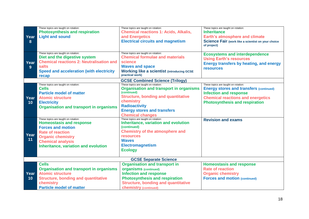|            | These topics are taught on rotation:<br><b>Photosynthesis and respiration</b> | These topics are taught on rotation:<br><b>Chemical reactions 1: Acids, Alkalis,</b> | These topics are taught on rotation:<br><b>Inheritance</b>               |
|------------|-------------------------------------------------------------------------------|--------------------------------------------------------------------------------------|--------------------------------------------------------------------------|
| Year       | <b>Light and sound</b>                                                        | and Energetics                                                                       | <b>Earth's atmosphere and climate</b>                                    |
| 8          |                                                                               | <b>Electrical circuits and magnetism</b>                                             | <b>Science Fair (work like a scientist on your choice</b><br>of project) |
|            | These topics are taught on rotation:                                          | These topics are taught on rotation:                                                 | <b>Ecosystems and interdependence</b>                                    |
|            | Diet and the digestive system                                                 | <b>Chemical formulae and materials</b>                                               | <b>Using Earth's resources</b>                                           |
| Year       | <b>Chemical reactions 2: Neutralisation and</b>                               | science                                                                              | <b>Energy transfers by heating, and energy</b>                           |
| 9          | salts                                                                         | <b>Waves and space</b>                                                               | <b>resources</b>                                                         |
|            | <b>Speed and acceleration (with electricity</b>                               | <b>Working like a scientist (introducing GCSE)</b>                                   |                                                                          |
|            | recap                                                                         | practical work)                                                                      |                                                                          |
|            |                                                                               | <b>GCSE Combined Science (Trilogy)</b>                                               |                                                                          |
|            | These topics are taught on rotation:                                          | These topics are taught on rotation:                                                 | These topics are taught on rotation:                                     |
|            | <b>Cells</b>                                                                  | <b>Organisation and transport in organisms</b><br>(continued)                        | <b>Energy stores and transfers (continued)</b>                           |
| Year<br>10 | <b>Particle model of matter</b>                                               | <b>Structure, bonding and quantitative</b>                                           | <b>Infection and response</b>                                            |
|            | <b>Atomic structure</b>                                                       | chemistry                                                                            | <b>Chemical reactions and energetics</b>                                 |
|            | <b>Electricity</b>                                                            | <b>Radioactivity</b>                                                                 | <b>Photosynthesis and respiration</b>                                    |
|            | <b>Organisation and transport in organisms</b>                                |                                                                                      |                                                                          |
|            |                                                                               | <b>Energy stores and transfers</b><br><b>Chemical changes</b>                        |                                                                          |
|            | These topics are taught on rotation:                                          | These topics are taught on rotation:                                                 | <b>Revision and exams</b>                                                |
|            | <b>Homeostasis and response</b>                                               | <b>Inheritance, variation and evolution</b>                                          |                                                                          |
|            | <b>Forces and motion</b>                                                      | (continued)                                                                          |                                                                          |
|            | <b>Rate of reaction</b>                                                       | <b>Chemistry of the atmosphere and</b>                                               |                                                                          |
| Year       | <b>Organic chemistry</b>                                                      | <b>resources</b>                                                                     |                                                                          |
| 11         | <b>Chemical analysis</b>                                                      | <b>Waves</b>                                                                         |                                                                          |
|            | Inheritance, variation and evolution                                          | <b>Electromagnetism</b>                                                              |                                                                          |
|            |                                                                               | <b>Ecology</b>                                                                       |                                                                          |
|            |                                                                               |                                                                                      |                                                                          |
|            |                                                                               | <b>GCSE Separate Science</b>                                                         |                                                                          |
|            | <b>Cells</b>                                                                  | <b>Organisation and transport in</b>                                                 | <b>Homeostasis and response</b>                                          |
|            | <b>Organisation and transport in organisms</b>                                | <b>organisms</b> (continued)                                                         | <b>Rate of reaction</b>                                                  |
| Year       | <b>Atomic structure</b>                                                       | <b>Infection and response</b>                                                        | <b>Organic chemistry</b>                                                 |
| 10         | <b>Structure, bonding and quantitative</b>                                    | <b>Photosynthesis and respiration</b>                                                | <b>Forces and motion (continued)</b>                                     |
|            | chemistry                                                                     | <b>Structure, bonding and quantitative</b>                                           |                                                                          |
|            | <b>Particle model of matter</b>                                               | <b>chemistry (continued)</b>                                                         |                                                                          |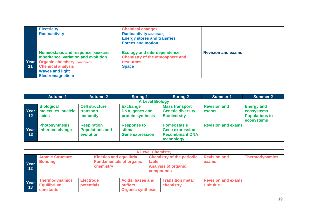|            | <b>Electricity</b><br><b>Radioactivity</b>                                                                                                                                                            | <b>Chemical changes</b><br><b>Radioactivity (continued)</b><br><b>Energy stores and transfers</b><br><b>Forces and motion</b> |                           |
|------------|-------------------------------------------------------------------------------------------------------------------------------------------------------------------------------------------------------|-------------------------------------------------------------------------------------------------------------------------------|---------------------------|
| Year<br>11 | Homeostasis and response (continued)<br>Inheritance, variation and evolution<br><b>Organic chemistry (continued)</b><br><b>Chemical analysis</b><br><b>Waves and light</b><br><b>Electromagnetism</b> | <b>Ecology and interdependence</b><br><b>Chemistry of the atmosphere and</b><br><b>resources</b><br><b>Space</b>              | <b>Revision and exams</b> |

|                           | <b>Autumn 1</b>                                  | <b>Autumn 2</b>                                           | <b>Spring 1</b>                                         | <b>Spring 2</b>                                                                      | <b>Summer 1</b>              | <b>Summer 2</b>                                                        |
|---------------------------|--------------------------------------------------|-----------------------------------------------------------|---------------------------------------------------------|--------------------------------------------------------------------------------------|------------------------------|------------------------------------------------------------------------|
|                           |                                                  |                                                           | <b>A Level Biology</b>                                  |                                                                                      |                              |                                                                        |
| Year<br>$\blacksquare$ 12 | <b>Biological</b><br>molecules, nucleic<br>acids | Cell structure,<br>transport,<br><b>Immunity</b>          | <b>Exchange</b><br>DNA, genes and<br>protein synthesis  | <b>Mass transport</b><br><b>Genetic diversity</b><br><b>Biodiversity</b>             | <b>Revision and</b><br>exams | <b>Energy and</b><br>ecosystems<br><b>Populations in</b><br>ecosystems |
| Year<br>$-13$             | <b>Photosynthesis</b><br><b>Inherited change</b> | <b>Respiration</b><br><b>Populations and</b><br>evolution | <b>Response to</b><br>stimuli<br><b>Gene expression</b> | <b>Homeostasis</b><br><b>Gene expression</b><br><b>Recombinant DNA</b><br>technology | <b>Revision and exams</b>    |                                                                        |

|                | <b>A Level Chemistry</b>                                 |                                |                                                                               |                                                                       |       |                                                                             |                                                |                       |  |
|----------------|----------------------------------------------------------|--------------------------------|-------------------------------------------------------------------------------|-----------------------------------------------------------------------|-------|-----------------------------------------------------------------------------|------------------------------------------------|-----------------------|--|
| Year<br>/ 12 / | <b>Atomic Structure</b><br><b>Bonding</b>                |                                | <b>Kinetics and equilibria</b><br><b>Fundamentals of organic</b><br>chemistry |                                                                       | table | <b>Chemistry of the periodic</b><br><b>Analysis of organic</b><br>compounds | <b>Revision and</b><br>exams                   | <b>Thermodynamics</b> |  |
| Year<br>13     | <b>Thermodynamics</b><br><b>Equilibrium</b><br>constants | <b>Electrode</b><br>potentials |                                                                               | <b>Acids, bases and</b><br><b>buffers</b><br><b>Organic synthesis</b> |       | <b>Transition metal</b><br>chemistry                                        | <b>Revision and exams</b><br><b>Unit title</b> |                       |  |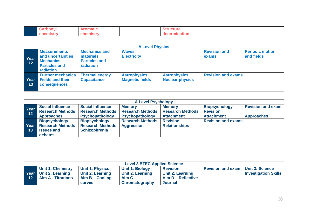| ------ | наш |      |  |
|--------|-----|------|--|
|        |     | огат |  |

|                           | <b>A Level Physics</b>                                                                                   |                                                                               |                                               |                                               |                              |                                      |  |  |
|---------------------------|----------------------------------------------------------------------------------------------------------|-------------------------------------------------------------------------------|-----------------------------------------------|-----------------------------------------------|------------------------------|--------------------------------------|--|--|
| Year<br>$\overline{12}$   | <b>Measurements</b><br>and uncertainties<br><b>Mechanics</b><br><b>Particles and</b><br><b>radiation</b> | <b>Mechanics and</b><br>materials<br><b>Particles and</b><br><b>radiation</b> | <b>Waves</b><br><b>Electricity</b>            |                                               | <b>Revision and</b><br>exams | <b>Periodic motion</b><br>and fields |  |  |
| Year<br>$\blacksquare$ 13 | <b>Further mechanics</b><br><b>Fields and their</b><br><b>consequences</b>                               | <b>Thermal energy</b><br><b>Capacitance</b>                                   | <b>Astrophysics</b><br><b>Magnetic fields</b> | <b>Astrophysics</b><br><b>Nuclear physics</b> | <b>Revision and exams</b>    |                                      |  |  |

| <b>A Level Psychology</b> |                         |                         |                         |                         |                           |                          |  |
|---------------------------|-------------------------|-------------------------|-------------------------|-------------------------|---------------------------|--------------------------|--|
|                           | <b>Social Influence</b> | <b>Social Influence</b> | <b>Memory</b>           | <b>Memory</b>           | <b>Biopsychology</b>      | <b>Revision and exam</b> |  |
| Year<br>$-12$             | <b>Research Methods</b> | <b>Research Methods</b> | <b>Research Methods</b> | <b>Research Methods</b> | <b>Revision</b>           |                          |  |
|                           | <b>Approaches</b>       | <b>Psychopathology</b>  | Psychopathology         | <b>Attachment</b>       | <b>Attachment</b>         | <b>Approaches</b>        |  |
|                           | <b>Biopsychology</b>    | <b>Biopsychology</b>    | <b>Research Methods</b> | <b>Revision</b>         | <b>Revision and exams</b> |                          |  |
| Year                      | <b>Research Methods</b> | <b>Research Methods</b> | <b>Aggression</b>       | <b>Relationships</b>    |                           |                          |  |
| 13                        | <b>Issues and</b>       | <b>Schizophrenia</b>    |                         |                         |                           |                          |  |
|                           | debates                 |                         |                         |                         |                           |                          |  |

| <b>Level 3 BTEC Applied Science</b> |                                                                                |                                                                                         |                                                                                  |                                                                      |                          |                                                       |
|-------------------------------------|--------------------------------------------------------------------------------|-----------------------------------------------------------------------------------------|----------------------------------------------------------------------------------|----------------------------------------------------------------------|--------------------------|-------------------------------------------------------|
| 12                                  | <b>Unit 1: Chemistry</b><br>Year Unit 2: Learning<br><b>Aim A - Titrations</b> | <b>Unit 1: Physics</b><br><b>Unit 2: Learning</b><br>$Aim B - Cooling$<br><b>CULVES</b> | <b>Unit 1: Biology</b><br>Unit 2: Learning<br>  Aim C -<br><b>Chromatography</b> | <b>Revision</b><br>Unit 2: Learning<br>Aim D - Reflective<br>Journal | <b>Revision and exam</b> | <b>Unit 3: Science</b><br><b>Investigation Skills</b> |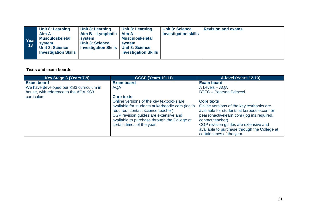| Year<br>13 | <b>Unit 8: Learning</b><br>$Aim A -$<br><b>Musculoskeletal</b><br>system<br><b>Unit 3: Science</b><br><b>Investigation Skills</b> | <b>Unit 8: Learning</b><br>Aim B – Lymphatic $\vert$ Aim A –<br>system<br><b>Unit 3: Science</b><br><b>Investigation Skills   Unit 3: Science</b> | <b>Unit 8: Learning</b><br><b>Musculoskeletal</b><br>system<br><b>Investigation Skills</b> | <b>Unit 3: Science</b><br><b>Investigation skills</b> | <b>Revision and exams</b> |
|------------|-----------------------------------------------------------------------------------------------------------------------------------|---------------------------------------------------------------------------------------------------------------------------------------------------|--------------------------------------------------------------------------------------------|-------------------------------------------------------|---------------------------|
|------------|-----------------------------------------------------------------------------------------------------------------------------------|---------------------------------------------------------------------------------------------------------------------------------------------------|--------------------------------------------------------------------------------------------|-------------------------------------------------------|---------------------------|

| <b>Exam board</b><br><b>Core texts</b><br>Online versions of the key textbooks are<br>available for students at kerboodle.com (log in<br>required, contact science teacher)<br>CGP revision guides are extensive and<br>available to purchase through the College at<br>certain times of the year. | <b>Exam board</b><br>A Levels - AQA<br><b>BTEC</b> - Pearson Edexcel<br><b>Core texts</b><br>Online versions of the key textbooks are<br>available for students at kerboodle.com or<br>pearsonactivelearn.com (log ins required,<br>contact teacher)<br>CGP revision guides are extensive and<br>available to purchase through the College at<br>certain times of the year. |
|----------------------------------------------------------------------------------------------------------------------------------------------------------------------------------------------------------------------------------------------------------------------------------------------------|-----------------------------------------------------------------------------------------------------------------------------------------------------------------------------------------------------------------------------------------------------------------------------------------------------------------------------------------------------------------------------|
|                                                                                                                                                                                                                                                                                                    |                                                                                                                                                                                                                                                                                                                                                                             |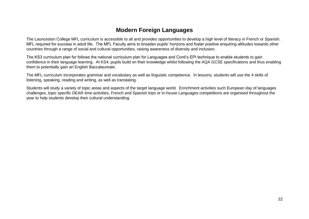# **Modern Foreign Languages**

<span id="page-21-0"></span>The Launceston College MFL curriculum is accessible to all and provides opportunities to develop a high level of literacy in French or Spanish. MFL required for success in adult life. The MFL Faculty aims to broaden pupils' horizons and foster positive enquiring attitudes towards other countries through a range of social and cultural opportunities, raising awareness of diversity and inclusion.

The KS3 curriculum plan for follows the national curriculum plan for Languages and Conti's EPI technique to enable students to gain confidence in their language learning. At KS4, pupils build on their knowledge whilst following the AQA GCSE specifications and thus enabling them to potentially gain an English Baccalaureate.

The MFL curriculum incorporates grammar and vocabulary as well as linguistic competence. In lessons, students will use the 4 skills of listening, speaking, reading and writing, as well as translating.

Students will study a variety of topic areas and aspects of the target language world. Enrichment activities such European day of languages challenges, topic specific DEAR time activities, French and Spanish trips or in-house Languages competitions are organised throughout the year to help students develop their cultural understanding.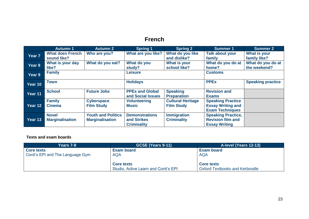# **French**

<span id="page-22-0"></span>

|                   | <b>Autumn 1</b>         | <b>Autumn 2</b>           | <b>Spring 1</b>        | <b>Spring 2</b>          | <b>Summer 1</b>           | <b>Summer 2</b>          |
|-------------------|-------------------------|---------------------------|------------------------|--------------------------|---------------------------|--------------------------|
| Year <sub>7</sub> | <b>What does French</b> | Who are you?              | What are you like?     | What do you like         | <b>Talk about your</b>    | What is your             |
|                   | sound like?             |                           |                        | and dislike?             | family                    | family like?             |
| Year 8            | What is your day        | What do you eat?          | What do you            | What is your             | What do you do at         | What do you do at        |
|                   | like?                   |                           | study?                 | school like?             | home?                     | the weekend?             |
| Year 9            | <b>Family</b>           |                           | <b>Leisure</b>         |                          | <b>Customs</b>            |                          |
|                   |                         |                           |                        |                          |                           |                          |
| Year 10           | Town                    |                           | <b>Holidays</b>        |                          | <b>PPEs</b>               | <b>Speaking practice</b> |
|                   |                         |                           |                        |                          |                           |                          |
| Year 11           | <b>School</b>           | <b>Future Jobs</b>        | <b>PPEs and Global</b> | <b>Speaking</b>          | <b>Revision and</b>       |                          |
|                   |                         |                           | and Social Issues      | <b>Preparation</b>       | <b>Exams</b>              |                          |
|                   | <b>Family</b>           | <b>Cyberspace</b>         | <b>Volunteering</b>    | <b>Cultural Heritage</b> | <b>Speaking Practice</b>  |                          |
| Year 12           | <b>Cinema</b>           | <b>Film Study</b>         | Music                  | <b>Film Study</b>        | <b>Essay Writing and</b>  |                          |
|                   |                         |                           |                        |                          | <b>Exam Techniques</b>    |                          |
|                   | <b>Novel</b>            | <b>Youth and Politics</b> | <b>Demonstrations</b>  | <b>Immigration</b>       | <b>Speaking Practice,</b> |                          |
| Year 13           | <b>Marginalisation</b>  | <b>Marginalisation</b>    | and Strikes            | <b>Criminality</b>       | <b>Revision film and</b>  |                          |
|                   |                         |                           | <b>Criminality</b>     |                          | <b>Essay Writing</b>      |                          |

| <b>Years 7-8</b>                 | <b>GCSE (Years 9-11)</b>                                  | A-level (Years 12-13)                                      |
|----------------------------------|-----------------------------------------------------------|------------------------------------------------------------|
| <b>Core texts</b>                | <b>Exam board</b>                                         | <b>Exam board</b>                                          |
| Conti's EPI and The Language Gym | <b>AQA</b>                                                | <b>AQA</b>                                                 |
|                                  | <b>Core texts</b><br>Studio, Active Learn and Conti's EPI | <b>Core texts</b><br><b>Oxford Textbooks and Kerboodle</b> |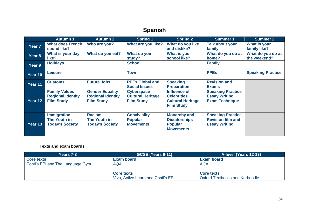# **Spanish**

<span id="page-23-0"></span>

|                   | <b>Autumn 1</b>                                                       | <b>Autumn 2</b>                                                         | Spring 1                                                           | Spring <sub>2</sub>                                                                 | <b>Summer 1</b>                                                               | <b>Summer 2</b>                   |
|-------------------|-----------------------------------------------------------------------|-------------------------------------------------------------------------|--------------------------------------------------------------------|-------------------------------------------------------------------------------------|-------------------------------------------------------------------------------|-----------------------------------|
| Year <sub>7</sub> | <b>What does French</b><br>sound like?                                | Who are you?                                                            | What are you like?                                                 | What do you like<br>and dislike?                                                    | <b>Talk about your</b><br>family                                              | What is your<br>family like?      |
| Year 8            | What is your day<br>like?                                             | What do you eat?                                                        | What do you<br>study?                                              | What is your<br>school like?                                                        | What do you do at<br>home?                                                    | What do you do at<br>the weekend? |
| Year 9            | <b>Holidays</b>                                                       |                                                                         | <b>School</b>                                                      |                                                                                     | <b>Family</b>                                                                 |                                   |
| Year 10           | <b>Leisure</b>                                                        |                                                                         | <b>Town</b>                                                        |                                                                                     | <b>PPEs</b>                                                                   | <b>Speaking Practice</b>          |
| Year 11           | <b>Customs</b>                                                        | <b>Future Jobs</b>                                                      | <b>PPEs Global and</b><br><b>Social Issues</b>                     | <b>Speaking</b><br><b>Preparation</b>                                               | <b>Revision and</b><br><b>Exams</b>                                           |                                   |
| Year 12           | <b>Family Values</b><br><b>Regional Identity</b><br><b>Film Study</b> | <b>Gender Equality</b><br><b>Regional Identity</b><br><b>Film Study</b> | <b>Cyberspace</b><br><b>Cultural Heritage</b><br><b>Film Study</b> | Influence of<br><b>Celebrities</b><br><b>Cultural Heritage</b><br><b>Film Study</b> | <b>Speaking Practice</b><br><b>Essay Writing</b><br><b>Exam Technique</b>     |                                   |
| Year 13           | <b>Immigration</b><br>The Youth in<br><b>Today's Society</b>          | <b>Racism</b><br>The Youth in<br><b>Today's Society</b>                 | <b>Conviviality</b><br><b>Popular</b><br><b>Movements</b>          | <b>Monarchy and</b><br><b>Dictatorships</b><br><b>Popular</b><br><b>Movements</b>   | <b>Speaking Practice,</b><br><b>Revision film and</b><br><b>Essay Writing</b> |                                   |

| Years 7-8                        | GCSE (Years 9-11)                  | A-level (Years 12-13)                 |
|----------------------------------|------------------------------------|---------------------------------------|
| <b>Core texts</b>                | <b>Exam board</b>                  | <b>Exam board</b>                     |
| Conti's EPI and The Language Gym | <b>AQA</b>                         | <b>AQA</b>                            |
|                                  |                                    |                                       |
|                                  | <b>Core texts</b>                  | <b>Core texts</b>                     |
|                                  | Viva, Active Learn and Conti's EPI | <b>Oxford Textbooks and Kerboodle</b> |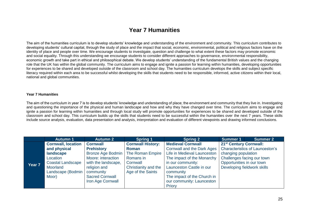### **Year 7 Humanities**

<span id="page-24-0"></span>The aim of the humanities curriculum is to develop students' knowledge and understanding of the environment and community. This curriculum contributes to developing students' cultural capital, through the study of place and the impact that social, economic, environmental, political and religious factors have on the identity of place and people over time. We encourage students to investigate, question and challenge to what extent these factors may promote economic and social equality. Through this understanding we encourage students to consider different approaches to governance, environmental responsibility, economic growth and take part in ethical and philosophical debate. We develop students' understanding of the fundamental British values and the changing role that the UK has within the global community. The curriculum aims to engage and ignite a passion for learning within humanities, developing opportunities for experiences to be shared and developed outside of the classroom and school day. The humanities curriculum develops the skills and subject specific literacy required within each area to be successful whilst developing the skills that students need to be responsible, informed, active citizens within their local, national and global communities.

#### **Year 7 Humanities**

The aim of the curriculum in year 7 is to develop students' knowledge and understanding of place; the environment and community that they live in. Investigating and questioning the importance of the physical and human landscape and how and why they have changed over time. The curriculum aims to engage and ignite a passion for learning within humanities and through local study will promote opportunities for experiences to be shared and developed outside of the classroom and school day. This curriculum builds up the skills that students need to be successful within the humanities over the next 7 years. These skills include source analysis, evaluation, data presentation and analysis, interpretation and evaluation of different viewpoints and drawing informed conclusions.

|                   | <b>Autumn 1</b>           | <b>Autumn 2</b>          | <b>Spring 1</b>          | <b>Spring 2</b>                   | <b>Summer 1</b><br><b>Summer 2</b>     |
|-------------------|---------------------------|--------------------------|--------------------------|-----------------------------------|----------------------------------------|
|                   | <b>Cornwall, location</b> | <b>Cornwall</b>          | <b>Cornwall History:</b> | <b>Medieval Cornwall</b>          | 21 <sup>st</sup> Century Cornwall:     |
|                   | and physical              | <b>Prehistory</b>        | <b>Roman</b>             | <b>Cornwall and the Dark Ages</b> | <b>Characteristics of Launceston's</b> |
|                   | landscape                 | <b>Bronze Age Bodmin</b> | The Roman Empire         | Life in Medieval Launceston       | changing population                    |
|                   | Location                  | Moore: interaction       | Romans in                | The impact of the Monarchy        | Challenges facing our town             |
| Year <sub>7</sub> | <b>Coastal Landscape</b>  | with the landscape,      | Cornwall                 | in our community:                 | Opportunities in our town              |
|                   | Moorland                  | religion and             | Christianity and the     | Launceston Castle in our          | Developing fieldwork skills            |
|                   | Landscape (Bodmin         | community                | Age of the Saints        | community                         |                                        |
|                   | Moor)                     | <b>Sacred Cornwall</b>   |                          | The impact of the Church in       |                                        |
|                   |                           | Iron Age Cornwall        |                          | our community: Launceston         |                                        |
|                   |                           |                          |                          | Priory                            |                                        |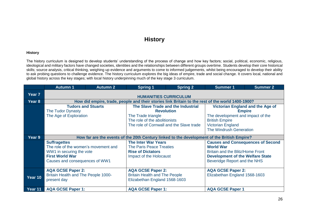### **History**

#### <span id="page-25-0"></span>**History**

The history curriculum is designed to develop students' understanding of the process of change and how key factors; social, political, economic, religious, ideological and military factors have changed societies, identities and the relationships between different groups overtime. Students develop their core historical skills; source analysis, critical thinking, weighing up evidence and arguments to come to informed judgements, whilst being encouraged to develop their ability to ask probing questions to challenge evidence. The history curriculum explores the big ideas of empire, trade and social change. It covers local, national and global history across the key stages; with local history underpinning much of the key stage 3 curriculum.

|         | <b>Autumn 1</b>                                                                                                                                                                              | <b>Autumn 2</b>           | <b>Spring 1</b>                          | <b>Spring 2</b>                    | <b>Summer 1</b>                         | <b>Summer 2</b>                         |  |
|---------|----------------------------------------------------------------------------------------------------------------------------------------------------------------------------------------------|---------------------------|------------------------------------------|------------------------------------|-----------------------------------------|-----------------------------------------|--|
| Year 7  | <b>HUMANITIES CURRICULUM</b>                                                                                                                                                                 |                           |                                          |                                    |                                         |                                         |  |
| Year 8  | How did empire, trade, people and their stories link Britain to the rest of the world 1400-1900?                                                                                             |                           |                                          |                                    |                                         |                                         |  |
|         |                                                                                                                                                                                              | <b>Tudors and Stuarts</b> |                                          | The Slave Trade and the Industrial |                                         | <b>Victorian England and the Age of</b> |  |
|         | The Tudor Dynasty                                                                                                                                                                            |                           |                                          | <b>Revolution</b>                  |                                         | <b>Empire</b>                           |  |
|         | The Age of Exploration                                                                                                                                                                       |                           | The Trade triangle                       |                                    | The development and impact of the       |                                         |  |
|         |                                                                                                                                                                                              |                           | The role of the abolitionists            |                                    | <b>British Empire</b>                   |                                         |  |
|         |                                                                                                                                                                                              |                           | The role of Cornwall and the Slave trade |                                    | <b>Victorian England</b>                |                                         |  |
|         |                                                                                                                                                                                              |                           |                                          |                                    | The Windrush Generation                 |                                         |  |
| Year 9  |                                                                                                                                                                                              |                           |                                          |                                    |                                         |                                         |  |
|         | How far are the events of the 20th Century linked to the development of the British Empire?<br><b>The Inter War Years</b><br><b>Causes and Consequences of Second</b><br><b>Suffragettes</b> |                           |                                          |                                    |                                         |                                         |  |
|         | The role of the women's movement and                                                                                                                                                         |                           | <b>The Paris Peace Treaties</b>          |                                    | <b>World War</b>                        |                                         |  |
|         | WW1 in securing the vote                                                                                                                                                                     |                           | <b>Rise of Dictators</b>                 |                                    | Britain and the Blitz/Home Front        |                                         |  |
|         | <b>First World War</b>                                                                                                                                                                       |                           | Impact of the Holocaust                  |                                    | <b>Development of the Welfare State</b> |                                         |  |
|         | Causes and consequences of WW1                                                                                                                                                               |                           |                                          |                                    | Beveridge Report and the NHS            |                                         |  |
|         |                                                                                                                                                                                              |                           |                                          |                                    |                                         |                                         |  |
|         | <b>AQA GCSE Paper 2:</b>                                                                                                                                                                     |                           | <b>AQA GCSE Paper 2:</b>                 |                                    | <b>AQA GCSE Paper 2:</b>                |                                         |  |
| Year 10 | Britain Health and The People 1000-                                                                                                                                                          |                           | <b>Britain Health and The People</b>     |                                    | Elizabethan England 1568-1603           |                                         |  |
|         | present day                                                                                                                                                                                  |                           | Elizabethan England 1568-1603            |                                    |                                         |                                         |  |
|         |                                                                                                                                                                                              |                           |                                          |                                    |                                         |                                         |  |
| Year 11 | <b>AQA GCSE Paper 1:</b>                                                                                                                                                                     |                           | <b>AQA GCSE Paper 1:</b>                 |                                    | <b>AQA GCSE Paper 1</b>                 |                                         |  |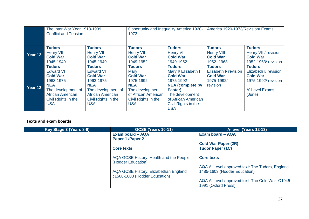|         | The Inter War Year 1918-1939<br><b>Conflict and Tension</b>                                                                                                    |                                                                                                                                                                       | Opportunity and Inequality: America 1920-<br>1973                                                                                                    |                                                                                                                                                                                           | America 1920-1973/Revision/ Exams                                                   |                                                                                                              |
|---------|----------------------------------------------------------------------------------------------------------------------------------------------------------------|-----------------------------------------------------------------------------------------------------------------------------------------------------------------------|------------------------------------------------------------------------------------------------------------------------------------------------------|-------------------------------------------------------------------------------------------------------------------------------------------------------------------------------------------|-------------------------------------------------------------------------------------|--------------------------------------------------------------------------------------------------------------|
| Year 12 | <b>Tudors</b><br><b>Henry VII</b><br><b>Cold War</b><br>1945-1949                                                                                              | <b>Tudors</b><br><b>Henry VII</b><br><b>Cold War</b><br>1945-1949                                                                                                     | <b>Tudors</b><br><b>Henry VII</b><br><b>Cold War</b><br>1949-1952                                                                                    | <b>Tudors</b><br>Henry VIII<br><b>Cold War</b><br>1949-1952                                                                                                                               | <b>Tudors</b><br><b>Henry VIII</b><br><b>Cold War</b><br>1952 - 1963                | <b>Tudors</b><br>Henry VIII/ revision<br><b>Cold War</b><br>1952-1963/revision                               |
| Year 13 | <b>Tudors</b><br><b>Edward VI</b><br><b>Cold War</b><br>1963-1975<br><b>NEA</b><br>The development of<br>African American<br>Civil Rights in the<br><b>USA</b> | <b>Tudors</b><br><b>Edward VI</b><br><b>Cold War</b><br>1963-1975<br><b>NEA</b><br>The development of<br><b>African American</b><br>Civil Rights in the<br><b>USA</b> | <b>Tudors</b><br>Mary I<br><b>Cold War</b><br>1975-1992<br><b>NEA</b><br>The development<br>of African American<br>Civil Rights in the<br><b>USA</b> | <b>Tudors</b><br>Mary I/ Elizabeth I<br><b>Cold War</b><br>1975-1992<br><b>NEA</b> (complete by<br>Easter)<br>The development<br>of African American<br>Civil Rights in the<br><b>USA</b> | <b>Tudors</b><br>Elizabeth I/ revision<br><b>Cold War</b><br>1975-1992/<br>revision | <b>Tudors</b><br>Elizabeth I/ revision<br><b>Cold War</b><br>1975-1992/ revision<br>A' Level Exams<br>(June) |

| Key Stage 3 (Years 8-9) | <b>GCSE (Years 10-11)</b>                                              | A-level (Years 12-13)                            |
|-------------------------|------------------------------------------------------------------------|--------------------------------------------------|
|                         | Exam board - AQA                                                       | Exam board - AQA                                 |
|                         | Paper 1 / Paper 2                                                      |                                                  |
|                         |                                                                        | <b>Cold War Paper (2R)</b>                       |
|                         | Core texts:                                                            | <b>Tudor Paper (1C)</b>                          |
|                         |                                                                        |                                                  |
|                         | AQA GCSE History: Health and the People<br>(Hodder Education)          | <b>Core texts</b>                                |
|                         |                                                                        | AQA A 'Level approved text: The Tudors, England  |
|                         | AQA GCSE History: Elizabethan England<br>c1568-1603 (Hodder Education) | 1485-1603 (Hodder Education)                     |
|                         |                                                                        | AQA A 'Level approved text: The Cold War: C1945- |
|                         |                                                                        | 1991 (Oxford Press)                              |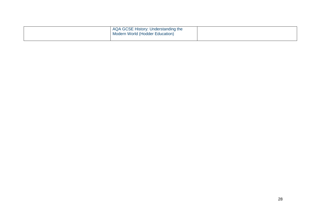| AQA GCSE History: Understanding the<br>Modern World (Hodder Education) |  |
|------------------------------------------------------------------------|--|
|                                                                        |  |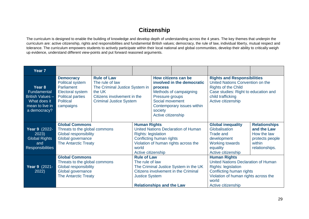# **Citizenship**

<span id="page-28-0"></span>The curriculum is designed to enable the building of knowledge and develop depth of understanding across the 4 years. The key themes that underpin the curriculum are: active citizenship, rights and responsibilities and fundamental British values; democracy, the rule of law, individual liberty, mutual respect and tolerance. The curriculum empowers students to actively participate within their local national and global communities, develop their ability to critically weigh up evidence, understand different view-points and put forward reasoned arguments.

| Year <sub>7</sub>                                                                            |                                                                                                                                            |                                                                                                                                                    |                                                                                                                                                                                             |                                                                                                                                                                                                    |  |                                                                                                                                                                                             |                                                                                                   |
|----------------------------------------------------------------------------------------------|--------------------------------------------------------------------------------------------------------------------------------------------|----------------------------------------------------------------------------------------------------------------------------------------------------|---------------------------------------------------------------------------------------------------------------------------------------------------------------------------------------------|----------------------------------------------------------------------------------------------------------------------------------------------------------------------------------------------------|--|---------------------------------------------------------------------------------------------------------------------------------------------------------------------------------------------|---------------------------------------------------------------------------------------------------|
| Year 8<br>Fundamental<br>British Values -<br>What does it<br>mean to live in<br>a democracy? | <b>Democracy</b><br>Political system<br><b>Parliament</b><br><b>Electoral system</b><br><b>Political parties</b><br>Political<br>campaigns | <b>Rule of Law</b><br>The rule of law<br>The Criminal Justice System in<br>the UK<br>Citizens involvement in the<br><b>Criminal Justice System</b> |                                                                                                                                                                                             | How citizens can be<br>involved in the democratic<br><b>process</b><br>Methods of campaigning<br>Pressure groups<br>Social movement<br>Contemporary issues within<br>society<br>Active citizenship |  | <b>Rights and Responsibilities</b><br>United Nations Convention on the<br><b>Rights of the Child</b><br>Case studies: Right to education and<br>child trafficking<br>Active citizenship     |                                                                                                   |
| <b>Year 9</b> (2022-<br>2023)<br><b>Global Rights</b><br>and<br><b>Responsibilities</b>      | <b>Global Commons</b><br>Threats to the global commons<br><b>Global responsibility</b><br>Global governance<br><b>The Antarctic Treaty</b> |                                                                                                                                                    | <b>Human Rights</b><br>United Nations Declaration of Human<br><b>Rights: legislation</b><br>Conflicting human rights<br>Violation of human rights across the<br>world<br>Active citizenship |                                                                                                                                                                                                    |  | <b>Global inequality</b><br>Globalisation<br><b>Trade and</b><br>development<br><b>Working towards</b><br>equality<br>Active citizenship                                                    | <b>Relationships</b><br>and the Law<br>How the law<br>protects people<br>within<br>relationships. |
| Year 9 (2021-<br>2022)                                                                       | <b>Global Commons</b><br>Threats to the global commons<br><b>Global responsibility</b><br>Global governance<br><b>The Antarctic Treaty</b> |                                                                                                                                                    | <b>Rule of Law</b><br>The rule of law<br>The Criminal Justice System in the UK<br>Citizens involvement in the Criminal<br><b>Justice System</b><br><b>Relationships and the Law</b>         |                                                                                                                                                                                                    |  | <b>Human Rights</b><br>United Nations Declaration of Human<br><b>Rights: legislation</b><br>Conflicting human rights<br>Violation of human rights across the<br>world<br>Active citizenship |                                                                                                   |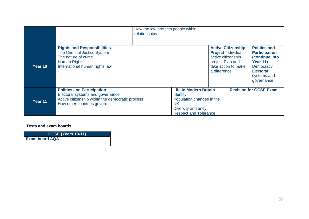|         |                                                                                                                                                          | How the law protects people within<br>relationships. |                                                                                                                                            |                                                                                                                                         |                                                                                                                                                |
|---------|----------------------------------------------------------------------------------------------------------------------------------------------------------|------------------------------------------------------|--------------------------------------------------------------------------------------------------------------------------------------------|-----------------------------------------------------------------------------------------------------------------------------------------|------------------------------------------------------------------------------------------------------------------------------------------------|
| Year 10 | <b>Rights and Responsibilities</b><br>The Criminal Justice System<br>The nature of crime<br><b>Human Rights</b><br>International human rights law        |                                                      |                                                                                                                                            | <b>Active Citizenship</b><br><b>Project Individual</b><br>active citizenship<br>project Plan and<br>take action to make<br>a difference | <b>Politics and</b><br><b>Participation</b><br>(continue into<br><b>Year 11)</b><br><b>Democracy</b><br>Electoral<br>systems and<br>governance |
| Year 11 | <b>Politics and Participation</b><br>Electoral systems and governance<br>Active citizenship within the democratic process<br>How other countries govern. |                                                      | <b>Life in Modern Britain</b><br><b>Identity</b><br>Population changes in the<br>UK<br>Diversity and unity<br><b>Respect and Tolerance</b> |                                                                                                                                         | <b>Revision for GCSE Exam</b>                                                                                                                  |

**GCSE (Years 10-11) Exam board AQA**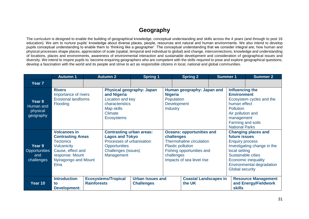# **Geography**

<span id="page-30-0"></span>The curriculum is designed to enable the building of geographical knowledge, conceptual understanding and skills across the 4 years (and through to post 16 education). We aim to nurture pupils' knowledge about diverse places, people, resources and natural and human environments. We also intend to develop pupils conceptual understanding to enable them to 'thinking like a geographer'. The conceptual understanding that we consider integral are; how human and physical processes shape places, appreciation of scale (spatial, temporal and individual to global) and change, interconnections, knowledge and understanding of locations, places and environments, awareness of environmental interaction and sustainable development and consideration of geographical issues and diversity. We intend to inspire pupils to; become enquiring geographers who are competent with the skills required to pose and explore geographical questions, develop a fascination with the world and its people and strive to act as responsible citizens in local, national and global communities.

|                                              | <b>Autumn 1</b>                                                                                                                                                   | <b>Autumn 2</b>    |                                                                                                                                                     | <b>Spring 1</b>                               |                                                                                                                                                                                |                                                                                       | <b>Summer 1</b><br><b>Spring 2</b>                                                                                                                                                                                        |                                                                                                                                                                                 | <b>Summer 2</b>                                    |
|----------------------------------------------|-------------------------------------------------------------------------------------------------------------------------------------------------------------------|--------------------|-----------------------------------------------------------------------------------------------------------------------------------------------------|-----------------------------------------------|--------------------------------------------------------------------------------------------------------------------------------------------------------------------------------|---------------------------------------------------------------------------------------|---------------------------------------------------------------------------------------------------------------------------------------------------------------------------------------------------------------------------|---------------------------------------------------------------------------------------------------------------------------------------------------------------------------------|----------------------------------------------------|
| Year <sub>7</sub>                            |                                                                                                                                                                   |                    |                                                                                                                                                     |                                               |                                                                                                                                                                                |                                                                                       |                                                                                                                                                                                                                           |                                                                                                                                                                                 |                                                    |
| Year 8<br>Human and<br>physical<br>geography | <b>Rivers</b><br>Importance of rivers<br><b>Erosional landforms</b><br>Flooding                                                                                   |                    | and Nigeria<br>characteristics<br>Map skills<br><b>Climate</b><br><b>Ecosystems</b>                                                                 | Physical geography: Japan<br>Location and key |                                                                                                                                                                                | Human geography: Japan and<br><b>Nigeria</b><br>Population<br>Development<br>Industry |                                                                                                                                                                                                                           | Influencing the<br><b>Environment</b><br>Ecosystem cycles and the<br>human effect<br>Pollution<br>Air pollution and<br>management<br>Farming and soils<br><b>National Parks</b> |                                                    |
| Year 9<br>Opportunities<br>and<br>challenges | <b>Volcanoes in</b><br><b>Contrasting Areas</b><br><b>Tectonics</b><br>Vulcanicity<br>Cause, effect and<br>response: Mount<br>Nyiragongo and Mount<br><b>Etna</b> |                    | <b>Contrasting urban areas:</b><br><b>Lagos and Tokyo</b><br>Processes of urbanisation<br><b>Opportunities</b><br>Challenges (issues)<br>Management |                                               | <b>Oceans: opportunities and</b><br>challenges<br>Thermohaline circulation<br><b>Plastic pollution</b><br>Fishing opportunities and<br>challenges<br>Impacts of sea level rise |                                                                                       | <b>Changing places and</b><br>future issues<br><b>Enquiry process</b><br>Investigating change in the<br>local setting<br>Sustainable cities<br>Economic inequality<br>Environmental degradation<br><b>Global security</b> |                                                                                                                                                                                 |                                                    |
| Year 10                                      | <b>Introduction</b><br>to<br><b>Development:</b>                                                                                                                  | <b>Rainforests</b> | <b>Ecosystems/Tropical</b>                                                                                                                          | <b>Urban Issues and</b><br><b>Challenges</b>  |                                                                                                                                                                                | <b>Coastal Landscapes in</b><br>the UK                                                |                                                                                                                                                                                                                           | <b>skills</b>                                                                                                                                                                   | <b>Resource Management</b><br>and Energy/Fieldwork |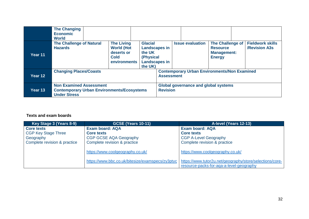|         | <b>The Changing</b><br><b>Economic</b><br><b>World</b>                                                     |  |                                                                                     |                                                                                                  |                                                                          |  |                         |                                                                            |  |                                                 |
|---------|------------------------------------------------------------------------------------------------------------|--|-------------------------------------------------------------------------------------|--------------------------------------------------------------------------------------------------|--------------------------------------------------------------------------|--|-------------------------|----------------------------------------------------------------------------|--|-------------------------------------------------|
| Year 11 | <b>The Challenge of Natural</b><br><b>Hazards</b>                                                          |  | <b>The Living</b><br><b>World (Hot</b><br>deserts or<br><b>Cold</b><br>environments | <b>Glacial</b><br><b>Landscapes in</b><br>the UK<br>(Physical<br><b>Landscapes in</b><br>the UK) |                                                                          |  | <b>Issue evaluation</b> | The Challenge of<br><b>Resource</b><br><b>Management:</b><br><b>Energy</b> |  | <b>Fieldwork skills</b><br><b>/Revision A3s</b> |
| Year 12 | <b>Changing Places/Coasts</b>                                                                              |  |                                                                                     |                                                                                                  | <b>Contemporary Urban Environments/Non Examined</b><br><b>Assessment</b> |  |                         |                                                                            |  |                                                 |
| Year 13 | <b>Non Examined Assessment</b><br><b>Contemporary Urban Environments/Ecosystems</b><br><b>Under Stress</b> |  |                                                                                     | <b>Global governance and global systems</b><br><b>Revision</b>                                   |                                                                          |  |                         |                                                                            |  |                                                 |

| Key Stage 3 (Years 8-9)      | <b>GCSE (Years 10-11)</b>                        | A-level (Years 12-13)                                    |
|------------------------------|--------------------------------------------------|----------------------------------------------------------|
| <b>Core texts</b>            | <b>Exam board: AQA</b>                           | <b>Exam board: AQA</b>                                   |
| <b>CGP Key Stage Three</b>   | Core texts                                       | <b>Core texts</b>                                        |
| Geography                    | CGP GCSE AQA Geography                           | <b>CGP A-Level Geography</b>                             |
| Complete revision & practice | Complete revision & practice                     | Complete revision & practice                             |
|                              | https://www.coolgeography.co.uk/                 | https://www.coolgeography.co.uk/                         |
|                              | https://www.bbc.co.uk/bitesize/examspecs/zy3ptyc | https://www.tutor2u.net/geography/store/selections/core- |
|                              |                                                  | resource-packs-for-aga-a-level-geography                 |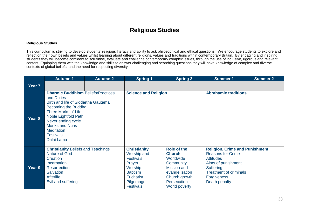# **Religious Studies**

#### <span id="page-32-0"></span>**Religious Studies**

This curriculum is striving to develop students' religious literacy and ability to ask philosophical and ethical questions. We encourage students to explore and reflect on their own beliefs and values whilst learning about different religions, values and traditions within contemporary Britain. By engaging and inspiring students they will become confident to scrutinise, evaluate and challenge contemporary complex issues, through the use of inclusive, rigorous and relevant content. Equipping them with the knowledge and skills to answer challenging and searching questions they will have knowledge of complex and diverse contexts of global beliefs, and the need for respecting diversity.

|        | <b>Autumn 1</b>                                                                                                                                                                                                                                                                   | Autumn <sub>2</sub> | <b>Spring 1</b>                                                                                                                                     | <b>Spring 2</b>                                                                                                                                                                                                                                                                                                                                                                 | <b>Summer 1</b>             | <b>Summer 2</b> |
|--------|-----------------------------------------------------------------------------------------------------------------------------------------------------------------------------------------------------------------------------------------------------------------------------------|---------------------|-----------------------------------------------------------------------------------------------------------------------------------------------------|---------------------------------------------------------------------------------------------------------------------------------------------------------------------------------------------------------------------------------------------------------------------------------------------------------------------------------------------------------------------------------|-----------------------------|-----------------|
| Year 7 |                                                                                                                                                                                                                                                                                   |                     |                                                                                                                                                     |                                                                                                                                                                                                                                                                                                                                                                                 |                             |                 |
| Year 8 | <b>Dharmic Buddhism Beliefs/Practices</b><br>and Duties<br>Birth and life of Siddartha Gautama<br>Becoming the Buddha<br><b>Three Marks of Life</b><br>Noble Eightfold Path<br>Never ending cycle<br><b>Monks and Nuns</b><br><b>Meditation</b><br><b>Festivals</b><br>Dalai Lama |                     | <b>Science and Religion</b>                                                                                                                         |                                                                                                                                                                                                                                                                                                                                                                                 | <b>Abrahamic traditions</b> |                 |
| Year 9 | <b>Christianity Beliefs and Teachings</b><br>Nature of God<br>Creation<br>Incarnation<br><b>Resurrection</b><br><b>Salvation</b><br><b>Afterlife</b><br>Evil and suffering                                                                                                        |                     | <b>Christianity</b><br>Worship and<br><b>Festivals</b><br>Prayer<br>Worship<br><b>Baptism</b><br><b>Eucharist</b><br>Pilgrimage<br><b>Festivals</b> | <b>Role of the</b><br><b>Religion, Crime and Punishment</b><br><b>Reasons for Crime</b><br><b>Church</b><br>Worldwide<br><b>Attitudes</b><br>Aims of punishment<br>Community<br><b>Mission and</b><br><b>Suffering</b><br><b>Treatment of criminals</b><br>evangelisation<br>Church growth<br><b>Forgiveness</b><br><b>Persecution</b><br>Death penalty<br><b>World poverty</b> |                             |                 |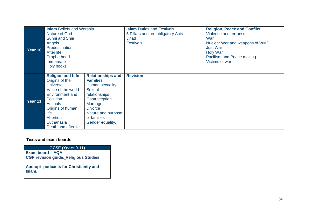| Year 10 | <b>Islam Beliefs and Worship</b><br><b>Nature of God</b><br>Sunni and Shia<br>Angels<br>Predestination<br>After life<br>Prophethood<br>Immamate<br><b>Holy books</b>                                                             |                                                                                                                                                                                                   | <b>Islam</b> Duties and Festivals<br>5 Pillars and ten obligatory Acts<br>Jihad<br><b>Festivals</b> | <b>Religion, Peace and Conflict</b><br>Violence and terrorism<br>War<br>Nuclear War and weapons of WMD<br><b>Just War</b><br><b>Holy War</b><br>Pacifism and Peace making<br>Victims of war |
|---------|----------------------------------------------------------------------------------------------------------------------------------------------------------------------------------------------------------------------------------|---------------------------------------------------------------------------------------------------------------------------------------------------------------------------------------------------|-----------------------------------------------------------------------------------------------------|---------------------------------------------------------------------------------------------------------------------------------------------------------------------------------------------|
| Year 11 | <b>Religion and Life</b><br>Origins of the<br><b>Universe</b><br>Value of the world<br>Environment and<br><b>Pollution</b><br><b>Animals</b><br>Origins of human<br>life<br><b>Abortion</b><br>Euthanasia<br>Death and afterlife | <b>Relationships and</b><br><b>Families</b><br>Human sexuality<br>Sexual<br>relationships<br>Contraception<br>Marriage<br><b>Divorce</b><br>Nature and purpose<br>of families<br>Gender equality. | <b>Revision</b>                                                                                     |                                                                                                                                                                                             |

#### **GCSE (Years 9-11)**

**Exam board – AQA CGP revision guide[:](http://www.launceston-college.cornwall.sch.uk/wp-content/uploads/2019/12/rhr45-cover.jpg) Religious Studies**

**Audiopi- podcasts for Christianity and Islam.**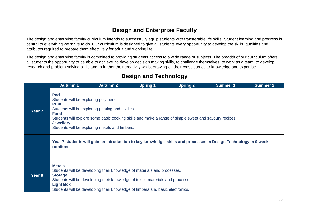# **Design and Enterprise Faculty**

<span id="page-34-0"></span>The design and enterprise faculty curriculum intends to successfully equip students with transferable life skills. Student learning and progress is central to everything we strive to do. Our curriculum is designed to give all students every opportunity to develop the skills, qualities and attributes required to prepare them effectively for adult and working life.

The design and enterprise faculty is committed to providing students access to a wide range of subjects. The breadth of our curriculum offers all students the opportunity to be able to achieve, to develop decision making skills, to challenge themselves, to work as a team, to develop research and problem-solving skills and to further their creativity whilst drawing on their cross curricular knowledge and expertise.

# **Design and Technology**

|                   | <b>Autumn 1</b>                                                                                                                                                                                                                                                                                                       | <b>Autumn 2</b>                                                                                                                                                                                                                             | <b>Spring 1</b> | <b>Spring 2</b> | <b>Summer 1</b> | <b>Summer 2</b> |  |  |  |
|-------------------|-----------------------------------------------------------------------------------------------------------------------------------------------------------------------------------------------------------------------------------------------------------------------------------------------------------------------|---------------------------------------------------------------------------------------------------------------------------------------------------------------------------------------------------------------------------------------------|-----------------|-----------------|-----------------|-----------------|--|--|--|
| Year <sub>7</sub> | <b>Pod</b><br>Students will be exploring polymers.<br><b>Print</b><br>Students will be exploring printing and textiles.<br><b>Food</b><br>Students will explore some basic cooking skills and make a range of simple sweet and savoury recipes.<br><b>Jewellery</b><br>Students will be exploring metals and timbers. |                                                                                                                                                                                                                                             |                 |                 |                 |                 |  |  |  |
|                   | Year 7 students will gain an introduction to key knowledge, skills and processes in Design Technology in 9 week<br><b>rotations</b>                                                                                                                                                                                   |                                                                                                                                                                                                                                             |                 |                 |                 |                 |  |  |  |
| Year 8            | <b>Metals</b><br><b>Storage</b><br><b>Light Box</b>                                                                                                                                                                                                                                                                   | Students will be developing their knowledge of materials and processes.<br>Students will be developing their knowledge of textile materials and processes.<br>Students will be developing their knowledge of timbers and basic electronics. |                 |                 |                 |                 |  |  |  |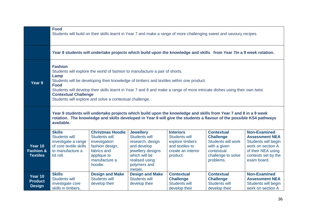|                                                    | <b>Food</b><br>Students will build on their skills learnt in Year 7 and make a range of more challenging sweet and savoury recipes.                                                                                                                                                                                                                                                                                                     |                                                                                                                                        |                                                                                                                                                                |                                                                                                                  |                                                                                                                                     |                                                                                                                                                      |  |  |  |
|----------------------------------------------------|-----------------------------------------------------------------------------------------------------------------------------------------------------------------------------------------------------------------------------------------------------------------------------------------------------------------------------------------------------------------------------------------------------------------------------------------|----------------------------------------------------------------------------------------------------------------------------------------|----------------------------------------------------------------------------------------------------------------------------------------------------------------|------------------------------------------------------------------------------------------------------------------|-------------------------------------------------------------------------------------------------------------------------------------|------------------------------------------------------------------------------------------------------------------------------------------------------|--|--|--|
|                                                    |                                                                                                                                                                                                                                                                                                                                                                                                                                         |                                                                                                                                        |                                                                                                                                                                |                                                                                                                  | Year 8 students will undertake projects which build upon the knowledge and skills from Year 7In a 9 week rotation.                  |                                                                                                                                                      |  |  |  |
| Year 9                                             | <b>Fashion</b><br>Students will explore the world of fashion to manufacture a pair of shorts.<br>Lamp<br>Students will be developing their knowledge of timbers and textiles within one product.<br><b>Food</b><br>Students will develop their skills learnt in Year 7 and 8 and make a range of more intricate dishes using their own twist.<br><b>Contextual Challenge</b><br>Students will explore and solve a contextual challenge. |                                                                                                                                        |                                                                                                                                                                |                                                                                                                  |                                                                                                                                     |                                                                                                                                                      |  |  |  |
|                                                    | Year 9 students will undertake projects which build upon the knowledge and skills from Year 7 and 8 in a 9 week<br>rotation. The knowledge and skills developed in Year 9 will give the students a flavour of the possible KS4 pathways<br>available.                                                                                                                                                                                   |                                                                                                                                        |                                                                                                                                                                |                                                                                                                  |                                                                                                                                     |                                                                                                                                                      |  |  |  |
| Year 10<br><b>Fashion &amp;</b><br><b>Textiles</b> | <b>Skills</b><br><b>Students will</b><br>investigate a range<br>of core textile skills<br>to manufacture a<br>kit roll.                                                                                                                                                                                                                                                                                                                 | <b>Christmas Hoodie</b><br>Students will<br>investigation<br>fashion design,<br>fabrics and<br>applique to<br>manufacture a<br>hoodie. | <b>Jewellery</b><br><b>Students will</b><br>research, design<br>and develop<br>jewellery designs<br>which will be<br>realised using<br>polymers and<br>metals. | <b>Interiors</b><br><b>Students will</b><br>explore timbers<br>and textiles to<br>create an interior<br>product. | <b>Contextual</b><br><b>Challenge</b><br><b>Students will work</b><br>with a given<br>contextual<br>challenge to solve<br>problems. | <b>Non-Examined</b><br><b>Assessment NEA</b><br>Students will begin<br>work on section A<br>of their NEA using<br>contexts set by the<br>exam board. |  |  |  |
| Year 10<br><b>Product</b><br><b>Design</b>         | <b>Skills</b><br><b>Students will</b><br>investigate core<br>skills in timbers,                                                                                                                                                                                                                                                                                                                                                         | <b>Design and Make</b><br><b>Students will</b><br>develop their                                                                        | <b>Design and Make</b><br><b>Students will</b><br>develop their                                                                                                | <b>Contextual</b><br><b>Challenge</b><br><b>Students will</b><br>develop their                                   | <b>Contextual</b><br><b>Challenge</b><br><b>Students will</b><br>develop their                                                      | <b>Non-Examined</b><br><b>Assessment NEA</b><br>Students will begin<br>work on section A                                                             |  |  |  |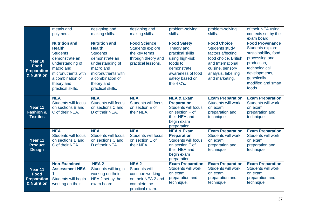|                                                             | metals and<br>polymers.                                                                                                                                                                   | designing and<br>making skills.                                                                                                                                                           | designing and<br>making skills.                                                                                  | problem-solving<br>skills.                                                                                                                               | problem-solving<br>skills.                                                                                                                                                 | of their NEA using<br>contexts set by the<br>exam board.                                                                                                                                    |
|-------------------------------------------------------------|-------------------------------------------------------------------------------------------------------------------------------------------------------------------------------------------|-------------------------------------------------------------------------------------------------------------------------------------------------------------------------------------------|------------------------------------------------------------------------------------------------------------------|----------------------------------------------------------------------------------------------------------------------------------------------------------|----------------------------------------------------------------------------------------------------------------------------------------------------------------------------|---------------------------------------------------------------------------------------------------------------------------------------------------------------------------------------------|
| Year 10<br><b>Food</b><br><b>Preparation</b><br>& Nutrition | <b>Nutrition and</b><br><b>Health</b><br><b>Students</b><br>demonstrate an<br>understanding of<br>macro and<br>micronutrients with<br>a combination of<br>theory and<br>practical skills. | <b>Nutrition and</b><br><b>Health</b><br><b>Students</b><br>demonstrate an<br>understanding of<br>macro and<br>micronutrients with<br>a combination of<br>theory and<br>practical skills. | <b>Food Science</b><br><b>Students explore</b><br>the key terms<br>through theory and<br>practical lessons.      | <b>Food Safety</b><br>Theory and<br>practical skills<br>using high-risk<br>foods to<br>demonstrate<br>awareness of food<br>safety based on<br>the 4 C's. | <b>Food Choice</b><br><b>Students study</b><br>factors affecting<br>food choice, British<br>and International<br>cuisine, sensory<br>analysis, labelling<br>and marketing. | <b>Food Provenance</b><br><b>Students explore</b><br>sustainability, food<br>processing and<br>production,<br>technological<br>developments,<br>genetically<br>modified and smart<br>foods. |
| Year 11<br><b>Fashion &amp;</b><br><b>Textiles</b>          | <b>NEA</b><br><b>Students will focus</b><br>on sections B and<br>C of their NEA.                                                                                                          | <b>NEA</b><br><b>Students will focus</b><br>on sections C and<br>D of their NEA.                                                                                                          | <b>NEA</b><br><b>Students will focus</b><br>on section E of<br>their NEA.                                        | <b>NEA &amp; Exam</b><br><b>Preparation</b><br><b>Students will focus</b><br>on section F of<br>their NEA and<br>begin exam<br>preparation.              | <b>Exam Preparation</b><br><b>Students will work</b><br>on exam<br>preparation and<br>technique.                                                                           | <b>Exam Preparation</b><br><b>Students will work</b><br>on exam<br>preparation and<br>technique.                                                                                            |
| Year 11<br><b>Product</b><br><b>Design</b>                  | <b>NEA</b><br><b>Students will focus</b><br>on sections B and<br>C of their NEA.                                                                                                          | <b>NEA</b><br><b>Students will focus</b><br>on sections C and<br>D of their NEA.                                                                                                          | <b>NEA</b><br><b>Students will focus</b><br>on section E of<br>their NEA.                                        | <b>NEA &amp; Exam</b><br><b>Preparation</b><br><b>Students will focus</b><br>on section F of<br>their NEA and<br>begin exam<br>preparation.              | <b>Exam Preparation</b><br><b>Students will work</b><br>on exam<br>preparation and<br>technique.                                                                           | <b>Exam Preparation</b><br><b>Students will work</b><br>on exam<br>preparation and<br>technique.                                                                                            |
| Year 11<br><b>Food</b><br><b>Preparation</b><br>& Nutrition | <b>Non-Examined</b><br><b>Assessment NEA</b><br>Students will begin<br>working on their                                                                                                   | <b>NEA2</b><br>Students will begin<br>working on their<br>NEA 2 set by the<br>exam board.                                                                                                 | <b>NEA2</b><br><b>Students will</b><br>continue working<br>on their NEA 2 and<br>complete the<br>practical exam. | <b>Exam Preparation</b><br><b>Students will work</b><br>on exam<br>preparation and<br>technique.                                                         | <b>Exam Preparation</b><br><b>Students will work</b><br>on exam<br>preparation and<br>technique.                                                                           | <b>Exam Preparation</b><br><b>Students will work</b><br>on exam<br>preparation and<br>technique.                                                                                            |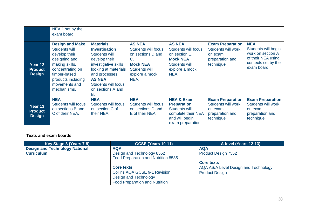|                                            | NEA 1 set by the<br>exam board.                                                                                                                                                              |                                                                                                                                                                                                                        |                                                                                                                                             |                                                                                                                                   |                                                                                                  |                                                                                                                    |
|--------------------------------------------|----------------------------------------------------------------------------------------------------------------------------------------------------------------------------------------------|------------------------------------------------------------------------------------------------------------------------------------------------------------------------------------------------------------------------|---------------------------------------------------------------------------------------------------------------------------------------------|-----------------------------------------------------------------------------------------------------------------------------------|--------------------------------------------------------------------------------------------------|--------------------------------------------------------------------------------------------------------------------|
| Year 12<br><b>Product</b><br><b>Design</b> | <b>Design and Make</b><br><b>Students will</b><br>develop their<br>designing and<br>making skills,<br>concentrating on<br>timber-based<br>products including<br>movements and<br>mechanisms. | <b>Materials</b><br><b>Investigation</b><br>Students will<br>develop their<br>investigative skills<br>looking at materials<br>and processes.<br><b>AS NEA</b><br><b>Students will focus</b><br>on sections A and<br>В. | <b>AS NEA</b><br><b>Students will focus</b><br>on sections D and<br>C.<br><b>Mock NEA</b><br><b>Students will</b><br>explore a mock<br>NEA. | <b>AS NEA</b><br><b>Students will focus</b><br>on section E.<br><b>Mock NEA</b><br><b>Students will</b><br>explore a mock<br>NEA. | <b>Exam Preparation</b><br><b>Students will work</b><br>on exam<br>preparation and<br>technique. | <b>NEA</b><br>Students will begin<br>work on section A<br>of their NEA using<br>contexts set by the<br>exam board. |
| Year 13<br><b>Product</b><br><b>Design</b> | <b>NEA</b><br><b>Students will focus</b><br>on sections B and<br>C of their NEA.                                                                                                             | <b>NEA</b><br><b>Students will focus</b><br>on section C of<br>their NEA.                                                                                                                                              | <b>NEA</b><br><b>Students will focus</b><br>on sections D and<br>E of their NEA.                                                            | <b>NEA &amp; Exam</b><br><b>Preparation</b><br><b>Students will</b><br>complete their NEA<br>and will begin<br>exam preparation.  | <b>Exam Preparation</b><br><b>Students will work</b><br>on exam<br>preparation and<br>technique. | <b>Exam Preparation</b><br><b>Students will work</b><br>on exam<br>preparation and<br>technique.                   |

| Key Stage 3 (Years 7-9)               | <b>GCSE (Years 10-11)</b>                                         | A-level (Years 12-13)                |
|---------------------------------------|-------------------------------------------------------------------|--------------------------------------|
| <b>Design and Technology National</b> | <b>AQA</b>                                                        | <b>AQA</b>                           |
| <b>Curriculum</b>                     | Design and Technology 8552<br>Food Preparation and Nutrition 8585 | Product Design 7552                  |
|                                       |                                                                   | <b>Core texts</b>                    |
|                                       | <b>Core texts</b>                                                 | AQA AS/A Level Design and Technology |
|                                       | <b>Collins AQA GCSE 9-1 Revision</b>                              | <b>Product Design</b>                |
|                                       | Design and Technology                                             |                                      |
|                                       | <b>Food Preparation and Nutrition</b>                             |                                      |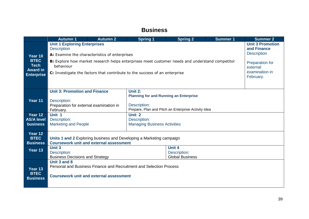### **Business**

|                                                                               | <b>Autumn 1</b>                                                                                                                                                                                                                                                                                         | <b>Autumn 2</b>                                                                                  | <b>Spring 1</b>                                                     | <b>Spring 2</b>        | <b>Summer 1</b> | <b>Summer 2</b> |  |  |
|-------------------------------------------------------------------------------|---------------------------------------------------------------------------------------------------------------------------------------------------------------------------------------------------------------------------------------------------------------------------------------------------------|--------------------------------------------------------------------------------------------------|---------------------------------------------------------------------|------------------------|-----------------|-----------------|--|--|
| Year 10<br><b>BTEC</b><br><b>Tech</b><br><b>Award in</b><br><b>Enterprise</b> | <b>Unit 1 Exploring Enterprises</b><br><b>Description</b><br>A: Examine the characteristics of enterprises<br>B: Explore how market research helps enterprises meet customer needs and understand competitor<br>behaviour<br>C: Investigate the factors that contribute to the success of an enterprise |                                                                                                  |                                                                     |                        |                 |                 |  |  |
|                                                                               |                                                                                                                                                                                                                                                                                                         |                                                                                                  |                                                                     |                        |                 |                 |  |  |
|                                                                               |                                                                                                                                                                                                                                                                                                         | <b>Unit 3: Promotion and Finance</b><br>Unit 2:<br><b>Planning for and Running an Enterprise</b> |                                                                     |                        |                 |                 |  |  |
| Year 11                                                                       | Description:<br>Preparation for external examination in<br>February.                                                                                                                                                                                                                                    |                                                                                                  | Description:<br>Prepare, Plan and Pitch an Enterprise Activity Idea |                        |                 |                 |  |  |
| Year 12                                                                       | Unit 1                                                                                                                                                                                                                                                                                                  |                                                                                                  | Unit 2                                                              |                        |                 |                 |  |  |
| <b>AS/A level</b>                                                             | Description:                                                                                                                                                                                                                                                                                            |                                                                                                  | Description:                                                        |                        |                 |                 |  |  |
| <b>business</b>                                                               | <b>Marketing and People</b>                                                                                                                                                                                                                                                                             |                                                                                                  | <b>Managing Business Activities</b>                                 |                        |                 |                 |  |  |
| Year 12<br><b>BTEC</b><br><b>Business</b>                                     | Units 1 and 2 Exploring business and Developing a Marketing campaign<br><b>Coursework unit and external assessment</b>                                                                                                                                                                                  |                                                                                                  |                                                                     |                        |                 |                 |  |  |
| Year 13                                                                       | <b>Unit 3</b>                                                                                                                                                                                                                                                                                           |                                                                                                  |                                                                     | <b>Unit 4</b>          |                 |                 |  |  |
|                                                                               | Description:<br>Description:                                                                                                                                                                                                                                                                            |                                                                                                  |                                                                     |                        |                 |                 |  |  |
|                                                                               | <b>Business Decisions and Strategy</b>                                                                                                                                                                                                                                                                  |                                                                                                  |                                                                     | <b>Global Business</b> |                 |                 |  |  |
|                                                                               | Unit 3 and 8                                                                                                                                                                                                                                                                                            |                                                                                                  |                                                                     |                        |                 |                 |  |  |
| Year 13                                                                       |                                                                                                                                                                                                                                                                                                         |                                                                                                  | Personal and Business Finance and Recruitment and Selection Process |                        |                 |                 |  |  |
| <b>BTEC</b><br><b>Business</b>                                                |                                                                                                                                                                                                                                                                                                         | <b>Coursework unit and external assessment</b>                                                   |                                                                     |                        |                 |                 |  |  |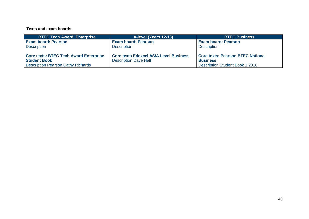| <b>BTEC Tech Award Enterprise</b>             | A-level (Years 12-13)                         | <b>BTEC Business</b>                     |
|-----------------------------------------------|-----------------------------------------------|------------------------------------------|
| <b>Exam board: Pearson</b>                    | <b>Exam board: Pearson</b>                    | <b>Exam board: Pearson</b>               |
| <b>Description</b>                            | <b>Description</b>                            | <b>Description</b>                       |
|                                               |                                               |                                          |
| <b>Core texts: BTEC Tech Award Enterprise</b> | <b>Core texts Edexcel AS/A Level Business</b> | <b>Core texts: Pearson BTEC National</b> |
| <b>Student Book</b>                           | <b>Description Dave Hall</b>                  | <b>Business</b>                          |
| <b>Description Pearson Cathy Richards</b>     |                                               | <b>Description Student Book 1 2016</b>   |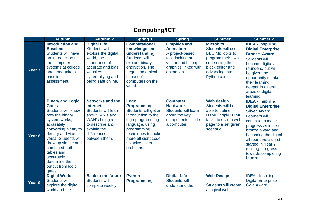# **Computing/ICT**

|                   | <b>Autumn 1</b>                                                                                                                                                                                                                                                                                              | <b>Autumn 2</b>                                                                                                                                                                | <b>Spring 1</b>                                                                                                                                                                                             | <b>Spring 2</b>                                                                                                                          | Summer 1                                                                                                                                                      | <b>Summer 2</b>                                                                                                                                                                                                                                                                               |
|-------------------|--------------------------------------------------------------------------------------------------------------------------------------------------------------------------------------------------------------------------------------------------------------------------------------------------------------|--------------------------------------------------------------------------------------------------------------------------------------------------------------------------------|-------------------------------------------------------------------------------------------------------------------------------------------------------------------------------------------------------------|------------------------------------------------------------------------------------------------------------------------------------------|---------------------------------------------------------------------------------------------------------------------------------------------------------------|-----------------------------------------------------------------------------------------------------------------------------------------------------------------------------------------------------------------------------------------------------------------------------------------------|
| Year <sub>7</sub> | <b>Introduction and</b><br><b>Baseline</b><br><b>Students will have</b><br>an introduction to<br>the computer<br>systems at college<br>and undertake a<br>baseline<br>assessment.                                                                                                                            | <b>Digital Life</b><br><b>Students will</b><br>explore the digital<br>world, the<br>importance of<br>accurate and bias<br>websites,<br>cyberbullying and<br>being safe online. | <b>Computational</b><br>knowledge and<br>understanding<br><b>Students will</b><br>explore binary,<br>encryption, The<br>Legal and ethical<br>impact of<br>computers on the<br>world.                        | <b>Graphics and</b><br><b>Animation</b><br>A project-based<br>task looking at<br>vector and bitmap<br>graphics linked with<br>animation. | <b>Microbits</b><br>Students will use<br><b>BBC Microbits to</b><br>program their own<br>code using the<br>block editor and<br>advancing into<br>Python code. | <b>IDEA - Inspiring</b><br><b>Digital Enterprise</b><br><b>Bronze Award</b><br><b>Students will</b><br>become digital all-<br>rounders, but will<br>be given the<br>opportunity to take<br>their learning<br>deeper in different<br>areas of digital<br>learning.                             |
| Year 8            | <b>Binary and Logic</b><br><b>Gates</b><br><b>Students will know</b><br>how the binary<br>system works,<br>accurately<br>converting binary to<br>denary and vice<br>versa. Students will<br>draw up simple and<br>combined truth<br>tables and<br>accurately<br>determine the<br>output from logic<br>gates. | <b>Networks and the</b><br>internet<br><b>Students will learn</b><br>about LAN's and<br>WAN's being able<br>to describe and<br>explain the<br>differences<br>between them.     | Logo<br><b>Programming</b><br>Students will get an<br>introduction to the<br>logo programming<br>language, using<br>programming<br>techniques to make<br>more efficient code<br>so solve given<br>problems. | <b>Computer</b><br><b>Hardware</b><br>Students will learn<br>about the key<br>components inside<br>a computer.                           | <b>Web design</b><br>Students will be<br>able to define<br>HTML, apply HTML<br>tasks to style a web<br>page to a set given<br>scenario.                       | <b>IDEA - Inspiring</b><br><b>Digital Enterprise</b><br><b>Silver Award</b><br><b>Learners will</b><br>continue to make<br>progress with their<br>bronze award and<br>becoming the digital<br>all rounders as first<br>started in Year 7,<br>making progress<br>towards completing<br>bronze. |
| Year 9            | <b>Digital World</b><br><b>Students will</b><br>explore the digital<br>world and the                                                                                                                                                                                                                         | <b>Back to the future</b><br><b>Students will</b><br>complete weekly                                                                                                           | <b>Python</b><br><b>Programming</b>                                                                                                                                                                         | <b>Digital Life</b><br><b>Students will</b><br>understand the                                                                            | <b>Web Design</b><br><b>Students will create</b><br>a logical web                                                                                             | <b>IDEA - Inspiring</b><br><b>Digital Enterprise</b><br><b>Gold Award</b>                                                                                                                                                                                                                     |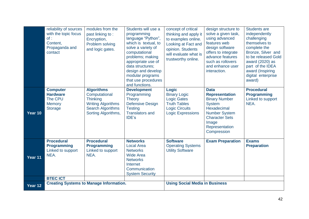|         | reliability of sources<br>with the topic focus<br>of:<br>Content,<br>Propaganda and<br>contact | modules from the<br>past linking to:<br>Encryption,<br>Problem solving<br>and logic gates.                                            | Students will use a<br>programming<br>language "Python",<br>which is textual, to<br>solve a variety of<br>computational<br>problems; making<br>appropriate use of<br>data structures;<br>design and develop<br>modular programs<br>that use procedures<br>and functions. | concept of critical<br>thinking and apply it<br>to examples online.<br>Looking at Fact and<br>opinion. Students<br>will evaluate what is<br>trustworthy online. | design structure to<br>solve a given task,<br>using advanced<br>features web<br>design software<br>offers to integrate<br>advance features<br>such as rollovers<br>and enhance user<br>interaction. | <b>Students are</b><br>independently<br>challenging<br>themselves to<br>complete the<br>Bronze, Silver and<br>to be released Gold<br>award (2020) as<br>part of the IDEA<br>award (Inspiring<br>digital enterprise<br>award) |
|---------|------------------------------------------------------------------------------------------------|---------------------------------------------------------------------------------------------------------------------------------------|--------------------------------------------------------------------------------------------------------------------------------------------------------------------------------------------------------------------------------------------------------------------------|-----------------------------------------------------------------------------------------------------------------------------------------------------------------|-----------------------------------------------------------------------------------------------------------------------------------------------------------------------------------------------------|------------------------------------------------------------------------------------------------------------------------------------------------------------------------------------------------------------------------------|
| Year 10 | <b>Computer</b><br><b>Hardware</b><br>The CPU<br><b>Memory</b><br><b>Storage</b>               | <b>Algorithms</b><br>Computational<br><b>Thinking</b><br><b>Writing Algorithms</b><br><b>Search Algorithms</b><br>Sorting Algorithms, | <b>Development</b><br>Programming<br><b>Theory</b><br><b>Defensive Design</b><br><b>Testing</b><br><b>Translators and</b><br>IDE's                                                                                                                                       | <b>Logic</b><br><b>Binary Logic</b><br><b>Logic Gates</b><br><b>Truth Tables</b><br><b>Logic Circuits</b><br><b>Logic Expressions</b>                           | <b>Data</b><br><b>Representation</b><br><b>Binary Number</b><br><b>System</b><br><b>Hexadecimal</b><br><b>Number System</b><br><b>Character Sets</b><br>Image<br>Representation<br>Compression      | <b>Procedural</b><br><b>Programming</b><br>Linked to support<br>NEA.                                                                                                                                                         |
| Year 11 | <b>Procedural</b><br><b>Programming</b><br>Linked to support<br>NEA.                           | <b>Procedural</b><br><b>Programming</b><br>Linked to support<br>NEA.                                                                  | <b>Networks</b><br><b>Local Area</b><br><b>Networks</b><br><b>Wide Area</b><br><b>Networks</b><br>Internet<br>Communication<br><b>System Security</b>                                                                                                                    | <b>Software</b><br><b>Operating Systems</b><br><b>Utility Software</b>                                                                                          | <b>Exam Preparation</b>                                                                                                                                                                             | <b>Exams</b><br><b>Preparation</b>                                                                                                                                                                                           |
|         | <b>BTEC ICT</b>                                                                                |                                                                                                                                       |                                                                                                                                                                                                                                                                          |                                                                                                                                                                 |                                                                                                                                                                                                     |                                                                                                                                                                                                                              |
| Year 12 | <b>Creating Systems to Manage Information.</b>                                                 |                                                                                                                                       |                                                                                                                                                                                                                                                                          | <b>Using Social Media in Business</b>                                                                                                                           |                                                                                                                                                                                                     |                                                                                                                                                                                                                              |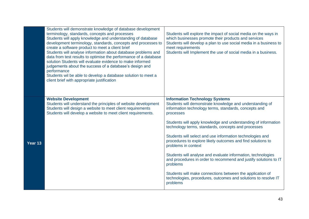|         | Students will demonstrate knowledge of database development<br>terminology, standards, concepts and processes<br>Students will apply knowledge and understanding of database<br>development terminology, standards, concepts and processes to<br>create a software product to meet a client brief<br>Students will analyse information about database problems and<br>data from test results to optimise the performance of a database<br>solution Students will evaluate evidence to make informed<br>judgements about the success of a database's design and<br>performance<br>Students wil be able to develop a database solution to meet a<br>client brief with appropriate justification | Students will explore the impact of social media on the ways in<br>which businesses promote their products and services<br>Students will develop a plan to use social media in a business to<br>meet requirements<br>Students will Implement the use of social media in a business. |
|---------|-----------------------------------------------------------------------------------------------------------------------------------------------------------------------------------------------------------------------------------------------------------------------------------------------------------------------------------------------------------------------------------------------------------------------------------------------------------------------------------------------------------------------------------------------------------------------------------------------------------------------------------------------------------------------------------------------|-------------------------------------------------------------------------------------------------------------------------------------------------------------------------------------------------------------------------------------------------------------------------------------|
|         | <b>Website Development</b><br>Students will understand the principles of website development<br>Students will design a website to meet client requirements<br>Students will develop a website to meet client requirements.                                                                                                                                                                                                                                                                                                                                                                                                                                                                    | <b>Information Technology Systems</b><br>Students will demonstrate knowledge and understanding of<br>information technology terms, standards, concepts and<br>processes                                                                                                             |
|         |                                                                                                                                                                                                                                                                                                                                                                                                                                                                                                                                                                                                                                                                                               | Students will apply knowledge and understanding of information<br>technology terms, standards, concepts and processes                                                                                                                                                               |
| Year 13 |                                                                                                                                                                                                                                                                                                                                                                                                                                                                                                                                                                                                                                                                                               | Students will select and use information technologies and<br>procedures to explore likely outcomes and find solutions to<br>problems in context                                                                                                                                     |
|         |                                                                                                                                                                                                                                                                                                                                                                                                                                                                                                                                                                                                                                                                                               | Students will analyse and evaluate information, technologies<br>and procedures in order to recommend and justify solutions to IT<br>problems                                                                                                                                        |
|         |                                                                                                                                                                                                                                                                                                                                                                                                                                                                                                                                                                                                                                                                                               | Students will make connections between the application of<br>technologies, procedures, outcomes and solutions to resolve IT<br>problems                                                                                                                                             |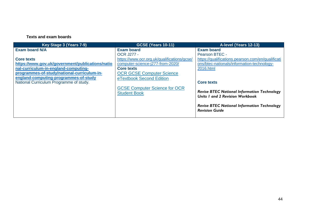| Key Stage 3 (Years 7-9)                          | <b>GCSE (Years 10-11)</b>                   | A-level (Years 12-13)                              |
|--------------------------------------------------|---------------------------------------------|----------------------------------------------------|
| <b>Exam board N/A</b>                            | <b>Exam board</b>                           | <b>Exam board</b>                                  |
|                                                  | <b>OCR J277 -</b>                           | Pearson BTEC -                                     |
| <b>Core texts</b>                                | https://www.ocr.org.uk/qualifications/gcse/ | https://qualifications.pearson.com/en/qualificati  |
| https://www.gov.uk/government/publications/natio | computer-science-j277-from-2020/            | ons/btec-nationals/information-technology-         |
| nal-curriculum-in-england-computing-             | <b>Core texts</b>                           | 2016.html                                          |
| programmes-of-study/national-curriculum-in-      | <b>OCR GCSE Computer Science</b>            |                                                    |
| england-computing-programmes-of-study            | eTextbook Second Edition                    |                                                    |
| National Curriculum Programme of study.          |                                             | <b>Core texts</b>                                  |
|                                                  | <b>GCSE Computer Science for OCR</b>        |                                                    |
|                                                  | <b>Student Book</b>                         | <b>Revise BTEC National Information Technology</b> |
|                                                  |                                             | Units I and 2 Revision Workbook                    |
|                                                  |                                             | <b>Revise BTEC National Information Technology</b> |
|                                                  |                                             | <b>Revision Guide</b>                              |
|                                                  |                                             |                                                    |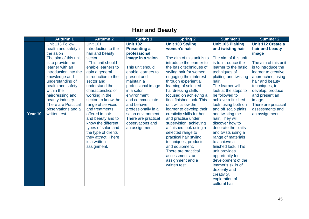# **Hair and Beauty**

|         | <b>Autumn 1</b>            | <b>Autumn 2</b>     | <b>Spring 1</b>     | <b>Spring 2</b>                   | <b>Summer 1</b>                           | <b>Summer 2</b>      |
|---------|----------------------------|---------------------|---------------------|-----------------------------------|-------------------------------------------|----------------------|
|         | Unit 113 Follow            | <b>Unit 101</b>     | <b>Unit 102</b>     | <b>Unit 103 Styling</b>           | <b>Unit 105 Plaiting</b>                  | Unit 112 Create a    |
|         | health and safety in       | Introduction to the | <b>Presenting a</b> | women's hair                      | and twisting hair                         | hair and beauty      |
|         | the salon                  | hair and beauty     | professional        |                                   |                                           | image                |
|         | The aim of this unit       | sector.             | image in a salon    | The aim of this unit is to        | The aim of this unit                      |                      |
|         | is to provide the          | . This unit should  |                     | introduce the learner to          | is to introduce the                       | The aim of this unit |
|         | learner with an            | enable learners to  | This unit should    | the basic techniques of           | learner to the basic                      | is to introduce the  |
|         | introduction into the      | gain a general      | enable learners to  | styling hair for women,           | techniques of                             | learner to creative  |
|         | knowledge and              | introduction to the | present and         | engaging their interest           | plaiting and twisting                     | approaches, using    |
|         | understanding of           | sector and          | maintain a          | through experiential              | hair.                                     | hair and beauty      |
|         | health and safety,         | understand the      | professional image  | learning of selected              | The learner will                          | techniques, to       |
|         | within the                 | characteristics of  | in a salon          | hairdressing skills               | look at the steps to                      | develop, produce     |
|         | hairdressing and           | working in the      | environment         | focused on achieving a            | be followed to                            | and present an       |
|         | beauty industry.           | sector, to know the | and communicate     | final finished look. This         | achieve a finished                        | image.               |
|         | <b>There are Practical</b> | range of services   | and behave          | unit will allow the               | look, using both on                       | There are practical  |
|         | observations and a         | and treatments      | professionally in a | learner to develop their          | and off scalp plaits                      | assessments and      |
| Year 10 | written test.              | offered in hair     | salon environment.  | creativity skills further         | and twisting the                          | an assignment.       |
|         |                            | and beauty and to   | There are practical | and practise under                | hair. They will                           |                      |
|         |                            | know the different  | observations and    | supervision, achieving            | discover how to                           |                      |
|         |                            | types of salon and  | an assignment.      | a finished look using a           | decorate the plaits                       |                      |
|         |                            | the type of clients |                     | selected range to                 | and twists using a                        |                      |
|         |                            | they attract. There |                     | practical hair styling            | range of materials                        |                      |
|         |                            | is a written        |                     | techniques, products              | to achieve a                              |                      |
|         |                            | assignment.         |                     | and equipment.                    | finished look. This                       |                      |
|         |                            |                     |                     | There are practical               | unit provides                             |                      |
|         |                            |                     |                     | assessments, an                   | opportunity for                           |                      |
|         |                            |                     |                     | assignment and a<br>written test. | development of the<br>learner's skills of |                      |
|         |                            |                     |                     |                                   | dexterity and                             |                      |
|         |                            |                     |                     |                                   | creativity,                               |                      |
|         |                            |                     |                     |                                   | exploration of                            |                      |
|         |                            |                     |                     |                                   | cultural hair                             |                      |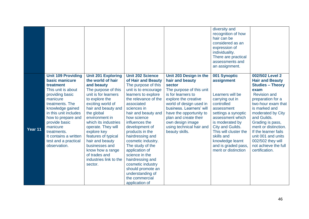|         |                                                                                                                                                                                                                                                                                                                  |                                                                                                                                                                                                                                                                                                                                                                                                              |                                                                                                                                                                                                                                                                                                                                                                                                                                                                                               |                                                                                                                                                                                                                                                                                                            | diversity and<br>recognition of how<br>hair can be<br>considered as an<br>expression of<br>individuality.<br>There are practical<br>assessments and<br>an assignment.                                                                                                                     |                                                                                                                                                                                                                                                                                                                                                               |
|---------|------------------------------------------------------------------------------------------------------------------------------------------------------------------------------------------------------------------------------------------------------------------------------------------------------------------|--------------------------------------------------------------------------------------------------------------------------------------------------------------------------------------------------------------------------------------------------------------------------------------------------------------------------------------------------------------------------------------------------------------|-----------------------------------------------------------------------------------------------------------------------------------------------------------------------------------------------------------------------------------------------------------------------------------------------------------------------------------------------------------------------------------------------------------------------------------------------------------------------------------------------|------------------------------------------------------------------------------------------------------------------------------------------------------------------------------------------------------------------------------------------------------------------------------------------------------------|-------------------------------------------------------------------------------------------------------------------------------------------------------------------------------------------------------------------------------------------------------------------------------------------|---------------------------------------------------------------------------------------------------------------------------------------------------------------------------------------------------------------------------------------------------------------------------------------------------------------------------------------------------------------|
| Year 11 | <b>Unit 109 Providing</b><br>basic manicure<br>treatment<br>This unit is about<br>providing basic<br>manicure<br>treatments. The<br>knowledge gained<br>in this unit includes<br>how to prepare and<br>provide basic<br>manicure<br>treatments.<br>It contains a written<br>test and a practical<br>observation. | <b>Unit 201 Exploring</b><br>the world of hair<br>and beauty<br>The purpose of this<br>unit is for learners<br>to explore the<br>exciting world of<br>hair and beauty and<br>the global<br>environment in<br>which its industries<br>operate. They will<br>explore key<br>features of typical<br>hair and beauty<br>businesses and<br>know how a range<br>of trades and<br>industries link to the<br>sector. | <b>Unit 202 Science</b><br>of Hair and Beauty<br>The purpose of this<br>unit is to encourage<br>learners to explore<br>the relevance of the<br>associated<br>sciences in<br>hair and beauty and<br>how science<br>influences the<br>development of<br>products in the<br>hairdressing and<br>cosmetic industry.<br>The study of the<br>application of<br>science in the<br>hairdressing and<br>cosmetic industry<br>should promote an<br>understanding of<br>the commercial<br>application of | Unit 203 Design in the<br>hair and beauty<br>sector<br>The purpose of this unit<br>is for learners to<br>explore the creative<br>world of design used in<br>business. Learners' will<br>have the opportunity to<br>plan and create their<br>own design image<br>using technical hair and<br>beauty skills. | 001 Synoptic<br>assignment<br>Learners will be<br>carrying out in<br>controlled<br>assessment<br>settings a synoptic<br>assessment which<br>is moderated by<br>City and Guilds.<br>This will cluster the<br>skills and<br>knowledge learnt<br>and is graded pass,<br>merit or distinction | 002/502 Level 2<br><b>Hair and Beauty</b><br><b>Studies - Theory</b><br>exam<br><b>Revision and</b><br>preparation for a<br>two-hour exam that<br>is marked and<br>moderated by City<br>and Guilds.<br>Grading is pass,<br>merit or distinction.<br>If the learner fails<br>unit 001 and units<br>002/502 they will<br>not achieve the full<br>certification. |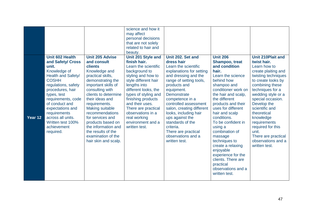|         |                     |                        | science and how it   |                           |                     |                          |
|---------|---------------------|------------------------|----------------------|---------------------------|---------------------|--------------------------|
|         |                     |                        | may affect           |                           |                     |                          |
|         |                     |                        | personal decisions   |                           |                     |                          |
|         |                     |                        | that are not solely  |                           |                     |                          |
|         |                     |                        | related to hair and  |                           |                     |                          |
|         |                     |                        | beauty.              |                           |                     |                          |
|         | Unit 602 Health     | <b>Unit 205 Advise</b> | Unit 201 Style and   | Unit 202. Set and         | <b>Unit 206</b>     | <b>Unit 210Plait and</b> |
|         | and Safety/ Cross   | and consult            | finish hair.         | dress hair                | Shampoo, treat      | twist hair.              |
|         | unit.               | clients                | Learn the scientific | Learn the scientific      | and condition       | Learn how to             |
|         | Knowledge of        | Knowledge and          | background to        | explanations for setting  | hair.               | create plaiting and      |
|         | Health and Safety/  | practical skills,      | styling and how to   | and dressing and the      | Learn the science   | twisting techniques      |
|         | <b>COSHH</b>        | demonstrating the      | style different hair | range of setting tools,   | behind how          | to create looks by       |
|         | regulations, safety | important skills of    | lengths into         | products and              | shampoo and         | combining these          |
|         | procedures, hair    | consulting with        | different looks, the | equipment.                | conditioner work on | techniques for a         |
|         | types, test         | clients to determine   | types of styling and | <b>Demonstrate</b>        | the hair and scalp, | wedding style or a       |
|         | requirements, code  | their ideas and        | finishing products   | competence in a           | the different       | special occasion.        |
|         | of conduct and      | requirements.          | and their uses.      | controlled assessment     | products and their  | Develop the              |
|         | expectations and    | Making suitable        | There are practical  | salon, creating different | uses for different  | scientific and           |
|         | requirements        | recommendations        | observations in a    | looks, including hair     | hair and scalp      | theoretical              |
| Year 12 | across all units.   | for services and       | real working         | ups against the           | conditions.         | knowledge                |
|         | Written test 100%   | products based on      | environment and a    | standards of the          | To be confident in  | requirements             |
|         | achievement         | the information and    | written test.        | criteria.                 |                     |                          |
|         |                     |                        |                      |                           | using a             | required for this        |
|         | required.           | the results of the     |                      | There are practical       | combination of      | unit.                    |
|         |                     | examination of the     |                      | observations and a        | massage             | There are practical      |
|         |                     | hair skin and scalp.   |                      | written test.             | techniques to       | observations and a       |
|         |                     |                        |                      |                           | create a relaxing   | written test.            |
|         |                     |                        |                      |                           | enjoyable           |                          |
|         |                     |                        |                      |                           | experience for the  |                          |
|         |                     |                        |                      |                           | clients. There are  |                          |
|         |                     |                        |                      |                           | practical           |                          |
|         |                     |                        |                      |                           | observations and a  |                          |
|         |                     |                        |                      |                           | written test.       |                          |
|         |                     |                        |                      |                           |                     |                          |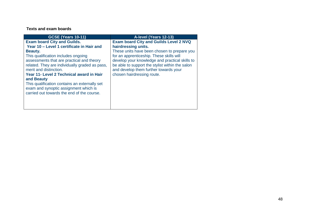| <b>GCSE (Years 10-11)</b>                      | A-level (Years 12-13)                           |
|------------------------------------------------|-------------------------------------------------|
| <b>Exam board City and Guilds.</b>             | <b>Exam board City and Guilds Level 2 NVQ</b>   |
| Year 10 - Level 1 certificate in Hair and      | hairdressing units.                             |
| Beauty.                                        | These units have been chosen to prepare you     |
| This qualification includes ongoing            | for an apprenticeship. These skills will        |
| assessments that are practical and theory      | develop your knowledge and practical skills to  |
| related. They are individually graded as pass, | be able to support the stylist within the salon |
| merit and distinction.                         | and develop them further towards your           |
| Year 11- Level 2 Technical award in Hair       | chosen hairdressing route.                      |
| and Beauty                                     |                                                 |
| This qualification contains an externally set  |                                                 |
| exam and synoptic assignment which is          |                                                 |
| carried out towards the end of the course.     |                                                 |
|                                                |                                                 |
|                                                |                                                 |
|                                                |                                                 |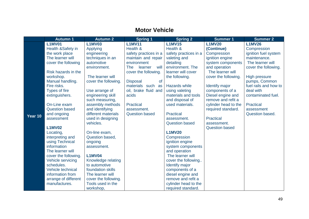## **Motor Vehicle**

|         | <b>Autumn 1</b>                     | <b>Autumn 2</b>        | <b>Spring 1</b>               | <b>Spring 2</b>                | <b>Summer 1</b>       | <b>Summer 2</b>       |
|---------|-------------------------------------|------------------------|-------------------------------|--------------------------------|-----------------------|-----------------------|
|         | <b>L1MV01</b>                       | <b>L1MV03</b>          | <b>L1MV11</b>                 | <b>L1MV15</b>                  | <b>L1MV20</b>         | <b>L1MV26</b>         |
|         | Health &Safety in                   | Applying               | Health &                      | Health &                       | (Continue)            | Compression           |
|         | the work place                      | engineering            | safety practices in a         | safety practices in a          | Compression           | ignition fuel system  |
|         | The learner will                    | techniques in an       | maintain and repair           | valeting and                   | ignition engine       | maintenance.          |
|         | cover the following                 | automotive             | environment                   | detailing                      | system components     | The learner will      |
|         |                                     | environment.           | will<br><b>The</b><br>learner | environment. The               | and operation         | cover the following.  |
|         | Risk hazards in the                 |                        | cover the following.          | learner will cover             | The learner will      |                       |
|         | workshop.                           | The learner will       |                               | the following.                 | cover the following.  | <b>High pressure</b>  |
|         | Manual handling.                    | cover the following.   | <b>Disposal</b><br><b>of</b>  |                                |                       | pumps, Common         |
|         | Fire risks.                         |                        | materials such<br>as          | Hazards while                  | Identify major        | fuel rails and how to |
|         | <b>Types of fire</b>                | Use arrange of         | oil, brake fluid and          | using valeting                 | components of a       | deal with             |
|         | extinguishers.                      | engineering skill      | acids                         | materials and tools            | Diesel engine and     | contaminated fuel.    |
|         |                                     | such measuring,        |                               | and disposal of                | remove and refit a    |                       |
|         | On-Line exam                        | assembly methods       | Practical                     | used materials.                | cylinder head to the  | Practical             |
|         | <b>Question based</b>               | and identifying        | assessment.                   |                                | required standard.    | assessment            |
| Year 10 | and ongoing                         | different materials    | <b>Question based</b>         | <b>Practical</b>               |                       | Question based.       |
|         | assessment                          | used in designing      |                               | assessment.                    | <b>Practical</b>      |                       |
|         |                                     | vehicles.              |                               | <b>Question based</b>          | assessment.           |                       |
|         | <b>L1MV02</b>                       |                        |                               | <b>L1MV20</b>                  | <b>Question based</b> |                       |
|         | Locating,                           | On-line exam,          |                               |                                |                       |                       |
|         | interpreting and<br>using Technical | Question based,        |                               | Compression<br>ignition engine |                       |                       |
|         | information                         | ongoing<br>assessment. |                               | system components              |                       |                       |
|         | The learner will                    |                        |                               | and operation                  |                       |                       |
|         | cover the following.                | <b>L1MV04</b>          |                               | The learner will               |                       |                       |
|         | Vehicle servicing                   | Knowledge relating     |                               | cover the following            |                       |                       |
|         | schedules.                          | to automotive          |                               | <b>Identify major</b>          |                       |                       |
|         | Vehicle technical                   | foundation skills      |                               | components of a                |                       |                       |
|         | information from                    | The learner will       |                               | diesel engine and              |                       |                       |
|         | arrange of different                | cover the following.   |                               | remove and refit a             |                       |                       |
|         | manufactures.                       | Tools used in the      |                               | cylinder head to the           |                       |                       |
|         |                                     | workshop,              |                               | required standard.             |                       |                       |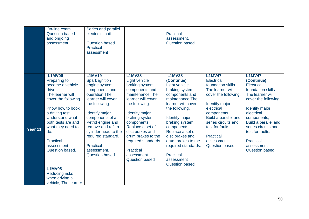|         | On-line exam<br><b>Question based</b><br>and ongoing<br>assessment.                                                                                                                                                                                                                                                                                           | Series and parallel<br>electric circuit.<br><b>Question based</b><br><b>Practical</b><br>assessment                                                                                                                                                                                                                          |                                                                                                                                                                                                                                                                                                                                 | <b>Practical</b><br>assessment.<br><b>Question based</b>                                                                                                                                                                                                                                                                                      |                                                                                                                                                                                                                                                                                         |                                                                                                                                                                                                                                                                                                       |
|---------|---------------------------------------------------------------------------------------------------------------------------------------------------------------------------------------------------------------------------------------------------------------------------------------------------------------------------------------------------------------|------------------------------------------------------------------------------------------------------------------------------------------------------------------------------------------------------------------------------------------------------------------------------------------------------------------------------|---------------------------------------------------------------------------------------------------------------------------------------------------------------------------------------------------------------------------------------------------------------------------------------------------------------------------------|-----------------------------------------------------------------------------------------------------------------------------------------------------------------------------------------------------------------------------------------------------------------------------------------------------------------------------------------------|-----------------------------------------------------------------------------------------------------------------------------------------------------------------------------------------------------------------------------------------------------------------------------------------|-------------------------------------------------------------------------------------------------------------------------------------------------------------------------------------------------------------------------------------------------------------------------------------------------------|
| Year 11 | <b>L1MV06</b><br>Preparing to<br>become a vehicle<br>driver.<br>The learner will<br>cover the following.<br>Know how to book<br>a driving test,<br>Understand what<br>both tests are and<br>what they need to<br>do.<br><b>Practical</b><br>assessment<br>Question based.<br><b>L1MV08</b><br><b>Reducing risks</b><br>when driving a<br>vehicle, The learner | <b>L1MV19</b><br>Spark ignition<br>engine system<br>components and<br>operation The<br>learner will cover<br>the following.<br><b>Identify major</b><br>components of a<br>Petrol engine and<br>remove and refit a<br>cylinder head to the<br>required standard.<br><b>Practical</b><br>assessment.<br><b>Question based</b> | <b>L1MV28</b><br>Light vehicle<br>braking system<br>components and<br>maintenance The<br>learner will cover<br>the following.<br><b>Identify major</b><br>braking system<br>components.<br>Replace a set of<br>disc brakes and<br>drum brakes to the<br>required standards.<br>Practical<br>assessment<br><b>Question based</b> | <b>L1MV28</b><br>(Continue)<br>Light vehicle<br>braking system<br>components and<br>maintenance The<br>learner will cover<br>the following.<br>Identify major<br>braking system<br>components.<br>Replace a set of<br>disc brakes and<br>drum brakes to the<br>required standards.<br><b>Practical</b><br>assessment<br><b>Question based</b> | <b>L1MV47</b><br><b>Electrical</b><br>foundation skills<br>The learner will<br>cover the following.<br><b>Identify major</b><br>electrical<br>components,<br>Build a parallel and<br>series circuits and<br>test for faults.<br><b>Practical</b><br>assessment<br><b>Question based</b> | <b>L1MV47</b><br>(Continue)<br><b>Electrical</b><br>foundation skills<br>The learner will<br>cover the following.<br><b>Identify major</b><br>electrical<br>components,<br>Build a parallel and<br>series circuits and<br>test for faults.<br><b>Practical</b><br>assessment<br><b>Question based</b> |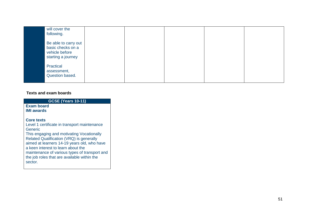| will cover the<br>following.                                                      |  |  |  |
|-----------------------------------------------------------------------------------|--|--|--|
| Be able to carry out<br>basic checks on a<br>vehicle before<br>starting a journey |  |  |  |
| Practical<br>assessment,<br>Question based.                                       |  |  |  |

| GCSE (Years 10-11) |
|--------------------|
|                    |

#### **Exam board IMI awards**

### **Core texts**

Level 1 certificate in transport maintenance Generic This engaging and motivating Vocationally

Related Qualification (VRQ) is generally aimed at learners 14 -19 years old, who have a keen interest to learn about the maintenance of various types of transport and the job roles that are available within the sector.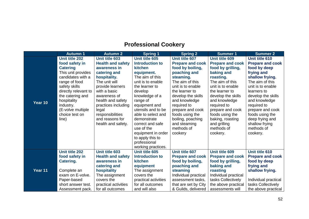## **Professional Cookery**

|         | <b>Autumn 1</b>       | <b>Autumn 2</b>          | <b>Spring 1</b>        | <b>Spring 2</b>         | <b>Summer 1</b>         | <b>Summer 2</b>         |
|---------|-----------------------|--------------------------|------------------------|-------------------------|-------------------------|-------------------------|
|         | <b>Unit title 202</b> | Unit title 603           | Unit title 605         | Unit title 607          | Unit title 609          | Unit title 610          |
|         | food safety in        | <b>Health and safety</b> | <b>Introduction to</b> | <b>Prepare and cook</b> | <b>Prepare and cook</b> | <b>Prepare and cook</b> |
|         | <b>Catering</b>       | awareness in             | <b>kitchen</b>         | food by boiling,        | food by grilling,       | food by deep            |
|         | This unit provides    | catering and             | equipment.             | poaching and            | baking and              | frying and              |
|         | candidates with a     | hospitality.             | The aim of this        | steaming.               | roasting.               | shallow frying.         |
|         | range of food         | The unit will            | unit is to enable      | The aim of this         | The aim of this         | The aim of this         |
|         | safety skills         | provide learners         | the learner to         | unit is to enable       | unit is to enable       | unit is to enable       |
|         | directly relevant to  | with a basic             | develop                | the learner to          | the learner to          | learners to             |
|         | the catering and      | awareness of             | knowledge of a         | develop the skills      | develop the skills      | develop the skills      |
| Year 10 | hospitality           | health and safety        | range of               | and knowledge           | and knowledge           | and knowledge           |
|         | industry.             | practices including      | equipment and          | required to             | required to             | required to             |
|         | (E-volve multiple     | legal                    | utensils and to be     | prepare and cook        | prepare and cook        | prepare and cook        |
|         | choice test on        | responsibilities         | able to select and     | foods using the         | foods using the         | foods using the         |
|         | line)                 | and reasons for          | demonstrate            | boiling, poaching       | baking, roasting        | deep frying and         |
|         |                       | health and safety.       | correct and safe       | and steaming            | and grilling            | shallow frying          |
|         |                       |                          | use of the             | methods of              | methods of              | methods of              |
|         |                       |                          | equipment in order     | cookery                 | cookery.                | cookery.                |
|         |                       |                          | to apply this to       |                         |                         |                         |
|         |                       |                          | professional           |                         |                         |                         |
|         |                       |                          | working practices.     |                         |                         |                         |
|         | <b>Unit title 202</b> | <b>Unit title 603</b>    | Unit title 605         | <b>Unit title 607</b>   | Unit title 609          | Unit title 610          |
|         | food safety in        | <b>Health and safety</b> | <b>Introduction to</b> | <b>Prepare and cook</b> | <b>Prepare and cook</b> | <b>Prepare and cook</b> |
|         | Catering.             | awareness in             | <b>kitchen</b>         | food by boiling,        | food by grilling,       | food by deep            |
|         |                       | catering and             | equipment              | poaching and            | baking and              | frying and              |
| Year 11 | Complete an           | hospitality              | The assignment         | steaming                | roasting                | shallow frying.         |
|         | exam on E-volve.      | The assignment           | covers the             | Individual practical    | Individual practical    |                         |
|         | Paper-based           | covers the               | practical activities   | assessment tasks,       | tasks Collectively      | Individual practical    |
|         | short answer test.    | practical activities     | for all outcomes       | that are set by City    | the above practical     | tasks Collectively      |
|         | Assessment pack.      | for all outcomes         | and will also          | & Guilds, delivered     | assessments will        | the above practical     |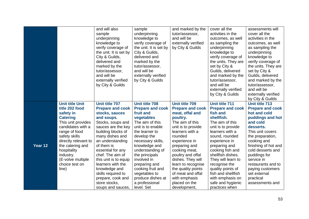|         |                                                                                                                                                                                                                                                                               | and will also<br>sample<br>underpinning<br>knowledge to<br>verify coverage of<br>the unit. It is set by<br>City & Guilds,<br>delivered and<br>marked by the<br>tutor/assessor,<br>and will be<br>externally verified                                                                                                                                                                            | sample<br>underpinning<br>knowledge to<br>verify coverage of<br>the unit. It is set by<br>City & Guilds,<br>delivered and<br>marked by the<br>tutor/assessor,<br>and will be<br>externally verified<br>by City & Guilds                                                                                                                                     | and marked by the<br>tutor/assessor,<br>and will be<br>externally verified<br>by City & Guilds                                                                                                                                                                                                                                                                         | cover all the<br>activities in the<br>outcomes, as well<br>as sampling the<br>underpinning<br>knowledge to<br>verify coverage of<br>the units. They are<br>set by City &<br>Guilds, delivered<br>and marked by the<br>tutor/assessor,                                                                                                                                     | assessments will<br>cover all the<br>activities in the<br>outcomes, as well<br>as sampling the<br>underpinning<br>knowledge to<br>verify coverage of<br>the units. They are<br>set by City &<br>Guilds, delivered<br>and marked by the                                                                                                    |
|---------|-------------------------------------------------------------------------------------------------------------------------------------------------------------------------------------------------------------------------------------------------------------------------------|-------------------------------------------------------------------------------------------------------------------------------------------------------------------------------------------------------------------------------------------------------------------------------------------------------------------------------------------------------------------------------------------------|-------------------------------------------------------------------------------------------------------------------------------------------------------------------------------------------------------------------------------------------------------------------------------------------------------------------------------------------------------------|------------------------------------------------------------------------------------------------------------------------------------------------------------------------------------------------------------------------------------------------------------------------------------------------------------------------------------------------------------------------|---------------------------------------------------------------------------------------------------------------------------------------------------------------------------------------------------------------------------------------------------------------------------------------------------------------------------------------------------------------------------|-------------------------------------------------------------------------------------------------------------------------------------------------------------------------------------------------------------------------------------------------------------------------------------------------------------------------------------------|
|         |                                                                                                                                                                                                                                                                               | by City & Guilds                                                                                                                                                                                                                                                                                                                                                                                |                                                                                                                                                                                                                                                                                                                                                             |                                                                                                                                                                                                                                                                                                                                                                        | and will be<br>externally verified<br>by City & Guilds                                                                                                                                                                                                                                                                                                                    | tutor/assessor,<br>and will be<br>externally verified<br>by City & Guilds                                                                                                                                                                                                                                                                 |
| Year 12 | <b>Unit title Unit</b><br>title 202 food<br>safety in<br><b>Catering</b><br>This unit provides<br>candidates with a<br>range of food<br>safety skills<br>directly relevant to<br>the catering and<br>hospitality<br>industry.<br>(E-volve multiple<br>choice test on<br>line) | <b>Unit title 707</b><br><b>Prepare and cook</b><br>stocks, sauces<br>and soups.<br>Stocks, soups and<br>sauces are the key<br>building blocks of<br>many dishes and<br>an understanding<br>of them is<br>essential for any<br>chef. The aim of<br>this unit is to equip<br>learners with the<br>knowledge and<br>skills required to<br>prepare, cook and<br>store stocks,<br>soups and sauces, | <b>Unit title 708</b><br><b>Prepare and cook</b><br>fruit and<br>vegetables<br>The aim of this<br>unit is to enable<br>the learner to<br>develop the<br>necessary skills,<br>knowledge and<br>understanding of<br>the principals<br>involved in<br>preparing and<br>cooking fruit and<br>vegetables to<br>produce dishes at<br>a professional<br>level. Set | <b>Unit title 709</b><br><b>Prepare and cook</b><br>meat, offal and<br>poultry.<br>The aim of this<br>unit is to provide<br>learners with a<br>rounded<br>experience in<br>preparing and<br>cooking meat,<br>poultry and offal<br>dishes. They will<br>learn to recognise<br>the quality points<br>of meat and offal<br>with emphasis<br>placed on the<br>development, | Unit title 711<br><b>Prepare and cook</b><br>fish and<br>shellfish.<br>The aim of this<br>unit is to provide<br>learners with a<br>sound, rounded<br>experience in<br>preparing and<br>cooking fish and<br>shellfish dishes.<br>They will learn to<br>recognise the<br>quality points of<br>fish and shellfish<br>with emphasis on<br>safe and hygienic<br>practices when | <b>Unit title 713</b><br><b>Prepare and cook</b><br>hot and cold<br>puddings and hot<br>and cold<br>desserts.<br>This unit covers<br>the preparation,<br>cooking and<br>finishing of hot and<br>cold desserts and<br>puddings for<br>service in<br>restaurants and to<br>paying customers<br>set external<br>practical<br>assessments and |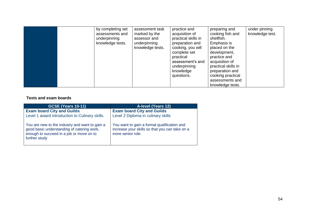|  | by completing set<br>assessments and<br>underpinning<br>knowledge tests. | assessment task<br>marked by the<br>assessor and<br>underpinning<br>knowledge tests. | practice and<br>acquisition of<br>practical skills in<br>preparation and<br>cooking, you will<br>complete set<br>practical<br>assessment's and<br>underpinning<br>knowledge<br>questions. | preparing and<br>cooking fish and<br>shellfish.<br>Emphasis is<br>placed on the<br>development,<br>practice and<br>acquisition of<br>practical skills in<br>preparation and<br>cooking practical<br>assessments and<br>knowledge tests. | under pinning<br>knowledge test. |
|--|--------------------------------------------------------------------------|--------------------------------------------------------------------------------------|-------------------------------------------------------------------------------------------------------------------------------------------------------------------------------------------|-----------------------------------------------------------------------------------------------------------------------------------------------------------------------------------------------------------------------------------------|----------------------------------|
|--|--------------------------------------------------------------------------|--------------------------------------------------------------------------------------|-------------------------------------------------------------------------------------------------------------------------------------------------------------------------------------------|-----------------------------------------------------------------------------------------------------------------------------------------------------------------------------------------------------------------------------------------|----------------------------------|

| <b>GCSE (Years 10-11)</b>                                                                                                                                 | <b>A-level (Years 12)</b>                                                                                          |
|-----------------------------------------------------------------------------------------------------------------------------------------------------------|--------------------------------------------------------------------------------------------------------------------|
| <b>Exam board City and Guilds</b><br>Level 1 award introduction to Culinary skills.                                                                       | <b>Exam board City and Guilds</b><br>Level 2 Diploma in culinary skills                                            |
| You are new to the industry and want to gain a<br>good basic understanding of catering work,<br>enough to succeed in a job or move on to<br>further study | You want to gain a formal qualification and<br>increase your skills so that you can take on a<br>more senior role. |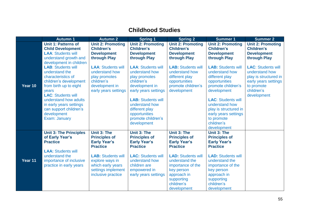## **Childhood Studies**

|         | <b>Autumn 1</b>                                                                                                                                             | <b>Autumn 2</b>                                                                                                      | <b>Spring 1</b>                                                                                                      | <b>Spring 2</b>                                                                                                                          | <b>Summer 1</b>                                                                                                                          | <b>Summer 2</b>                                                                                                                         |
|---------|-------------------------------------------------------------------------------------------------------------------------------------------------------------|----------------------------------------------------------------------------------------------------------------------|----------------------------------------------------------------------------------------------------------------------|------------------------------------------------------------------------------------------------------------------------------------------|------------------------------------------------------------------------------------------------------------------------------------------|-----------------------------------------------------------------------------------------------------------------------------------------|
|         | <b>Unit 1: Patterns of</b><br><b>Child Development</b><br><b>LAA: Students will</b><br>understand growth and<br>development in children                     | <b>Unit 2: Promoting</b><br><b>Children's</b><br><b>Development</b><br>through Play                                  | <b>Unit 2: Promoting</b><br><b>Children's</b><br><b>Development</b><br>through Play                                  | <b>Unit 2: Promoting</b><br><b>Children's</b><br><b>Development</b><br>through Play                                                      | <b>Unit 2: Promoting</b><br><b>Children's</b><br><b>Development</b><br>through Play                                                      | <b>Unit 2: Promoting</b><br><b>Children's</b><br><b>Development</b><br>through Play                                                     |
| Year 10 | <b>LAB: Students will</b><br>understand the<br>characteristics of<br>children's development<br>from birth up to eight<br>years<br><b>LAC: Students will</b> | <b>LAA: Students will</b><br>understand how<br>play promotes<br>children's<br>development in<br>early years settings | <b>LAA: Students will</b><br>understand how<br>play promotes<br>children's<br>development in<br>early years settings | <b>LAB: Students will</b><br>understand how<br>different play<br>opportunities<br>promote children's<br>development                      | <b>LAB: Students will</b><br>understand how<br>different play<br>opportunities<br>promote children's<br>development                      | <b>LAC: Students will</b><br>understand how<br>play is structured in<br>early years settings<br>to promote<br>children's<br>development |
|         | understand how adults<br>in early years settings<br>can support children's<br>development<br>Exam: January                                                  |                                                                                                                      | <b>LAB: Students will</b><br>understand how<br>different play<br>opportunities<br>promote children's<br>development  |                                                                                                                                          | <b>LAC: Students will</b><br>understand how<br>play is structured in<br>early years settings<br>to promote<br>children's<br>development  |                                                                                                                                         |
|         | <b>Unit 3: The Principles</b><br>of Early Year's<br><b>Practice</b>                                                                                         | Unit 3: The<br><b>Principles of</b><br><b>Early Year's</b><br><b>Practice</b>                                        | Unit 3: The<br><b>Principles of</b><br><b>Early Year's</b><br><b>Practice</b>                                        | <b>Unit 3: The</b><br><b>Principles of</b><br><b>Early Year's</b><br><b>Practice</b>                                                     | Unit 3: The<br><b>Principles of</b><br><b>Early Year's</b><br><b>Practice</b>                                                            |                                                                                                                                         |
| Year 11 | <b>LAA: Students will</b><br>understand the<br>importance of inclusive<br>practice in early years                                                           | <b>LAB: Students will</b><br>explore ways in<br>which early years<br>settings implement<br>inclusive practice        | <b>LAC: Students will</b><br>understand how<br>children are<br>empowered in<br>early years settings                  | <b>LAD: Students will</b><br>understand the<br>importance of the<br>key person<br>approach in<br>supporting<br>children's<br>development | <b>LAD: Students will</b><br>understand the<br>importance of the<br>key person<br>approach in<br>supporting<br>children's<br>development |                                                                                                                                         |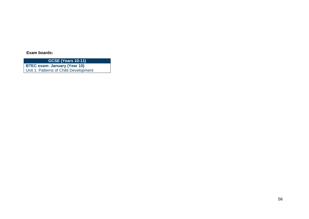**Exam boards:**

**GCSE (Years 10-11)**

**BTEC exam: January (Year 10)** Unit 1: Patterns of Child Development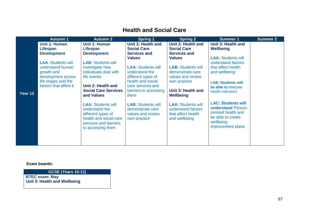### **Health and Social Care**

|         | <b>Autumn 1</b>                                                                                                                    | <b>Autumn 2</b>                                                                                                                                         | <b>Spring 1</b>                                                                                                                              | <b>Spring 2</b>                                                                                                       | <b>Summer 1</b>                                                                                                                     | <b>Summer 2</b> |
|---------|------------------------------------------------------------------------------------------------------------------------------------|---------------------------------------------------------------------------------------------------------------------------------------------------------|----------------------------------------------------------------------------------------------------------------------------------------------|-----------------------------------------------------------------------------------------------------------------------|-------------------------------------------------------------------------------------------------------------------------------------|-----------------|
|         | Unit 1: Human<br>Lifespan<br><b>Development</b>                                                                                    | Unit 1: Human<br>Lifespan<br><b>Development</b>                                                                                                         | Unit 2: Health and<br><b>Social Care</b><br><b>Services and</b><br><b>Values</b>                                                             | Unit 2: Health and<br><b>Social Care</b><br><b>Services and</b><br><b>Values</b>                                      | Unit 3: Health and<br>Wellbeing<br><b>LAA: Students will</b>                                                                        |                 |
| Year 12 | <b>LAA: Students will</b><br>understand human<br>growth and<br>development across<br>life stages and the<br>factors that affect it | <b>LAB: Students will</b><br>investigate how<br>individuals deal with<br>life events<br>Unit 2: Health and<br><b>Social Care Services</b><br>and Values | <b>LAA: Students will</b><br>understand the<br>different types of<br>health and social<br>care services and<br>barriers to accessing<br>them | <b>LAB: Students will</b><br>demonstrate care<br>values and review<br>own practice<br>Unit 3: Health and<br>Wellbeing | understand factors<br>that affect health<br>and wellbeing<br><b>LAB: Students will</b><br>be able to interpret<br>health indicators |                 |
|         |                                                                                                                                    | <b>LAA: Students will</b><br>understand the<br>different types of<br>health and social care<br>services and barriers<br>to accessing them               | <b>LAB: Students will</b><br>demonstrate care<br>values and review<br>own practice                                                           | <b>LAA: Students will</b><br>understand factors<br>that affect health<br>and wellbeing                                | <b>LAC: Students will</b><br>understand Person-<br>centred health and<br>be able to create<br>wellbeing<br>improvement plans        |                 |

**Exam boards:**

**GCSE (Years 10-11)**

**BTEC exam: May Unit 3: Health and Wellbeing**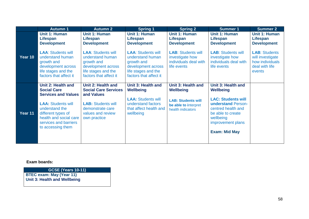|         | <b>Autumn 1</b>                                                                                                                           | <b>Autumn 2</b>                                                                                                                    | <b>Spring 1</b>                                                                                                                    | <b>Spring 2</b>                                                                      | Summer <sub>1</sub>                                                                                                                                         | <b>Summer 2</b>                                                                         |
|---------|-------------------------------------------------------------------------------------------------------------------------------------------|------------------------------------------------------------------------------------------------------------------------------------|------------------------------------------------------------------------------------------------------------------------------------|--------------------------------------------------------------------------------------|-------------------------------------------------------------------------------------------------------------------------------------------------------------|-----------------------------------------------------------------------------------------|
|         | Unit 1: Human<br>Lifespan<br><b>Development</b>                                                                                           | Unit 1: Human<br>Lifespan<br><b>Development</b>                                                                                    | Unit 1: Human<br>Lifespan<br><b>Development</b>                                                                                    | Unit 1: Human<br><b>Lifespan</b><br><b>Development</b>                               | <b>Unit 1: Human</b><br>Lifespan<br><b>Development</b>                                                                                                      | <b>Unit 1: Human</b><br>Lifespan<br><b>Development</b>                                  |
| Year 10 | <b>LAA: Students will</b><br>understand human<br>growth and<br>development across<br>life stages and the<br>factors that affect it        | <b>LAA: Students will</b><br>understand human<br>growth and<br>development across<br>life stages and the<br>factors that affect it | <b>LAA: Students will</b><br>understand human<br>growth and<br>development across<br>life stages and the<br>factors that affect it | <b>LAB: Students will</b><br>investigate how<br>individuals deal with<br>life events | <b>LAB: Students will</b><br>investigate how<br>individuals deal with<br>life events                                                                        | <b>LAB: Students</b><br>will investigate<br>how individuals<br>deal with life<br>events |
|         | Unit 2: Health and<br><b>Social Care</b><br><b>Services and Values</b>                                                                    | Unit 2: Health and<br><b>Social Care Services</b><br>and Values                                                                    | Unit 3: Health and<br><b>Wellbeing</b>                                                                                             | Unit 3: Health and<br><b>Wellbeing</b>                                               | Unit 3: Health and<br><b>Wellbeing</b>                                                                                                                      |                                                                                         |
| Year 11 | <b>LAA: Students will</b><br>understand the<br>different types of<br>health and social care<br>services and barriers<br>to accessing them | <b>LAB: Students will</b><br>demonstrate care<br>values and review<br>own practice                                                 | <b>LAA: Students will</b><br>understand factors<br>that affect health and<br>wellbeing                                             | <b>LAB: Students will</b><br>be able to interpret<br>health indicators               | <b>LAC: Students will</b><br><b>understand Person-</b><br>centred health and<br>be able to create<br>wellbeing<br>improvement plans<br><b>Exam: Mid May</b> |                                                                                         |
|         |                                                                                                                                           |                                                                                                                                    |                                                                                                                                    |                                                                                      |                                                                                                                                                             |                                                                                         |

**Exam boards:**

**GCSE (Years 10-11)**

**BTEC exam: May (Year 11) Unit 3: Health and Wellbeing**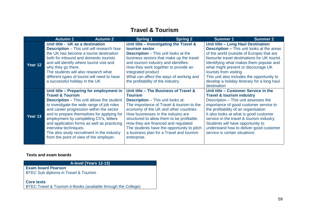### **Travel & Tourism**

|         | <b>Autumn 1</b>                                                                                                                                                                                                                                                                                                                                                                                                                                                                 | <b>Autumn 2</b> | <b>Spring 1</b>                                                                                                                                                                                                                                                                                                                                                                                                               | <b>Spring 2</b> | <b>Summer 1</b>                                                                                                                                                                                                                                                                                                                                                                                                | Summer 2 |
|---------|---------------------------------------------------------------------------------------------------------------------------------------------------------------------------------------------------------------------------------------------------------------------------------------------------------------------------------------------------------------------------------------------------------------------------------------------------------------------------------|-----------------|-------------------------------------------------------------------------------------------------------------------------------------------------------------------------------------------------------------------------------------------------------------------------------------------------------------------------------------------------------------------------------------------------------------------------------|-----------------|----------------------------------------------------------------------------------------------------------------------------------------------------------------------------------------------------------------------------------------------------------------------------------------------------------------------------------------------------------------------------------------------------------------|----------|
| Year 12 | Unit title - UK as a destination<br><b>Description</b> – This unit will research how<br>the UK has become a tourist destination<br>both for inbound and domestic tourists<br>and will identify where tourist visit and<br>why they go there.<br>The students will also research what<br>different types of tourist will need to have<br>a successful holiday in the UK                                                                                                          |                 | Unit title – Investigating the Travel &<br>tourism sector<br><b>Description</b> – This unit looks at the<br>business sectors that make up the travel<br>and tourism industry and identifies:<br>How they work together to provide an<br>integrated product<br>What can affect the ways of working and<br>the profitability of the industry.                                                                                   |                 | Unit title - Long Haul Destination<br><b>Description - This unit looks at the areas</b><br>of the world (outside of Europe) that are<br>favourite travel destinations for UK tourist.<br>Identifying what makes them popular and<br>what might prevent or discourage UK<br>tourists from visiting.<br>This unit also includes the opportunity to<br>develop a holiday itinerary for a long haul<br>destination |          |
| Year 13 | Unit title – Preparing for employment in<br><b>Travel &amp; Tourism</b><br><b>Description</b> – This unit allows the student<br>to investigate the wide range of job roles<br>and career progression within the sector<br>and to prepare themselves for applying for<br>employment by completing CV's, letters<br>and application forms as well as practicing<br>interview techniques.<br>The also study recruitment in the industry<br>from the point of view of the employer. |                 | Unit title – The Business of Travel &<br><b>Tourism</b><br><b>Description</b> – This unit looks at:<br>The importance of Travel & tourism to the<br>economy of the UK and other countries<br>How businesses in the industry are<br>structured to allow them to be profitable.<br>How they are financed and regulated<br>The students have the opportunity to pitch<br>a business plan for a Travel and tourism<br>enterprise. |                 | Unit title - Customer Service in the<br><b>Travel &amp; tourism industry</b><br>Description - This unit assesses the<br>importance of good customer service to<br>the profitability of an organisation<br>It also looks at what is good customer<br>service in the travel & tourism industry.<br>Students will have opportunity to<br>understand how to deliver good customer<br>service is certain situations |          |

### **Texts and exam boards**

**A-level (Years 12-13)**

**Exam board Pearson** BTEC Sub diploma in Travel & Tourism

**Core texts**

BTEC Travel & Tourism e-Books (available through the College)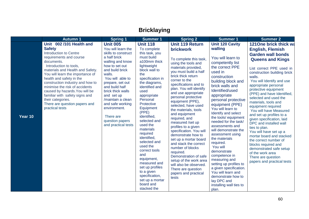# **Bricklaying**

|         | <b>Autumn 1</b>                                                                                                                                                                                                                                                                                                                                                                                                                                                     | <b>Spring 1</b>                                                                                                                                                                                                                                                                                                                                              | <b>Summer 1</b>                                                                                                                                                                                                                                                                                                                                                                                                                                                                                                            | <b>Spring 2</b>                                                                                                                                                                                                                                                                                                                                                                                                                                                                                                                                                                                                                                                                                              | <b>Summer 1</b>                                                                                                                                                                                                                                                                                                                                                                                                                                                                                                                                                                                                                                        | <b>Summer 2</b>                                                                                                                                                                                                                                                                                                                                                                                                                                                                                                                                                                                                                                                                                       |
|---------|---------------------------------------------------------------------------------------------------------------------------------------------------------------------------------------------------------------------------------------------------------------------------------------------------------------------------------------------------------------------------------------------------------------------------------------------------------------------|--------------------------------------------------------------------------------------------------------------------------------------------------------------------------------------------------------------------------------------------------------------------------------------------------------------------------------------------------------------|----------------------------------------------------------------------------------------------------------------------------------------------------------------------------------------------------------------------------------------------------------------------------------------------------------------------------------------------------------------------------------------------------------------------------------------------------------------------------------------------------------------------------|--------------------------------------------------------------------------------------------------------------------------------------------------------------------------------------------------------------------------------------------------------------------------------------------------------------------------------------------------------------------------------------------------------------------------------------------------------------------------------------------------------------------------------------------------------------------------------------------------------------------------------------------------------------------------------------------------------------|--------------------------------------------------------------------------------------------------------------------------------------------------------------------------------------------------------------------------------------------------------------------------------------------------------------------------------------------------------------------------------------------------------------------------------------------------------------------------------------------------------------------------------------------------------------------------------------------------------------------------------------------------------|-------------------------------------------------------------------------------------------------------------------------------------------------------------------------------------------------------------------------------------------------------------------------------------------------------------------------------------------------------------------------------------------------------------------------------------------------------------------------------------------------------------------------------------------------------------------------------------------------------------------------------------------------------------------------------------------------------|
| Year 10 | Unit 002/101 Health and<br><b>Safety</b><br><b>Introduction to Centre</b><br>requirements and course<br>documents.<br>Introduction to tools,<br>materials and Health and Safety.<br>You will learn the importance of<br>health and safety in the<br>construction industry and how to<br>minimise the risk of accidents<br>caused by hazards. You will be<br>familiar with safety signs and<br>their categories.<br>There are question papers and<br>practical tests | <b>Unit 005</b><br>You will learn the<br>skills to construct<br>a half brick<br>walling and know<br>how to set out<br>and build brick<br>walls.<br>You will able to<br>prepare, set out<br>and build half<br>brick thick walls<br>and set up<br>/maintain a clean<br>and safe working<br>environment.<br>There are<br>question papers<br>and practical tests | <b>Unit 118</b><br>To complete<br>this task, you<br>must build<br>a100mm thick<br>lightweight<br>block wall to<br>the<br>specification in<br>the diagrams,<br>identified and<br>used<br>appropriate<br>Personal<br>Protective<br>Equipment<br>(PPE)<br>identified,<br>selected and<br>used the<br>materials<br>required<br>identified,<br>selected and<br>used the<br>correct tools<br>and<br>equipment,<br>measured and<br>set up profiles<br>to a given<br>specification,<br>set up a mortar<br>board and<br>stacked the | <b>Unit 119 Return</b><br><b>brickwork</b><br>To complete this task,<br>using the tools and<br>materials provided,<br>you must build a half<br>brick thick return<br>corner to the<br>specifications and to<br>plan. You will identify<br>and use appropriate<br>personal protective<br>equipment (PPE),<br>selected, have used<br>the materials, tools<br>and equipment<br>required, and<br>measured /set up<br>profiles to a given<br>specification. You will<br>demonstrate how to<br>set up a mortar board<br>and stack the correct<br>number of blocks<br>required.<br>Demonstration of safe<br>setup of the work area<br>will also be observed.<br>There are question<br>papers and practical<br>tests | <b>Unit 120 Cavity</b><br>walling<br>You will learn to<br>competently list<br>the correct PPE<br>used in<br>construction<br>building block and<br>brick walls and<br>Identified/used<br>appropriate<br>personal protective<br>equipment (PPE)<br>You will learn to<br>Identify and select<br>the tools/ equipment<br>needed for the task/<br>assessments and<br>will demonstrate the<br>assessment using<br>the materials<br>required.<br>You will<br>demonstrate<br>competence in<br>measuring and<br>setting up profiles to<br>a given specification.<br>You will learn and<br>demonstrate how to<br>lay DPC and<br>installing wall ties to<br>plan. | 121One brick thick wa<br><b>English, Flemish</b><br><b>Garden wall bonds</b><br><b>Queens and Kings</b><br>List correct PPE used in<br>construction building brick<br>walls.<br>You will Identify and use<br>appropriate personal<br>protective equipment<br>(PPE) and have Identified,<br>selected and used the<br>materials, tools and<br>equipment required<br>You will have Measured<br>and set up profiles to a<br>given specification, laid<br>DPC and installed wall<br>ties to plan.<br>You will have set up a<br>mortar board and stacked<br>the correct number of<br>blocks required and<br>demonstrated safe setup<br>of the work area<br>There are question<br>papers and practical tests |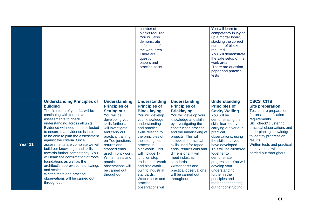|         |                                                                                                                                                                                                                                                                                                                                                                                                                                                                                                                                                                                                                                                   |                                                                                                                                                                                                                                                                                                                                                       | number of<br>blocks required<br>You will also<br>demonstrate<br>safe setup of<br>the work area<br>There are<br>question<br>papers and<br>practical tests                                                                                                                                                                                                                                                          |                                                                                                                                                                                                                                                                                                                                                                                                                                              | You will learn to<br>competency in laying<br>up a mortar board/<br>stacking the correct<br>number of blocks<br>required.<br>You will demonstrate<br>the safe setup of the<br>work area.<br>There are question<br>paper and practical<br>tests                                                                                                                                                                                             |                                                                                                                                                                                                                                                                                                                               |
|---------|---------------------------------------------------------------------------------------------------------------------------------------------------------------------------------------------------------------------------------------------------------------------------------------------------------------------------------------------------------------------------------------------------------------------------------------------------------------------------------------------------------------------------------------------------------------------------------------------------------------------------------------------------|-------------------------------------------------------------------------------------------------------------------------------------------------------------------------------------------------------------------------------------------------------------------------------------------------------------------------------------------------------|-------------------------------------------------------------------------------------------------------------------------------------------------------------------------------------------------------------------------------------------------------------------------------------------------------------------------------------------------------------------------------------------------------------------|----------------------------------------------------------------------------------------------------------------------------------------------------------------------------------------------------------------------------------------------------------------------------------------------------------------------------------------------------------------------------------------------------------------------------------------------|-------------------------------------------------------------------------------------------------------------------------------------------------------------------------------------------------------------------------------------------------------------------------------------------------------------------------------------------------------------------------------------------------------------------------------------------|-------------------------------------------------------------------------------------------------------------------------------------------------------------------------------------------------------------------------------------------------------------------------------------------------------------------------------|
| Year 11 | <b>Understanding Principles of</b><br>building<br>The first term of year 11 will be<br>continuing with formative<br>assessments to check<br>understanding across all units.<br>Evidence will need to be collected<br>to ensure that evidence is in place<br>to be able to plan the assessment<br>against the criteria. Once<br>assessments are complete we will<br>build our knowledge and skills<br>towards further competency. You<br>will learn the confirmation of roots<br>foundations as well as the<br>architect's abbreviations drawings<br>and scales.<br>Written tests and practical<br>observations will be carried out<br>throughout. | <b>Understanding</b><br><b>Principles of</b><br><b>Setting out</b><br>You will be<br>developing your<br>skills further and<br>will investigate<br>and carry out<br>practical training<br>on Tee junctions<br>returns and<br>stopped ends<br>used in brickwork.<br>Written tests and<br>practical<br>observations will<br>be carried out<br>throughout | <b>Understanding</b><br><b>Principles of</b><br><b>Block laying</b><br>You will develop<br>your knowledge,<br>understanding<br>and practical<br>skills relating to<br>the principles of<br>the setting out<br>process in<br>blockwork. This<br>will include T-<br>junction stop<br>ends in brickwork<br>and blockwork<br>built to industrial<br>standards.<br>Written tests and<br>practical<br>observations will | <b>Understanding</b><br><b>Principles of</b><br><b>Bricklaying</b><br>You will develop your<br>knowledge and skills<br>by investigating the<br>construction process<br>and the undertaking of<br>projects. This will<br>include the practical<br>skills used for raped<br>ends, returns cuts and<br>dimensions. It will<br>meet industrial<br>standards.<br>Written tests and<br>practical observations<br>will be carried out<br>throughout | <b>Understanding</b><br><b>Principles of</b><br><b>Cavity Walling</b><br>You will be<br>demonstrating the<br>skills learned by<br>carrying out various<br>practical<br>observations, using<br>the skills that you<br>have developed.<br>This will be clustered<br>together to<br>demonstrate<br>progression. You will<br>develop your<br>understanding<br>further in the<br>principles and<br>methods for setting<br>out for constructing | <b>CSCS CITB</b><br><b>Site preparation</b><br>Test centre preparation<br>for onsite certification<br>requirements<br>Skill check/ clustering<br>practical observations and<br>underpinning knowledge<br>to identify progression<br>results.<br>Written tests and practical<br>observations will be<br>carried out throughout |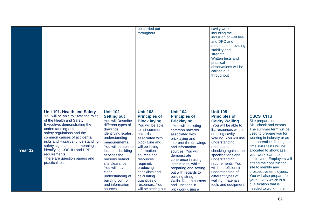|         |                                     |                             | be carried out                        |                                       | cavity work,           |                                                |
|---------|-------------------------------------|-----------------------------|---------------------------------------|---------------------------------------|------------------------|------------------------------------------------|
|         |                                     |                             | throughout                            |                                       | including the          |                                                |
|         |                                     |                             |                                       |                                       | inclusion of wall ties |                                                |
|         |                                     |                             |                                       |                                       | and DPC and            |                                                |
|         |                                     |                             |                                       |                                       | methods of providing   |                                                |
|         |                                     |                             |                                       |                                       | stability and          |                                                |
|         |                                     |                             |                                       |                                       | strength.              |                                                |
|         |                                     |                             |                                       |                                       | Written tests and      |                                                |
|         |                                     |                             |                                       |                                       | practical              |                                                |
|         |                                     |                             |                                       |                                       | observations will be   |                                                |
|         |                                     |                             |                                       |                                       | carried out            |                                                |
|         |                                     |                             |                                       |                                       |                        |                                                |
|         |                                     |                             |                                       |                                       | throughout             |                                                |
|         |                                     |                             |                                       |                                       |                        |                                                |
|         |                                     |                             |                                       |                                       |                        |                                                |
|         |                                     |                             |                                       |                                       |                        |                                                |
|         |                                     |                             |                                       |                                       |                        |                                                |
|         |                                     |                             |                                       |                                       |                        |                                                |
|         |                                     |                             |                                       |                                       |                        |                                                |
|         |                                     |                             |                                       |                                       |                        |                                                |
|         | Unit 101. Health and Safety         | <b>Unit 102</b>             | <b>Unit 103</b>                       | <b>Unit 104</b>                       | <b>Unit 105</b>        |                                                |
|         | You will be able to State the roles | <b>Setting out</b>          | <b>Principles of</b>                  | <b>Principles of</b>                  | <b>Principles of</b>   | <b>CSCS CITB</b>                               |
|         | of the Health and Safety            | You will Describe           | <b>Block laying</b>                   | <b>Bricklaying</b>                    | <b>Cavity Walling</b>  | Site preparation                               |
|         | Executive, demonstrating the        | different types of          | You will be able                      | You will be listing                   | You will be able to    | Skill check and exams                          |
|         | understanding of the health and     | drawings,                   | to list common                        | common hazards                        | list resources when    | The summer term will be                        |
|         | safety regulations and the          | identifying scales,         | hazards                               | associated with                       | erecting cavity        | used to prepare you for                        |
|         | common causes of accidents/         | understanding               | associated with                       | bricklaying and                       | Walling. You will use  | working in industry or as                      |
|         | risks and Hazards, understanding    | measurements.               | block Line and                        | interpret the drawings                | understanding          | an apprentice. During this                     |
|         | safety signs and their meanings     | You will be able to         |                                       |                                       | methods for            | time skills tests will be                      |
| Year 12 |                                     |                             | will be listing                       | and information                       |                        |                                                |
|         | identifying COSHH and PPE           | locate all building         | information                           | sources. You will                     | checking against the   | allocated to showcase                          |
|         | requirements                        | services the                | sources and                           | demonstrate                           | specifications and     | your work learnt to                            |
|         | There are question papers and       | reasons behind              | resources                             | coherence in using                    | understanding          | employers. Employers will                      |
|         | practical tests                     | site clearance              | required,                             | instructions, whilst                  | requirements. You      | attend the construction                        |
|         |                                     | You will have               | producing                             | preparing and setting                 | will be proficient in  | site to identify any                           |
|         |                                     | clear                       | checklists and                        | out with regards to                   | understanding of       | prospective employees.                         |
|         |                                     | understanding of            | calculating                           | building straight                     | different types of     | You will also prepare for                      |
|         |                                     | building control,           | quantities of                         | Walls. Return corners                 | walling, materials     | your CSCS which is a                           |
|         |                                     | and information<br>sources, | resources. You<br>will be setting out | and junctions in<br>brickwork using a | tools and equipment.   | qualification that is<br>needed to work in the |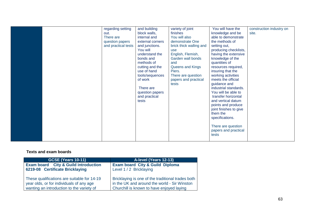|  | regarding setting<br>out.<br>There are<br>question papers<br>and practical tests | and building<br>block walls,<br>internal and<br>external corners<br>and junctions.<br>You will<br>understand the<br>bonds and<br>methods of<br>cutting and the<br>use of hand<br>tools/sequences<br>of work<br>There are<br>question papers<br>and practical<br>tests | variety of joint<br>finishes<br>You will also<br>demonstrate One<br>brick thick walling and<br>use<br>English, Flemish,<br>Garden wall bonds<br>and<br>Queens and Kings<br>Piers.<br>There are question<br>papers and practical<br>tests | You will have the<br>knowledge and be<br>able to demonstrate<br>the methods of<br>setting out,<br>producing checklists,<br>having the extensive<br>knowledge of the<br>quantities of<br>resources required,<br>insuring that the<br>working activities<br>meets the official<br>guidance and<br>industrial standards.<br>You will be able to<br>transfer horizontal<br>and vertical datum<br>points and produce<br>joint finishes to give<br>them the<br>specifications.<br>There are question<br>papers and practical<br>tests | construction industry on<br>site. |
|--|----------------------------------------------------------------------------------|-----------------------------------------------------------------------------------------------------------------------------------------------------------------------------------------------------------------------------------------------------------------------|------------------------------------------------------------------------------------------------------------------------------------------------------------------------------------------------------------------------------------------|---------------------------------------------------------------------------------------------------------------------------------------------------------------------------------------------------------------------------------------------------------------------------------------------------------------------------------------------------------------------------------------------------------------------------------------------------------------------------------------------------------------------------------|-----------------------------------|
|--|----------------------------------------------------------------------------------|-----------------------------------------------------------------------------------------------------------------------------------------------------------------------------------------------------------------------------------------------------------------------|------------------------------------------------------------------------------------------------------------------------------------------------------------------------------------------------------------------------------------------|---------------------------------------------------------------------------------------------------------------------------------------------------------------------------------------------------------------------------------------------------------------------------------------------------------------------------------------------------------------------------------------------------------------------------------------------------------------------------------------------------------------------------------|-----------------------------------|

| <b>GCSE (Years 10-11)</b>                   | A-level (Years 12-13)                             |
|---------------------------------------------|---------------------------------------------------|
| <b>Exam board</b> City & Guild introduction | <b>Exam board City &amp; Guild Diploma</b>        |
| 6219-08 Certificate Bricklaying             | Level 1 / 2 Bricklaying                           |
| These qualifications are suitable for 14-19 | Bricklaying is one of the traditional trades both |
| year olds, or for individuals of any age    | in the UK and around the world - Sir Winston      |
| wanting an introduction to the variety of   | Churchill is known to have enjoyed laying         |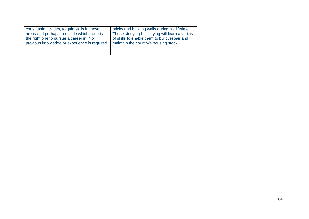| construction trades, to gain skills in those  | bricks and building walls during his lifetime.  |
|-----------------------------------------------|-------------------------------------------------|
| areas and perhaps to decide which trade is    | Those studying bricklaying will learn a variety |
| the right one to pursue a career in. No       | of skills to enable them to build, repair and   |
| previous knowledge or experience is required. | maintain the country's housing stock.           |
|                                               |                                                 |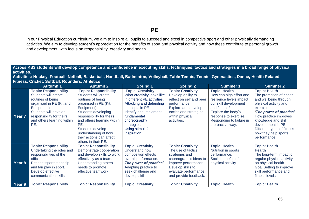In our Physical Education curriculum, we aim to inspire all pupils to succeed and excel in competitive sport and other physically demanding activities. We aim to develop student's appreciation for the benefits of sport and physical activity and how these contribute to personal growth and development, with focus on responsibility, creativity and health.

**Across KS3 students will develop competence and confidence in executing skills, techniques, tactics and strategies in a broad range of physical activities.**

**Activities: Hockey, Football, Netball, Basketball, Handball, Badminton, Volleyball, Table Tennis, Tennis, Gymnastics, Dance, Health Related Fitness, Cricket, Softball, Rounders, Athletics**

|        | <b>Autumn 1</b>                                                                                                                                                                                                | <b>Autumn 2</b>                                                                                                                                                                                                                                                                                          | Spring 1                                                                                                                                                                                                                                       | <b>Spring 2</b>                                                                                                                                                                          | <b>Summer 1</b>                                                                                                                                                                                                     | <b>Summer 2</b>                                                                                                                                                                                                                                                                      |
|--------|----------------------------------------------------------------------------------------------------------------------------------------------------------------------------------------------------------------|----------------------------------------------------------------------------------------------------------------------------------------------------------------------------------------------------------------------------------------------------------------------------------------------------------|------------------------------------------------------------------------------------------------------------------------------------------------------------------------------------------------------------------------------------------------|------------------------------------------------------------------------------------------------------------------------------------------------------------------------------------------|---------------------------------------------------------------------------------------------------------------------------------------------------------------------------------------------------------------------|--------------------------------------------------------------------------------------------------------------------------------------------------------------------------------------------------------------------------------------------------------------------------------------|
| Year 7 | <b>Topic: Responsibility</b><br>Students will create<br>routines of being<br>organised in PE (Kit and<br>Equipment)<br>Students will develop<br>responsibility for theirs<br>and others learning within<br>PE. | <b>Topic: Responsibility</b><br>Students will create<br>routines of being<br>organised in PE (Kit,<br>Equipment)<br>Students developing<br>responsibility for theirs<br>and others learning within<br>PE.<br>Students develop<br>understanding of how<br>their actions can affect<br>others in their PE. | <b>Topic: Creativity</b><br>What creativity looks like<br>in different PE activities.<br>Attacking and defending<br>concepts in PE<br>Identify and implement<br>fundamental<br>choreography<br>strategies.<br>Using stimuli for<br>inspiration | <b>Topic: Creativity</b><br>Develop ability to<br>reflect on self and peer<br>performance.<br>Explore and develop<br>tactics and strategies<br>within physical<br>activities.            | <b>Topic: Health</b><br>How can high effort and<br>resilience levels impact<br>our skill development<br>and fitness?<br>Explore the body's<br>response to exercise.<br>Responding to failure in<br>a proactive way. | <b>Topic: Health</b><br>The promotion of health<br>and wellbeing through<br>physical activity and<br>exercise<br>'The power of practise'<br>How practice improves<br>knowledge and skill<br>development in PE.<br>Different types of fitness<br>how they help sports<br>performance. |
| Year 8 | <b>Topic: Responsibility</b><br>Undertaking the roles and<br>responsibilities of the<br>official<br>Respect sportsmanship<br>and fair play in sport.<br>Develop effective<br>communication skills.             | <b>Topic: Responsibility</b><br>Demonstrate cooperation<br>and develop skills to work<br>effectively as a team.<br>Understanding others<br>needs to promote<br>effective teamwork.                                                                                                                       | <b>Topic: Creativity</b><br>Understand how<br>composition effects<br>overall performance.<br>The power of practice'<br>Adapting practice to<br>seek challenge and<br>develop skills.                                                           | <b>Topic: Creativity</b><br>The use of tactics,<br>strategies and<br>choreographic ideas to<br>improve performance<br>Develop skills to<br>evaluate performance<br>and provide feedback. | <b>Topic: Health</b><br>Nutrition in sports<br>performance.<br>Social benefits of<br>physical activity                                                                                                              | <b>Topic: Health</b><br><b>Health</b><br>The long-term impact of<br>regular physical activity<br>on physical health.<br><b>Goal Setting to improve</b><br>skill performance and<br>fitness levels                                                                                    |
| Year 9 | <b>Topic: Responsibility</b>                                                                                                                                                                                   | <b>Topic: Responsibility</b>                                                                                                                                                                                                                                                                             | <b>Topic: Creativity</b>                                                                                                                                                                                                                       | <b>Topic: Creativity</b>                                                                                                                                                                 | <b>Topic: Health</b>                                                                                                                                                                                                | <b>Topic: Health</b>                                                                                                                                                                                                                                                                 |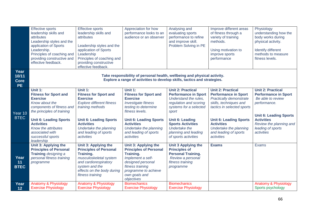|                                           | <b>Effective sports</b><br>leadership skills and<br>attributes<br>Leadership styles and the<br>application of Sports<br>Leadership.<br>Principles of coaching and<br>providing constructive and<br>effective feedback.                                                     | <b>Effective sports</b><br>leadership skills and<br>attributes<br>Leadership styles and the<br>application of Sports<br>Leadership<br>Principles of coaching and<br>providing constructive<br>effective feedback.                         | Appreciation for how<br>performance looks to an<br>audience or an observer                                                                                                                                                                                        | Analysing and<br>evaluating sports<br>performance to refine<br>and improve skill.<br>Problem Solving in PE                                                                                                                                                           | Improve different areas<br>of fitness through a<br>variety of training<br>methods.<br>Using motivation to<br>improve sports<br>performance                                                                                                                        | Physiology<br>understanding how the<br>body works during<br>physical activity.<br>Identify different<br>methods to measure<br>fitness levels.                                                                    |
|-------------------------------------------|----------------------------------------------------------------------------------------------------------------------------------------------------------------------------------------------------------------------------------------------------------------------------|-------------------------------------------------------------------------------------------------------------------------------------------------------------------------------------------------------------------------------------------|-------------------------------------------------------------------------------------------------------------------------------------------------------------------------------------------------------------------------------------------------------------------|----------------------------------------------------------------------------------------------------------------------------------------------------------------------------------------------------------------------------------------------------------------------|-------------------------------------------------------------------------------------------------------------------------------------------------------------------------------------------------------------------------------------------------------------------|------------------------------------------------------------------------------------------------------------------------------------------------------------------------------------------------------------------|
| Year<br>10/11<br><b>Core</b><br><b>PE</b> |                                                                                                                                                                                                                                                                            |                                                                                                                                                                                                                                           | Take responsibility of personal health, wellbeing and physical activity.<br>Explore a range of activities to develop skills, tactics and strategies.                                                                                                              |                                                                                                                                                                                                                                                                      |                                                                                                                                                                                                                                                                   |                                                                                                                                                                                                                  |
| Year 10<br><b>BTEC</b>                    | Unit 1:<br><b>Fitness for Sport and</b><br><b>Exercise</b><br>Know about the<br>components of fitness and<br>the principles of training<br><b>Unit 6: Leading Sports</b><br><b>Activities</b><br>Know the attributes<br>associated with<br>successful sports<br>leadership | Unit 1:<br><b>Fitness for Sport and</b><br><b>Exercise</b><br><b>Explore different fitness</b><br>training methods<br><b>Unit 6: Leading Sports</b><br><b>Activities</b><br>Undertake the planning<br>and leading of sports<br>activities | <b>Unit 1:</b><br><b>Fitness for Sport and</b><br><b>Exercise</b><br><b>Investigate fitness</b><br>testing to determine<br>fitness levels.<br><b>Unit 6: Leading Sports</b><br><b>Activities</b><br>Undertake the planning<br>and leading of sports<br>activities | <b>Unit 2: Practical</b><br><b>Performance in Sport</b><br>Understand the rules.<br>regulation and scoring<br>systems for a selected<br>sport<br><b>Unit 6: Leading</b><br><b>Sports Activities</b><br>Undertake the<br>planning and leading<br>of sports activities | <b>Unit 2: Practical</b><br><b>Performance in Sport</b><br>Practically demonstrate<br>skills, techniques and<br>tactics in selected sports<br><b>Unit 6: Leading Sports</b><br><b>Activities</b><br>Undertake the planning<br>and leading of sports<br>activities | <b>Unit 2: Practical</b><br><b>Performance in Sport</b><br>Be able to review<br>performance.<br><b>Unit 6: Leading Sports</b><br><b>Activities</b><br>Review the planning and<br>leading of sports<br>activities |
| Year<br>11<br><b>BTEC</b>                 | Unit 3: Applying the<br><b>Principles of Personal</b><br>Training designing a<br>personal fitness training<br>programme                                                                                                                                                    | Unit 3: Applying the<br><b>Principles of Personal</b><br>Training.<br>musculoskeletal system<br>and cardiorespiratory<br>system and the<br>effects on the body during<br>fitness training                                                 | Unit 3: Applying the<br><b>Principles of Personal</b><br>Training.<br>Implement a self-<br>designed personal<br>fitness training<br>programme to achieve<br>own goals and<br>objectives                                                                           | <b>Unit 3 Applying the</b><br><b>Principles of</b><br><b>Personal Training.</b><br>Review a personal<br>fitness training<br>programme                                                                                                                                | <b>Exams</b>                                                                                                                                                                                                                                                      | <b>Exams</b>                                                                                                                                                                                                     |
| Year<br>12                                | Anatomy & Physiology<br><b>Exercise Physiology</b>                                                                                                                                                                                                                         | Anatomy & Physiology<br><b>Exercise Physiology</b>                                                                                                                                                                                        | <b>Biomechanics</b><br><b>Exercise Physiology</b>                                                                                                                                                                                                                 | <b>Biomechanics</b><br><b>Exercise Physiology</b>                                                                                                                                                                                                                    |                                                                                                                                                                                                                                                                   | Anatomy & Physiology<br>Sports psychology                                                                                                                                                                        |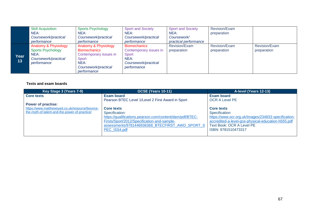|      | <b>Skill Acquisition</b> | <b>Sports Psychology</b> | <b>Sport and Society</b> | <b>Sport and Society</b> | <b>Revision/Exam</b> |                      |
|------|--------------------------|--------------------------|--------------------------|--------------------------|----------------------|----------------------|
|      | NEA:                     | NEA:                     | NEA:                     | NEA:                     | preparation          |                      |
|      | Coursework/practical     | Coursework/practical     | Coursework/practical     | Coursework/              |                      |                      |
|      | performance              | performance              | performance              | practical performance    |                      |                      |
|      | Anatomy & Physiology     | Anatomy & Physiology     | <b>Biomechanics</b>      | Revision/Exam            | Revision/Exam        | <b>Revision/Exam</b> |
|      | <b>Sports Psychology</b> | <b>Biomechanics</b>      | Contemporary issues in   | preparation              | preparation          | preparation          |
| Year | NEA:                     | Contemporary issues in   | Sport                    |                          |                      |                      |
| 13   | Coursework/practical     | Sport                    | NEA:                     |                          |                      |                      |
|      | performance              | NEA:                     | Coursework/practical     |                          |                      |                      |
|      |                          | Coursework/practical     | performance              |                          |                      |                      |
|      |                          | performance              |                          |                          |                      |                      |

| Key Stage 3 (Years 7-9)                        | <b>GCSE (Years 10-11)</b>                                | A-level (Years 12-13)                               |
|------------------------------------------------|----------------------------------------------------------|-----------------------------------------------------|
| <b>Core texts</b>                              | Exam board                                               | <b>Exam board</b>                                   |
|                                                | Pearson BTEC Level 1/Level 2 First Award in Sport        | <b>OCR A Level PE</b>                               |
| <b>Power of practise:</b>                      |                                                          |                                                     |
| https://www.matthewsyed.co.uk/resource/bounce- | <b>Core texts</b>                                        | <b>Core texts</b>                                   |
| the-myth-of-talent-and-the-power-of-practice/  | Specification:                                           | Specification:                                      |
|                                                | https://qualifications.pearson.com/content/dam/pdf/BTEC- | https://www.ocr.org.uk/Images/234833-specification- |
|                                                | Firsts/Sport/2012/Specification-and-sample-              | accredited-a-level-gce-physical-education-h555.pdf  |
|                                                | assessments/9781446936368 BTECFIRST AWD SPORT S          | <b>Text Book: OCR A Level PE</b>                    |
|                                                | PEC ISS4.pdf                                             | ISBN: 9781510473317                                 |
|                                                |                                                          |                                                     |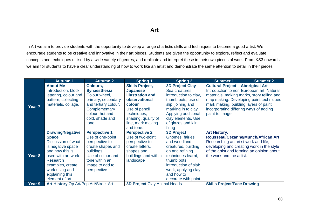In Art we aim to provide students with the opportunity to develop a range of artistic skills and techniques to become a good artist. We encourage students to be creative and innovative in their art pieces. Students are given the opportunity to explore, reflect and evaluate concepts and techniques utilised by a wide variety of genres, and replicate and interpret these in their own pieces of work. From KS3 onwards, we aim for students to have a clear understanding of how to work like an artist and demonstrate the same attention to detail in their pieces.

|                   | <b>Autumn 1</b>                       | <b>Autumn 2</b>      | Spring 1                            | <b>Spring 2</b>        | <b>Summer 1</b>                            | <b>Summer 2</b> |
|-------------------|---------------------------------------|----------------------|-------------------------------------|------------------------|--------------------------------------------|-----------------|
|                   | <b>About Me</b>                       | Colours,             | <b>Skills Project,</b>              | <b>3D Project Clay</b> | <b>Cultural Project - Aboriginal Art</b>   |                 |
|                   | Introduction, block                   | <b>Synaesthesia</b>  | <b>Japanese</b>                     | Sea creatures,         | Introduction to non-European art. Natural  |                 |
|                   | lettering, colour and                 | Colour wheel,        | <b>illustration and</b>             | introduction to clay,  | materials, making marks, story telling and |                 |
|                   | pattern, collecting                   | primary, secondary   | observational                       | thumb pots, use of     | map making. Developing paint techniques    |                 |
|                   | materials, collage.                   | and tertiary colour. | colour                              | slip, joining and      | mark making, building layers of paint      |                 |
| Year <sub>7</sub> |                                       | Complementary        | Use of pencil                       | marking in to clay.    | incorporating differing ways of adding     |                 |
|                   |                                       | colour, hot and      | techniques,                         | Applying additional    | paint to image.                            |                 |
|                   |                                       | cold, shade and      | shading, quality of                 | clay elements. Use     |                                            |                 |
|                   |                                       | tone                 | line, mark making                   | of glazes and kiln     |                                            |                 |
|                   |                                       |                      | and tone.                           | firing                 |                                            |                 |
|                   | <b>Drawing/Negative</b>               | <b>Perspective 1</b> | <b>Perspective 2</b>                | <b>3D Project</b>      | <b>Art History:</b>                        |                 |
|                   | <b>Space</b>                          | Use of one-point     | Use of two-point                    | Gnomes, fairies        | Rousseau/Cezanne/Munch/African Art         |                 |
|                   | Discussion of what                    | perspective to       | perspective to                      | and woodland           | Researching an artist work and life,       |                 |
|                   | is negative space                     | create shapes and    | create letters,                     | creatures, building    | developing and creating work in the style  |                 |
|                   | and how this is                       | buildings.           | shapes and                          | on and refining        | of the artist and forming an opinion about |                 |
| Year 8            | used with art work.                   | Use of colour and    | buildings and within                | techniques learnt,     | the work and the artist.                   |                 |
|                   | <b>Research</b>                       | tone within an       | landscape                           | thumb pots             |                                            |                 |
|                   | examples, create                      | image to add to      |                                     | introduction of slab   |                                            |                 |
|                   | work using and                        | perspective          |                                     | work, applying clay    |                                            |                 |
|                   | explaining this                       |                      |                                     | and how to             |                                            |                 |
|                   | element of art                        |                      |                                     | decorate with paint    |                                            |                 |
| Year 9            | Art History Op Art/Pop Art/Street Art |                      | <b>3D Project Clay Animal Heads</b> |                        | <b>Skills Project/Face Drawing</b>         |                 |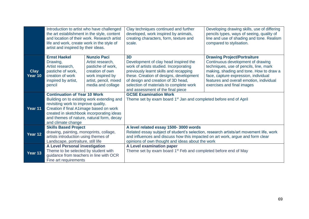|                        | Introduction to artist who have challenged<br>the art establishment in the style, content<br>and location of their work. Research artist<br>life and work, create work in the style of<br>artist and inspired by their ideas.                                                       |                                                                                                                                                  | Clay techniques continued and further<br>developed, work inspired by animals,<br>creating characters, form, texture and<br>scale.                                                                                                                                                                | Developing drawing skills, use of differing<br>pencils types, ways of seeing, quality of<br>line and use of shading and tone. Realism<br>compared to stylisation.                                                                                                              |  |
|------------------------|-------------------------------------------------------------------------------------------------------------------------------------------------------------------------------------------------------------------------------------------------------------------------------------|--------------------------------------------------------------------------------------------------------------------------------------------------|--------------------------------------------------------------------------------------------------------------------------------------------------------------------------------------------------------------------------------------------------------------------------------------------------|--------------------------------------------------------------------------------------------------------------------------------------------------------------------------------------------------------------------------------------------------------------------------------|--|
| <b>Clay</b><br>Year 10 | <b>Ernst Haekel</b><br>Drawing,<br>Artist research,<br>pastiche of work,<br>creation of work<br>inspired by artist,<br>pencil                                                                                                                                                       | <b>Nunzio Paci</b><br>Artist research,<br>pastiche of work,<br>creation of own<br>work inspired by<br>artist, pencil, mixed<br>media and collage | 3D<br>Development of clay head inspired the<br>work of artists studied. Incorporating<br>previously learnt skills and recapping<br>these. Creation of designs, development<br>of design and creation of 3D head,<br>selection of materials to complete work<br>and assessment of the final piece | <b>Drawing Project/Portraiture</b><br>Continuous development of drawing<br>techniques, use of pencils, line, mark<br>making, shading and tone. How to draw a<br>face, capture expression, individual<br>features and overall emotion, individual<br>exercises and final images |  |
| Year 11                | <b>Continuation of Year 10 Work</b><br>Building on to existing work extending and<br>revisiting work to improve quality.<br>Creation if final A1image based on work<br>created in sketchbook incorporating ideas<br>and themes of nature, natural form, decay<br>and climate change |                                                                                                                                                  | <b>GCSE Examination Work</b><br>Theme set by exam board 1 <sup>st</sup> Jan and completed before end of April                                                                                                                                                                                    |                                                                                                                                                                                                                                                                                |  |
| Year 12                | <b>Skills Based Project</b><br>drawing, painting, monoprints, collage,<br>artists introduction using themes of<br>Landscape, portraiture, still life                                                                                                                                |                                                                                                                                                  | A level related essay 1500-3000 words<br>Related essay subject of student's selection, research artists/art movement life, work<br>and influences and discuss how this impacted on art work, argue and form clear<br>opinions of own thought and ideas about the work                            |                                                                                                                                                                                                                                                                                |  |
| Year 13                | <b>A Level Personal investigation</b><br>Theme to be selected by student with<br>guidance from teachers in line with OCR<br>Fine art requirements                                                                                                                                   |                                                                                                                                                  | A Level examination paper<br>Theme set by exam board 1 <sup>st</sup> Feb and completed before end of May                                                                                                                                                                                         |                                                                                                                                                                                                                                                                                |  |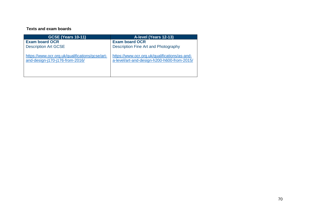| <b>GCSE (Years 10-11)</b>                       | A-level (Years 12-13)                         |
|-------------------------------------------------|-----------------------------------------------|
| <b>Exam board OCR</b>                           | <b>Exam board OCR</b>                         |
| <b>Description Art GCSE</b>                     | Description Fine Art and Photography          |
| https://www.ocr.org.uk/qualifications/gcse/art- | https://www.ocr.org.uk/qualifications/as-and- |
| and-design-j170-j176-from-2016/                 | a-level/art-and-design-h200-h600-from-2015/   |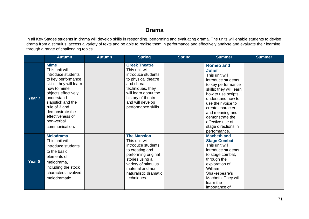### **Drama**

In all Key Stages students in drama will develop skills in responding, performing and evaluating drama. The units will enable students to devise drama from a stimulus, access a variety of texts and be able to realise them in performance and effectively analyse and evaluate their learning through a range of challenging topics.

|                   | <b>Autumn</b>                                                                                                                                                                                                                                                          | <b>Autumn</b> | <b>Spring</b>                                                                                                                                                                                                  | <b>Spring</b> | <b>Summer</b>                                                                                                                                                                                                                                                                                                     | <b>Summer</b> |
|-------------------|------------------------------------------------------------------------------------------------------------------------------------------------------------------------------------------------------------------------------------------------------------------------|---------------|----------------------------------------------------------------------------------------------------------------------------------------------------------------------------------------------------------------|---------------|-------------------------------------------------------------------------------------------------------------------------------------------------------------------------------------------------------------------------------------------------------------------------------------------------------------------|---------------|
| Year <sub>7</sub> | <b>Mime</b><br>This unit will<br>introduce students<br>to key performance<br>skills; they will learn<br>how to mime<br>objects effectively,<br>understand<br>slapstick and the<br>rule of 3 and<br>demonstrate the<br>effectiveness of<br>non-verbal<br>communication. |               | <b>Greek Theatre</b><br>This unit will<br>introduce students<br>to physical theatre<br>and choral<br>techniques, they<br>will learn about the<br>history of theatre<br>and will develop<br>performance skills. |               | <b>Romeo and</b><br><b>Juliet</b><br>This unit will<br>introduce students<br>to key performance<br>skills; they will learn<br>how to use scripts,<br>understand how to<br>use their voice to<br>create character<br>and meaning and<br>demonstrate the<br>effective use of<br>stage directions in<br>performance. |               |
| Year <sub>8</sub> | <b>Melodrama</b><br>This unit will<br>introduce students<br>to the basic<br>elements of<br>melodrama,<br>including the stock<br>characters involved<br>melodramatic                                                                                                    |               | <b>The Mansion</b><br>This unit will<br>introduce students<br>to creating and<br>performing original<br>stories using a<br>variety of stimulus<br>material and non-<br>naturalistic dramatic<br>techniques.    |               | <b>Macbeth and</b><br><b>Stage Combat</b><br>This unit will<br>introduce students<br>to stage combat,<br>through the<br>exploration of<br>William<br>Shakespeare's<br>Macbeth. They will<br>learn the<br>importance of                                                                                            |               |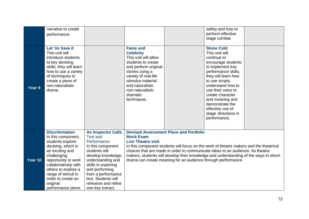|         | narrative to create<br>performance.                                                                                                                                                                                                                                          |                                                                                                                                                                                                                                                                               |                                                                                                                                                                                                                                                                                                                                                                                                                                     |  | safety and how to<br>perform effective<br>stage combat.                                                                                                                                                                                                                                                                       |  |
|---------|------------------------------------------------------------------------------------------------------------------------------------------------------------------------------------------------------------------------------------------------------------------------------|-------------------------------------------------------------------------------------------------------------------------------------------------------------------------------------------------------------------------------------------------------------------------------|-------------------------------------------------------------------------------------------------------------------------------------------------------------------------------------------------------------------------------------------------------------------------------------------------------------------------------------------------------------------------------------------------------------------------------------|--|-------------------------------------------------------------------------------------------------------------------------------------------------------------------------------------------------------------------------------------------------------------------------------------------------------------------------------|--|
| Year 9  | Let 'im have it<br>This unit will<br>introduce students<br>to key devising<br>skills; they will learn<br>how to use a variety<br>of techniques to<br>create a piece of<br>non-naturalistic<br>drama                                                                          |                                                                                                                                                                                                                                                                               | <b>Fame and</b><br><b>Celebrity</b><br>This unit will allow<br>students to create<br>and perform original<br>stories using a<br>variety of real-life<br>stimulus material<br>and naturalistic<br>non-naturalistic<br>dramatic<br>techniques.                                                                                                                                                                                        |  | <b>Stone Cold</b><br>This unit will<br>continue to<br>encourage students<br>to implement key<br>performance skills;<br>they will learn how<br>to use scripts,<br>understand how to<br>use their voice to<br>create character<br>and meaning and<br>demonstrate the<br>effective use of<br>stage directions in<br>performance. |  |
| Year 10 | <b>Discrimination</b><br>In this component,<br>students explore<br>devising, which is<br>an exciting and<br>challenging<br>opportunity to work<br>collaboratively with<br>others to explore a<br>range of stimuli in<br>order to create an<br>original<br>performance piece. | <b>An Inspector Calls</b><br><b>Text and</b><br>Performance<br>In this component<br>students will<br>develop knowledge,<br>understanding and<br>skills in exploring<br>and performing<br>from a performance<br>text. Students will<br>rehearse and refine<br>one key extract, | <b>Devised Assessment Piece and Portfolio</b><br><b>Mock Exam</b><br><b>Live Theatre visit</b><br>In this component students will focus on the work of theatre makers and the theatrical<br>choices that are made in order to communicate ideas to an audience. As theatre<br>makers, students will develop their knowledge and understanding of the ways in which<br>drama can create meaning for an audience through performance. |  |                                                                                                                                                                                                                                                                                                                               |  |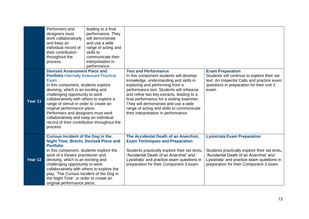|         | Performers and<br>designers must<br>work collaboratively<br>and keep an<br>individual record of<br>their contribution<br>throughout the<br>process.                                                                                                                                                                                                                                                                                                                           | leading to a final<br>performance. They<br>will demonstrate<br>and use a wide<br>range of acting and<br>skills to<br>communicate their<br>interpretation in<br>performance. |                                                                                                                                                                                                                                                                                                                                                                                                                         |                                                                                                                                                                                                                          |
|---------|-------------------------------------------------------------------------------------------------------------------------------------------------------------------------------------------------------------------------------------------------------------------------------------------------------------------------------------------------------------------------------------------------------------------------------------------------------------------------------|-----------------------------------------------------------------------------------------------------------------------------------------------------------------------------|-------------------------------------------------------------------------------------------------------------------------------------------------------------------------------------------------------------------------------------------------------------------------------------------------------------------------------------------------------------------------------------------------------------------------|--------------------------------------------------------------------------------------------------------------------------------------------------------------------------------------------------------------------------|
| Year 11 | <b>Devised Assessment Piece and</b><br><b>Portfolio Internally Assessed Practical</b><br>Exam<br>In this component, students explore<br>devising, which is an exciting and<br>challenging opportunity to work<br>collaboratively with others to explore a<br>range of stimuli in order to create an<br>original performance piece.<br>Performers and designers must work<br>collaboratively and keep an individual<br>record of their contribution throughout the<br>process. |                                                                                                                                                                             | <b>Text and Performance</b><br>In this component students will develop<br>knowledge, understanding and skills in<br>exploring and performing from a<br>performance text. Students will rehearse<br>and refine two key extracts, leading to a<br>final performance for a visiting examiner.<br>They will demonstrate and use a wide<br>range of acting and skills to communicate<br>their interpretation in performance. | <b>Exam Preparation</b><br>Students will continue to explore their set<br>text, An Inspector Calls and practice exam<br>questions in preparation for their unit 3<br>exam.                                               |
| Year 12 | <b>Curious Incident of the Dog in the</b><br><b>Night Time, Brecht, Devised Piece and</b><br><b>Portfolio</b><br>In this component, students explore the<br>work of a theatre practitioner and<br>devising, which is an exciting and<br>challenging opportunity to work<br>collaboratively with others to explore the<br>play, 'The Curious Incident of the Dog in<br>the Night Time', in order to create an<br>original performance piece.                                   |                                                                                                                                                                             | The Accidental Death of an Anarchist,<br><b>Exam Techniques and Preparation</b><br>Students practically explore their set texts,<br>'Accidental Death of an Anarchist' and '<br>Lysistrata' and practice exam questions in<br>preparation for their Component 3 exam.                                                                                                                                                   | <b>Lysistrata Exam Preparation</b><br>Students practically explore their set texts,<br>'Accidental Death of an Anarchist' and '<br>Lysistrata' and practice exam questions in<br>preparation for their Component 3 exam. |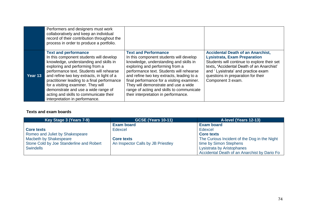|         | Performers and designers must work<br>collaboratively and keep an individual<br>record of their contribution throughout the<br>process in order to produce a portfolio.                                                                                                                                                                                                                                                                               |                                                                                                                                                                                                                                                                                                                                                                                                                         |                                                                                                                                                                                                                                                                              |
|---------|-------------------------------------------------------------------------------------------------------------------------------------------------------------------------------------------------------------------------------------------------------------------------------------------------------------------------------------------------------------------------------------------------------------------------------------------------------|-------------------------------------------------------------------------------------------------------------------------------------------------------------------------------------------------------------------------------------------------------------------------------------------------------------------------------------------------------------------------------------------------------------------------|------------------------------------------------------------------------------------------------------------------------------------------------------------------------------------------------------------------------------------------------------------------------------|
| Year 13 | <b>Text and performance</b><br>In this component students will develop<br>knowledge, understanding and skills in<br>exploring and performing from a<br>performance text. Students will rehearse<br>and refine two key extracts, in light of a<br>practitioner leading to a final performance<br>for a visiting examiner. They will<br>demonstrate and use a wide range of<br>acting and skills to communicate their<br>interpretation in performance. | <b>Text and Performance</b><br>In this component students will develop<br>knowledge, understanding and skills in<br>exploring and performing from a<br>performance text. Students will rehearse<br>and refine two key extracts, leading to a<br>final performance for a visiting examiner.<br>They will demonstrate and use a wide<br>range of acting and skills to communicate<br>their interpretation in performance. | <b>Accidental Death of an Anarchist,</b><br><b>Lysistrata, Exam Preparation</b><br>Students will continue to explore their set<br>texts, 'Accidental Death of an Anarchist'<br>and 'Lysistrata' and practice exam<br>questions in preparation for their<br>Component 3 exam. |

## **Texts and exam boards**

| Key Stage 3 (Years 7-9)                  | <b>GCSE (Years 10-11)</b>          | A-level (Years 12-13)                        |
|------------------------------------------|------------------------------------|----------------------------------------------|
|                                          | <b>Exam board</b>                  | <b>Exam board</b>                            |
| <b>Core texts</b>                        | Edexcel                            | Edexcel                                      |
| Romeo and Juliet by Shakespeare          |                                    | <b>Core texts</b>                            |
| Macbeth by Shakespeare                   | <b>Core texts</b>                  | The Curious Incident of the Dog in the Night |
| Stone Cold by Joe Standerline and Robert | An Inspector Calls by JB Priestley | time by Simon Stephens                       |
| <b>Swindells</b>                         |                                    | Lysistrata by Aristophanes                   |
|                                          |                                    | Accidental Death of an Anarchist by Dario Fo |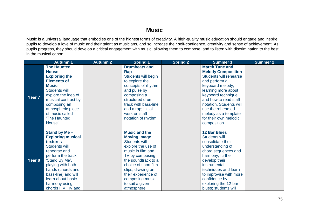## **Music**

Music is a universal language that embodies one of the highest forms of creativity. A high-quality music education should engage and inspire pupils to develop a love of music and their talent as musicians, and so increase their self-confidence, creativity and sense of achievement. As pupils progress, they should develop a critical engagement with music, allowing them to compose, and to listen with discrimination to the best in the musical canon

|        | <b>Autumn 1</b>          | <b>Autumn 2</b> | <b>Spring 1</b>      | <b>Spring 2</b> | <b>Summer 1</b>           | <b>Summer 2</b> |
|--------|--------------------------|-----------------|----------------------|-----------------|---------------------------|-----------------|
|        | <b>The Haunted</b>       |                 | <b>Drumbeats and</b> |                 | <b>March Tune and</b>     |                 |
|        | House-                   |                 | Rap                  |                 | <b>Melody Composition</b> |                 |
|        | <b>Exploring the</b>     |                 | Students will begin  |                 | Students will rehearse    |                 |
|        | <b>Elements of</b>       |                 | to explore the       |                 | and perform a             |                 |
|        | <b>Music</b>             |                 | concepts of rhythm   |                 | keyboard melody,          |                 |
|        | <b>Students will</b>     |                 | and pulse by         |                 | learning more about       |                 |
|        | explore the idea of      |                 | composing a          |                 | keyboard technique        |                 |
| Year 7 | musical contrast by      |                 | structured drum      |                 | and how to read staff     |                 |
|        | composing an             |                 | track with bass-line |                 | notation. Students will   |                 |
|        | atmospheric piece        |                 | and a rap; initial   |                 | use the rehearsed         |                 |
|        | of music called          |                 | work on staff        |                 | melody as a template      |                 |
|        | 'The Haunted             |                 | notation of rhythm   |                 | for their own melodic     |                 |
|        | House'                   |                 |                      |                 | composition.              |                 |
|        |                          |                 |                      |                 |                           |                 |
|        | Stand by Me -            |                 | <b>Music and the</b> |                 | <b>12 Bar Blues</b>       |                 |
|        | <b>Exploring musical</b> |                 | <b>Moving Image</b>  |                 | <b>Students will</b>      |                 |
|        | textures                 |                 | <b>Students will</b> |                 | consolidate their         |                 |
|        | Students will            |                 | explore the use of   |                 | understanding of          |                 |
|        | rehearse and             |                 | music in film and    |                 | chord sequences and       |                 |
|        | perform the track        |                 | TV by composing      |                 | harmony, further          |                 |
| Year 8 | 'Stand By Me',           |                 | the soundtrack to a  |                 | develop their             |                 |
|        | playing with both        |                 | choice of short film |                 | instrumental              |                 |
|        | hands (chords and        |                 | clips, drawing on    |                 | techniques and learn      |                 |
|        | bass-line) and will      |                 | their experience of  |                 | to improvise with more    |                 |
|        | learn about basic        |                 | composing music      |                 | confidence by             |                 |
|        | harmony using            |                 | to suit a given      |                 | exploring the 12-bar      |                 |
|        | chords I, VI, IV and     |                 | atmosphere,          |                 | blues; students will      |                 |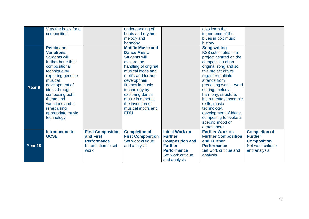|         | V as the basis for a   |                          | understanding of         |                        | also learn the             |                      |
|---------|------------------------|--------------------------|--------------------------|------------------------|----------------------------|----------------------|
|         | composition.           |                          | beats and rhythm,        |                        | importance of the          |                      |
|         |                        |                          | melody and               |                        | blues in pop music         |                      |
|         |                        |                          | harmony                  |                        | history                    |                      |
|         | <b>Remix and</b>       |                          | <b>Motific Music and</b> |                        | <b>Song writing</b>        |                      |
|         | <b>Variations</b>      |                          | <b>Dance Music</b>       |                        | KS3 culminates in a        |                      |
|         | <b>Students will</b>   |                          | <b>Students will</b>     |                        | project centred on the     |                      |
|         | further hone their     |                          | explore the              |                        | composition of an          |                      |
|         | compositional          |                          | handling of original     |                        | original song and so       |                      |
|         | technique by           |                          | musical ideas and        |                        | this project draws         |                      |
|         | exploring genuine      |                          | motifs and further       |                        | together multiple          |                      |
|         | musical                |                          | develop their            |                        | strands from               |                      |
|         | development of         |                          | fluency in music         |                        | preceding work - word      |                      |
| Year 9  | ideas through          |                          | technology by            |                        | setting, melody,           |                      |
|         | composing both         |                          | exploring dance          |                        | harmony, structure,        |                      |
|         | theme and              |                          | music in general,        |                        | instrumental/ensemble      |                      |
|         | variations and a       |                          | the invention of         |                        | skills, music              |                      |
|         | remix using            |                          | musical motifs and       |                        | technology,                |                      |
|         | appropriate music      |                          | <b>EDM</b>               |                        | development of ideas,      |                      |
|         | technology             |                          |                          |                        | composing to evoke a       |                      |
|         |                        |                          |                          |                        | specific mood or           |                      |
|         |                        |                          |                          |                        | atmosphere                 |                      |
|         | <b>Introduction to</b> | <b>First Composition</b> | <b>Completion of</b>     | <b>Initial Work on</b> | <b>Further Work on</b>     | <b>Completion of</b> |
|         | <b>GCSE</b>            | and First                | <b>First Composition</b> | <b>Further</b>         | <b>Further Composition</b> | <b>Further</b>       |
|         |                        | <b>Performance</b>       | Set work critique        | <b>Composition and</b> | and Further                | <b>Composition</b>   |
| Year 10 |                        | Introduction to set      | and analysis             | <b>Further</b>         | <b>Performance</b>         | Set work critique    |
|         |                        | work                     |                          | <b>Performance</b>     | Set work critique and      | and analysis         |
|         |                        |                          |                          | Set work critique      | analysis                   |                      |
|         |                        |                          |                          | and analysis           |                            |                      |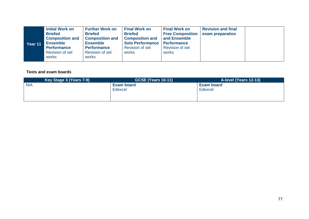| Year 11 | <b>Initial Work on</b><br><b>Briefed</b><br><b>Composition and</b><br><b>Ensemble</b><br><b>Performance</b><br><b>Revision of set</b><br>works | <b>Further Work on</b><br><b>Briefed</b><br><b>Composition and</b><br><b>Ensemble</b><br><b>Performance</b><br>Revision of set<br>works | <b>Final Work on</b><br><b>Briefed</b><br><b>Composition and</b><br>Solo Performance   Performance<br><b>Revision of set</b><br>works | <b>Final Work on</b><br><b>Free Composition</b><br>and Ensemble<br><b>Revision of set</b><br>works | <b>Revision and final</b><br>exam preparation |  |
|---------|------------------------------------------------------------------------------------------------------------------------------------------------|-----------------------------------------------------------------------------------------------------------------------------------------|---------------------------------------------------------------------------------------------------------------------------------------|----------------------------------------------------------------------------------------------------|-----------------------------------------------|--|
|---------|------------------------------------------------------------------------------------------------------------------------------------------------|-----------------------------------------------------------------------------------------------------------------------------------------|---------------------------------------------------------------------------------------------------------------------------------------|----------------------------------------------------------------------------------------------------|-----------------------------------------------|--|

## **Texts and exam boards**

| Key Stage 3 (Years 7-9) | <b>GCSE (Years 10-11)</b> | A-level (Years 12-13) |
|-------------------------|---------------------------|-----------------------|
| N/A                     | <b>Exam board</b>         | <b>Exam board</b>     |
|                         | Edexcel                   | Edexcel               |
|                         |                           |                       |
|                         |                           |                       |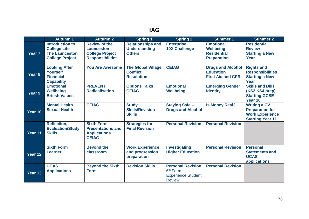|                   | <b>Autumn 1</b>                                                                                  | <b>Autumn 2</b>                                                                                | <b>Spring 1</b>                                                   | <b>Spring 2</b>                                                                                | <b>Summer 1</b>                                                                  | <b>Summer 2</b>                                                                                    |
|-------------------|--------------------------------------------------------------------------------------------------|------------------------------------------------------------------------------------------------|-------------------------------------------------------------------|------------------------------------------------------------------------------------------------|----------------------------------------------------------------------------------|----------------------------------------------------------------------------------------------------|
| Year <sub>7</sub> | <b>Introduction to</b><br><b>College Life</b><br><b>The Launceston</b><br><b>College Project</b> | <b>Review of the</b><br><b>Launceston</b><br><b>College Project</b><br><b>Responsibilities</b> | <b>Relationships and</b><br><b>Understanding</b><br><b>Others</b> | <b>Enterprise</b><br><b>10X Challenge</b>                                                      | <b>Emotional</b><br><b>Wellbeing</b><br><b>Residential</b><br><b>Preparation</b> | <b>Residential</b><br><b>Review</b><br><b>Starting a New</b><br>Year                               |
| Year 8            | <b>Looking After</b><br><b>Yourself</b><br><b>Financial</b><br><b>Capability</b>                 | <b>You Are Awesome</b>                                                                         | <b>The Global Village</b><br><b>Conflict</b><br><b>Resolution</b> | <b>CEIAG</b>                                                                                   | <b>Drugs and Alcohol</b><br><b>Education</b><br><b>First Aid and CPR</b>         | <b>Rights and</b><br><b>Responsibilities</b><br><b>Starting a New</b><br>Year                      |
| Year 9            | <b>Emotional</b><br><b>Wellbeing</b><br><b>British Values</b>                                    | <b>PREVENT</b><br><b>Radicalisation</b>                                                        | <b>Options Talks</b><br><b>CEIAG</b>                              | <b>Emotional</b><br><b>Wellbeing</b>                                                           | <b>Emerging Gender</b><br><b>Identity</b>                                        | <b>Skills and Bills</b><br>(KS2 KS4 prep)<br><b>Starting GCSE</b><br>Year 10                       |
| Year 10           | <b>Mental Health</b><br><b>Sexual Health</b>                                                     | <b>CEIAG</b>                                                                                   | <b>Study</b><br><b>Skills/Revision</b><br><b>Skills</b>           | <b>Staying Safe -</b><br><b>Drugs and Alcohol</b>                                              | <b>Is Money Real?</b>                                                            | <b>Writing a CV</b><br><b>Preparation for</b><br><b>Work Experience</b><br><b>Starting Year 11</b> |
| Year 11           | <b>Reflection,</b><br><b>Evaluation/Study</b><br><b>Skills</b>                                   | <b>Sixth Form</b><br><b>Presentations and</b><br><b>Applications</b><br><b>CEIAG</b>           | <b>Strategies for</b><br><b>Final Revision</b>                    | <b>Personal Revision</b>                                                                       | <b>Personal Revision</b>                                                         |                                                                                                    |
| Year 12           | <b>Sixth Form</b><br>Learner                                                                     | <b>Beyond the</b><br>classroom                                                                 | <b>Work Experience</b><br>and progression<br>preparation          | <b>Investigating</b><br><b>Higher Education</b>                                                | <b>Personal Revision</b>                                                         | <b>Personal</b><br><b>Statements and</b><br><b>UCAS</b><br>applications                            |
| Year 13           | <b>UCAS</b><br><b>Applications</b>                                                               | <b>Beyond the Sixth</b><br><b>Form</b>                                                         | <b>Revision Skills</b>                                            | <b>Personal Revision</b><br>6 <sup>th</sup> Form<br><b>Experience Student</b><br><b>Review</b> | <b>Personal Revision</b>                                                         |                                                                                                    |